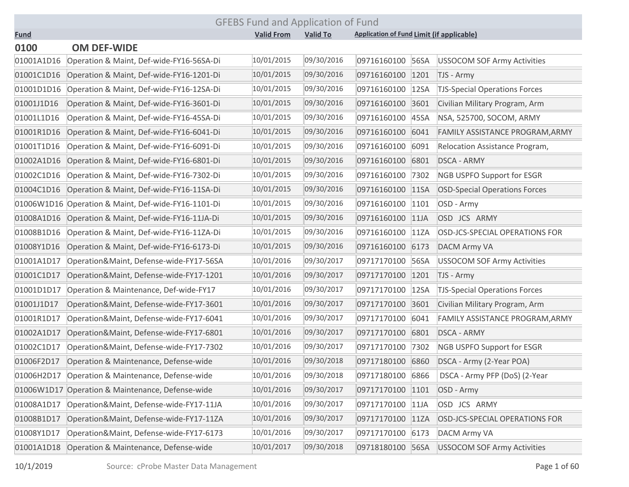|             | <b>GFEBS Fund and Application of Fund</b>           |                   |                 |                                                  |                                      |  |  |  |
|-------------|-----------------------------------------------------|-------------------|-----------------|--------------------------------------------------|--------------------------------------|--|--|--|
| <b>Fund</b> |                                                     | <b>Valid From</b> | <b>Valid To</b> | <b>Application of Fund Limit (if applicable)</b> |                                      |  |  |  |
| 0100        | <b>OM DEF-WIDE</b>                                  |                   |                 |                                                  |                                      |  |  |  |
| 01001A1D16  | Operation & Maint, Def-wide-FY16-56SA-Di            | 10/01/2015        | 09/30/2016      | 09716160100<br>56SA                              | <b>USSOCOM SOF Army Activities</b>   |  |  |  |
| 01001C1D16  | Operation & Maint, Def-wide-FY16-1201-Di            | 10/01/2015        | 09/30/2016      | 09716160100<br>1201                              | TJS - Army                           |  |  |  |
| 01001D1D16  | Operation & Maint, Def-wide-FY16-12SA-Di            | 10/01/2015        | 09/30/2016      | 09716160100<br>12SA                              | <b>TJS-Special Operations Forces</b> |  |  |  |
| 01001J1D16  | Operation & Maint, Def-wide-FY16-3601-Di            | 10/01/2015        | 09/30/2016      | 09716160100<br>3601                              | Civilian Military Program, Arm       |  |  |  |
| 01001L1D16  | Operation & Maint, Def-wide-FY16-45SA-Di            | 10/01/2015        | 09/30/2016      | 09716160100<br>45SA                              | NSA, 525700, SOCOM, ARMY             |  |  |  |
| 01001R1D16  | Operation & Maint, Def-wide-FY16-6041-Di            | 10/01/2015        | 09/30/2016      | 09716160100<br>6041                              | FAMILY ASSISTANCE PROGRAM, ARMY      |  |  |  |
| 01001T1D16  | Operation & Maint, Def-wide-FY16-6091-Di            | 10/01/2015        | 09/30/2016      | 09716160100<br>6091                              | Relocation Assistance Program,       |  |  |  |
| 01002A1D16  | Operation & Maint, Def-wide-FY16-6801-Di            | 10/01/2015        | 09/30/2016      | 09716160100<br>6801                              | <b>DSCA - ARMY</b>                   |  |  |  |
| 01002C1D16  | Operation & Maint, Def-wide-FY16-7302-Di            | 10/01/2015        | 09/30/2016      | 09716160100<br>7302                              | <b>NGB USPFO Support for ESGR</b>    |  |  |  |
| 01004C1D16  | Operation & Maint, Def-wide-FY16-11SA-Di            | 10/01/2015        | 09/30/2016      | 09716160100<br>11SA                              | <b>OSD-Special Operations Forces</b> |  |  |  |
|             | 01006W1D16 Operation & Maint, Def-wide-FY16-1101-Di | 10/01/2015        | 09/30/2016      | 09716160100<br>1101                              | OSD - Army                           |  |  |  |
| 01008A1D16  | Operation & Maint, Def-wide-FY16-11JA-Di            | 10/01/2015        | 09/30/2016      | 09716160100<br>11JA                              | OSD JCS ARMY                         |  |  |  |
| 01008B1D16  | Operation & Maint, Def-wide-FY16-11ZA-Di            | 10/01/2015        | 09/30/2016      | 09716160100<br>11ZA                              | OSD-JCS-SPECIAL OPERATIONS FOR       |  |  |  |
| 01008Y1D16  | Operation & Maint, Def-wide-FY16-6173-Di            | 10/01/2015        | 09/30/2016      | 09716160100<br>6173                              | <b>DACM Army VA</b>                  |  |  |  |
| 01001A1D17  | Operation&Maint, Defense-wide-FY17-56SA             | 10/01/2016        | 09/30/2017      | 09717170100<br>56SA                              | <b>USSOCOM SOF Army Activities</b>   |  |  |  |
| 01001C1D17  | Operation&Maint, Defense-wide-FY17-1201             | 10/01/2016        | 09/30/2017      | 09717170100<br>1201                              | TJS - Army                           |  |  |  |
| 01001D1D17  | Operation & Maintenance, Def-wide-FY17              | 10/01/2016        | 09/30/2017      | 09717170100<br>12SA                              | <b>TJS-Special Operations Forces</b> |  |  |  |
| 01001J1D17  | Operation&Maint, Defense-wide-FY17-3601             | 10/01/2016        | 09/30/2017      | 3601<br>09717170100                              | Civilian Military Program, Arm       |  |  |  |
| 01001R1D17  | Operation&Maint, Defense-wide-FY17-6041             | 10/01/2016        | 09/30/2017      | 6041<br>09717170100                              | FAMILY ASSISTANCE PROGRAM, ARMY      |  |  |  |
| 01002A1D17  | Operation&Maint, Defense-wide-FY17-6801             | 10/01/2016        | 09/30/2017      | 6801<br>09717170100                              | <b>DSCA - ARMY</b>                   |  |  |  |
| 01002C1D17  | Operation&Maint, Defense-wide-FY17-7302             | 10/01/2016        | 09/30/2017      | 09717170100<br>7302                              | <b>NGB USPFO Support for ESGR</b>    |  |  |  |
| 01006F2D17  | Operation & Maintenance, Defense-wide               | 10/01/2016        | 09/30/2018      | 09717180100<br>6860                              | DSCA - Army (2-Year POA)             |  |  |  |
| 01006H2D17  | Operation & Maintenance, Defense-wide               | 10/01/2016        | 09/30/2018      | 09717180100<br>6866                              | DSCA - Army PFP (DoS) (2-Year        |  |  |  |
|             | 01006W1D17 Operation & Maintenance, Defense-wide    | 10/01/2016        | 09/30/2017      | 09717170100 1101                                 | OSD - Army                           |  |  |  |
| 01008A1D17  | Operation&Maint, Defense-wide-FY17-11JA             | 10/01/2016        | 09/30/2017      | 09717170100<br>11JA                              | OSD JCS ARMY                         |  |  |  |
| 01008B1D17  | Operation&Maint, Defense-wide-FY17-11ZA             | 10/01/2016        | 09/30/2017      | 09717170100<br>11ZA                              | OSD-JCS-SPECIAL OPERATIONS FOR       |  |  |  |
| 01008Y1D17  | Operation&Maint, Defense-wide-FY17-6173             | 10/01/2016        | 09/30/2017      | 09717170100<br>6173                              | <b>DACM Army VA</b>                  |  |  |  |
| 01001A1D18  | Operation & Maintenance, Defense-wide               | 10/01/2017        | 09/30/2018      | 09718180100 56SA                                 | <b>USSOCOM SOF Army Activities</b>   |  |  |  |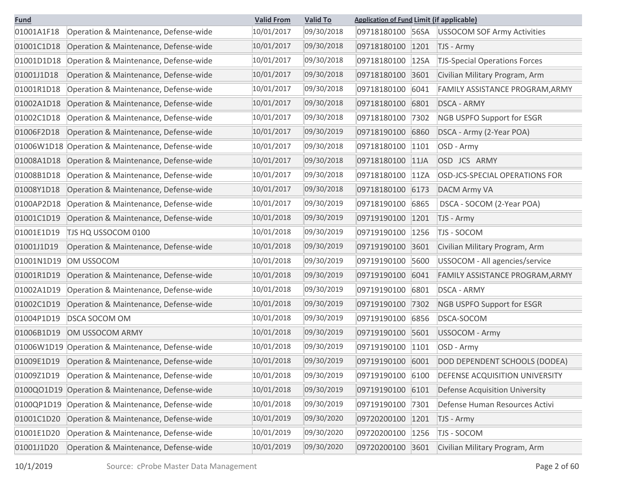| <b>Fund</b> |                                                  | <b>Valid From</b> | <b>Valid To</b> | <b>Application of Fund Limit (if applicable)</b> |      |                                       |
|-------------|--------------------------------------------------|-------------------|-----------------|--------------------------------------------------|------|---------------------------------------|
| 01001A1F18  | Operation & Maintenance, Defense-wide            | 10/01/2017        | 09/30/2018      | 09718180100                                      | 56SA | <b>USSOCOM SOF Army Activities</b>    |
| 01001C1D18  | Operation & Maintenance, Defense-wide            | 10/01/2017        | 09/30/2018      | 09718180100                                      | 1201 | TJS - Army                            |
| 01001D1D18  | Operation & Maintenance, Defense-wide            | 10/01/2017        | 09/30/2018      | 09718180100                                      | 12SA | <b>TJS-Special Operations Forces</b>  |
| 01001J1D18  | Operation & Maintenance, Defense-wide            | 10/01/2017        | 09/30/2018      | 09718180100                                      | 3601 | Civilian Military Program, Arm        |
| 01001R1D18  | Operation & Maintenance, Defense-wide            | 10/01/2017        | 09/30/2018      | 09718180100                                      | 6041 | FAMILY ASSISTANCE PROGRAM, ARMY       |
| 01002A1D18  | Operation & Maintenance, Defense-wide            | 10/01/2017        | 09/30/2018      | 09718180100                                      | 6801 | <b>DSCA - ARMY</b>                    |
| 01002C1D18  | Operation & Maintenance, Defense-wide            | 10/01/2017        | 09/30/2018      | 09718180100                                      | 7302 | <b>NGB USPFO Support for ESGR</b>     |
| 01006F2D18  | Operation & Maintenance, Defense-wide            | 10/01/2017        | 09/30/2019      | 09718190100                                      | 6860 | DSCA - Army (2-Year POA)              |
|             | 01006W1D18 Operation & Maintenance, Defense-wide | 10/01/2017        | 09/30/2018      | 09718180100                                      | 1101 | OSD - Army                            |
| 01008A1D18  | Operation & Maintenance, Defense-wide            | 10/01/2017        | 09/30/2018      | 09718180100                                      | 11JA | OSD JCS ARMY                          |
| 01008B1D18  | Operation & Maintenance, Defense-wide            | 10/01/2017        | 09/30/2018      | 09718180100                                      | 11ZA | OSD-JCS-SPECIAL OPERATIONS FOR        |
| 01008Y1D18  | Operation & Maintenance, Defense-wide            | 10/01/2017        | 09/30/2018      | 09718180100                                      | 6173 | <b>DACM Army VA</b>                   |
| 0100AP2D18  | Operation & Maintenance, Defense-wide            | 10/01/2017        | 09/30/2019      | 09718190100                                      | 6865 | DSCA - SOCOM (2-Year POA)             |
| 01001C1D19  | Operation & Maintenance, Defense-wide            | 10/01/2018        | 09/30/2019      | 09719190100                                      | 1201 | TJS - Army                            |
| 01001E1D19  | TJS HQ USSOCOM 0100                              | 10/01/2018        | 09/30/2019      | 09719190100                                      | 1256 | TJS - SOCOM                           |
| 01001J1D19  | Operation & Maintenance, Defense-wide            | 10/01/2018        | 09/30/2019      | 09719190100                                      | 3601 | Civilian Military Program, Arm        |
| 01001N1D19  | OM USSOCOM                                       | 10/01/2018        | 09/30/2019      | 09719190100                                      | 5600 | USSOCOM - All agencies/service        |
| 01001R1D19  | Operation & Maintenance, Defense-wide            | 10/01/2018        | 09/30/2019      | 09719190100                                      | 6041 | FAMILY ASSISTANCE PROGRAM, ARMY       |
| 01002A1D19  | Operation & Maintenance, Defense-wide            | 10/01/2018        | 09/30/2019      | 09719190100                                      | 6801 | <b>DSCA - ARMY</b>                    |
| 01002C1D19  | Operation & Maintenance, Defense-wide            | 10/01/2018        | 09/30/2019      | 09719190100                                      | 7302 | <b>NGB USPFO Support for ESGR</b>     |
| 01004P1D19  | <b>DSCA SOCOM OM</b>                             | 10/01/2018        | 09/30/2019      | 09719190100                                      | 6856 | DSCA-SOCOM                            |
| 01006B1D19  | OM USSOCOM ARMY                                  | 10/01/2018        | 09/30/2019      | 09719190100                                      | 5601 | USSOCOM - Army                        |
|             | 01006W1D19 Operation & Maintenance, Defense-wide | 10/01/2018        | 09/30/2019      | 09719190100                                      | 1101 | OSD - Army                            |
| 01009E1D19  | Operation & Maintenance, Defense-wide            | 10/01/2018        | 09/30/2019      | 09719190100                                      | 6001 | DOD DEPENDENT SCHOOLS (DODEA)         |
| 01009Z1D19  | Operation & Maintenance, Defense-wide            | 10/01/2018        | 09/30/2019      | 09719190100 6100                                 |      | DEFENSE ACQUISITION UNIVERSITY        |
|             | 0100QO1D19 Operation & Maintenance, Defense-wide | 10/01/2018        | 09/30/2019      | 09719190100                                      | 6101 | <b>Defense Acquisition University</b> |
|             | 0100QP1D19 Operation & Maintenance, Defense-wide | 10/01/2018        | 09/30/2019      | 09719190100                                      | 7301 | Defense Human Resources Activi        |
| 01001C1D20  | Operation & Maintenance, Defense-wide            | 10/01/2019        | 09/30/2020      | 09720200100                                      | 1201 | TJS - Army                            |
| 01001E1D20  | Operation & Maintenance, Defense-wide            | 10/01/2019        | 09/30/2020      | 09720200100                                      | 1256 | TJS - SOCOM                           |
| 01001J1D20  | Operation & Maintenance, Defense-wide            | 10/01/2019        | 09/30/2020      | 09720200100 3601                                 |      | Civilian Military Program, Arm        |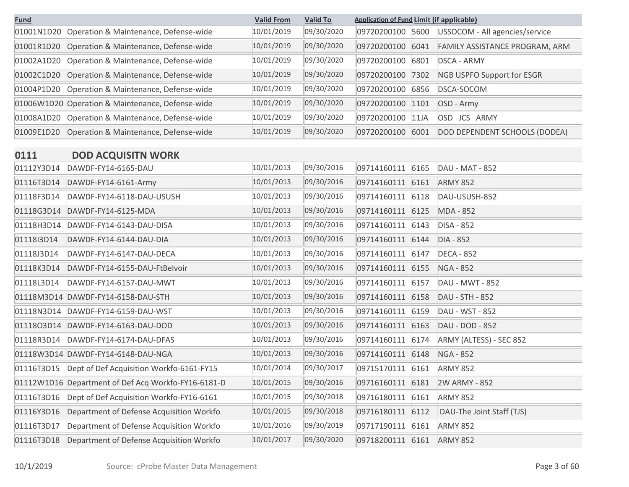| <b>Fund</b> |                                                  | <b>Valid From</b> | <b>Valid To</b> | <b>Application of Fund Limit (if applicable)</b> |                                   |
|-------------|--------------------------------------------------|-------------------|-----------------|--------------------------------------------------|-----------------------------------|
| 01001N1D20  | Operation & Maintenance, Defense-wide            | 10/01/2019        | 09/30/2020      | 09720200100<br>5600                              | USSOCOM - All agencies/service    |
| 01001R1D20  | Operation & Maintenance, Defense-wide            | 10/01/2019        | 09/30/2020      | 09720200100<br>6041                              | FAMILY ASSISTANCE PROGRAM, ARM    |
| 01002A1D20  | Operation & Maintenance, Defense-wide            | 10/01/2019        | 09/30/2020      | 09720200100<br>6801                              | <b>DSCA - ARMY</b>                |
| 01002C1D20  | Operation & Maintenance, Defense-wide            | 10/01/2019        | 09/30/2020      | 09720200100<br>7302                              | <b>NGB USPFO Support for ESGR</b> |
| 01004P1D20  | Operation & Maintenance, Defense-wide            | 10/01/2019        | 09/30/2020      | 09720200100<br>6856                              | DSCA-SOCOM                        |
|             | 01006W1D20 Operation & Maintenance, Defense-wide | 10/01/2019        | 09/30/2020      | 09720200100<br>1101                              | OSD - Army                        |
| 01008A1D20  | Operation & Maintenance, Defense-wide            | 10/01/2019        | 09/30/2020      | 09720200100<br>11JA                              | <b>JCS</b><br>ARMY<br>OSD.        |
| 01009E1D20  | Operation & Maintenance, Defense-wide            | 10/01/2019        | 09/30/2020      | 09720200100<br>6001                              | DOD DEPENDENT SCHOOLS (DODEA)     |

# **0111 DOD ACQUISITN WORK**

| 01112Y3D14 | DAWDF-FY14-6165-DAU                      | 10/01/2013 | 09/30/2016 | 09714160111 6165 |      | <b>DAU - MAT - 852</b>    |
|------------|------------------------------------------|------------|------------|------------------|------|---------------------------|
| 01116T3D14 | DAWDF-FY14-6161-Army                     | 10/01/2013 | 09/30/2016 | 09714160111 6161 |      | <b>ARMY 852</b>           |
| 01118F3D14 | DAWDF-FY14-6118-DAU-USUSH                | 10/01/2013 | 09/30/2016 | 09714160111 6118 |      | DAU-USUSH-852             |
| 01118G3D14 | DAWDF-FY14-6125-MDA                      | 10/01/2013 | 09/30/2016 | 09714160111 6125 |      | <b>MDA - 852</b>          |
| 01118H3D14 | DAWDF-FY14-6143-DAU-DISA                 | 10/01/2013 | 09/30/2016 | 09714160111 6143 |      | <b>DISA - 852</b>         |
| 01118l3D14 | DAWDF-FY14-6144-DAU-DIA                  | 10/01/2013 | 09/30/2016 | 09714160111 6144 |      | <b>DIA - 852</b>          |
| 01118J3D14 | DAWDF-FY14-6147-DAU-DECA                 | 10/01/2013 | 09/30/2016 | 09714160111      | 6147 | <b>DECA - 852</b>         |
| 01118K3D14 | DAWDF-FY14-6155-DAU-FtBelvoir            | 10/01/2013 | 09/30/2016 | 09714160111      | 6155 | <b>NGA - 852</b>          |
| 01118L3D14 | DAWDF-FY14-6157-DAU-MWT                  | 10/01/2013 | 09/30/2016 | 09714160111 6157 |      | DAU - MWT - 852           |
| 01118M3D14 | DAWDF-FY14-6158-DAU-STH                  | 10/01/2013 | 09/30/2016 | 09714160111      | 6158 | DAU - STH - 852           |
| 01118N3D14 | DAWDF-FY14-6159-DAU-WST                  | 10/01/2013 | 09/30/2016 | 09714160111      | 6159 | DAU - WST - 852           |
| 0111803D14 | DAWDF-FY14-6163-DAU-DOD                  | 10/01/2013 | 09/30/2016 | 09714160111      | 6163 | DAU - DOD - 852           |
| 01118R3D14 | DAWDF-FY14-6174-DAU-DFAS                 | 10/01/2013 | 09/30/2016 | 09714160111 6174 |      | ARMY (ALTESS) - SEC 852   |
|            | 01118W3D14 DAWDF-FY14-6148-DAU-NGA       | 10/01/2013 | 09/30/2016 | 09714160111 6148 |      | <b>NGA - 852</b>          |
| 01116T3D15 | Dept of Def Acquisition Workfo-6161-FY15 | 10/01/2014 | 09/30/2017 | 09715170111      | 6161 | ARMY 852                  |
| 01112W1D16 | Department of Def Acq Workfo-FY16-6181-D | 10/01/2015 | 09/30/2016 | 09716160111      | 6181 | 2W ARMY - 852             |
| 01116T3D16 | Dept of Def Acquisition Workfo-FY16-6161 | 10/01/2015 | 09/30/2018 | 09716180111      | 6161 | <b>ARMY 852</b>           |
| 01116Y3D16 | Department of Defense Acquisition Workfo | 10/01/2015 | 09/30/2018 | 09716180111      | 6112 | DAU-The Joint Staff (TJS) |
| 01116T3D17 | Department of Defense Acquisition Workfo | 10/01/2016 | 09/30/2019 | 09717190111      | 6161 | ARMY 852                  |
| 01116T3D18 | Department of Defense Acquisition Workfo | 10/01/2017 | 09/30/2020 | 09718200111      | 6161 | ARMY 852                  |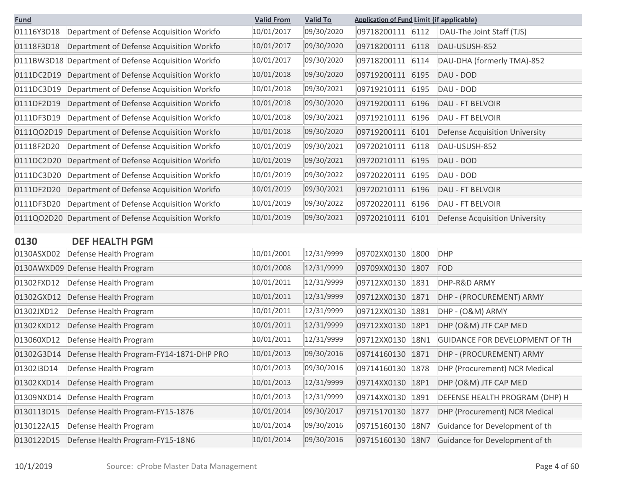| <b>Fund</b> |                                                     | <b>Valid From</b> | <b>Valid To</b> | <b>Application of Fund Limit (if applicable)</b> |                                |
|-------------|-----------------------------------------------------|-------------------|-----------------|--------------------------------------------------|--------------------------------|
| 01116Y3D18  | Department of Defense Acquisition Workfo            | 10/01/2017        | 09/30/2020      | 09718200111<br>6112                              | DAU-The Joint Staff (TJS)      |
| 01118F3D18  | Department of Defense Acquisition Workfo            | 10/01/2017        | 09/30/2020      | 09718200111<br>6118                              | DAU-USUSH-852                  |
|             | 0111BW3D18 Department of Defense Acquisition Workfo | 10/01/2017        | 09/30/2020      | 09718200111<br>6114                              | DAU-DHA (formerly TMA)-852     |
| 0111DC2D19  | Department of Defense Acquisition Workfo            | 10/01/2018        | 09/30/2020      | 09719200111<br>6195                              | DAU - DOD                      |
| 0111DC3D19  | Department of Defense Acquisition Workfo            | 10/01/2018        | 09/30/2021      | 09719210111<br>6195                              | DAU - DOD                      |
| 0111DF2D19  | Department of Defense Acquisition Workfo            | 10/01/2018        | 09/30/2020      | 09719200111<br>6196                              | <b>DAU - FT BELVOIR</b>        |
| 0111DF3D19  | Department of Defense Acquisition Workfo            | 10/01/2018        | 09/30/2021      | 09719210111<br>6196                              | DAU - FT BELVOIR               |
| 0111QO2D19  | Department of Defense Acquisition Workfo            | 10/01/2018        | 09/30/2020      | 09719200111<br>6101                              | Defense Acquisition University |
| 01118F2D20  | Department of Defense Acquisition Workfo            | 10/01/2019        | 09/30/2021      | 09720210111<br>6118                              | DAU-USUSH-852                  |
| 0111DC2D20  | Department of Defense Acquisition Workfo            | 10/01/2019        | 09/30/2021      | 09720210111<br>6195                              | DAU - DOD                      |
| 0111DC3D20  | Department of Defense Acquisition Workfo            | 10/01/2019        | 09/30/2022      | 09720220111<br>6195                              | DAU - DOD                      |
| 0111DF2D20  | Department of Defense Acquisition Workfo            | 10/01/2019        | 09/30/2021      | 09720210111<br>6196                              | <b>DAU - FT BELVOIR</b>        |
| 0111DF3D20  | Department of Defense Acquisition Workfo            | 10/01/2019        | 09/30/2022      | 09720220111<br>6196                              | <b>DAU - FT BELVOIR</b>        |
|             | 0111QO2D20 Department of Defense Acquisition Workfo | 10/01/2019        | 09/30/2021      | 09720210111<br>6101                              | Defense Acquisition University |
|             |                                                     |                   |                 |                                                  |                                |
| <b>0130</b> | DEE HEALTH DGM                                      |                   |                 |                                                  |                                |

| ULJU       | PLI IILALIII FUIVI                       |            |            |             |      |                                       |
|------------|------------------------------------------|------------|------------|-------------|------|---------------------------------------|
| 0130ASXD02 | Defense Health Program                   | 10/01/2001 | 12/31/9999 | 09702XX0130 | 1800 | <b>DHP</b>                            |
| 0130AWXD09 | Defense Health Program                   | 10/01/2008 | 12/31/9999 | 09709XX0130 | 1807 | <b>FOD</b>                            |
| 01302FXD12 | Defense Health Program                   | 10/01/2011 | 12/31/9999 | 09712XX0130 | 1831 | DHP-R&D ARMY                          |
| 01302GXD12 | Defense Health Program                   | 10/01/2011 | 12/31/9999 | 09712XX0130 | 1871 | DHP - (PROCUREMENT) ARMY              |
| 01302JXD12 | Defense Health Program                   | 10/01/2011 | 12/31/9999 | 09712XX0130 | 1881 | DHP - (O&M) ARMY                      |
| 01302KXD12 | Defense Health Program                   | 10/01/2011 | 12/31/9999 | 09712XX0130 | 18P1 | DHP (O&M) JTF CAP MED                 |
| 013060XD12 | Defense Health Program                   | 10/01/2011 | 12/31/9999 | 09712XX0130 | 18N1 | <b>GUIDANCE FOR DEVELOPMENT OF TH</b> |
| 01302G3D14 | Defense Health Program-FY14-1871-DHP PRO | 10/01/2013 | 09/30/2016 | 09714160130 | 1871 | DHP - (PROCUREMENT) ARMY              |
| 01302I3D14 | Defense Health Program                   | 10/01/2013 | 09/30/2016 | 09714160130 | 1878 | DHP (Procurement) NCR Medical         |
| 01302KXD14 | Defense Health Program                   | 10/01/2013 | 12/31/9999 | 09714XX0130 | 18P1 | DHP (O&M) JTF CAP MED                 |
| 01309NXD14 | Defense Health Program                   | 10/01/2013 | 12/31/9999 | 09714XX0130 | 1891 | DEFENSE HEALTH PROGRAM (DHP) H        |
| 0130113D15 | Defense Health Program-FY15-1876         | 10/01/2014 | 09/30/2017 | 09715170130 | 1877 | DHP (Procurement) NCR Medical         |
| 0130122A15 | Defense Health Program                   | 10/01/2014 | 09/30/2016 | 09715160130 | 18N7 | Guidance for Development of th        |
| 0130122D15 | Defense Health Program-FY15-18N6         | 10/01/2014 | 09/30/2016 | 09715160130 | 18N7 | Guidance for Development of th        |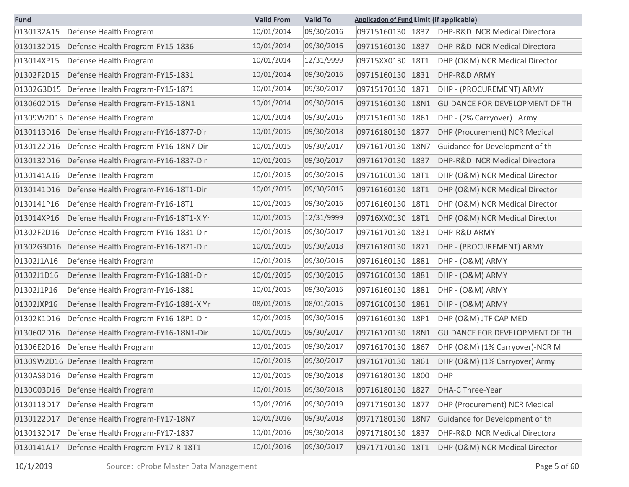| <b>Fund</b> |                                       | <b>Valid From</b> | <b>Valid To</b> | <b>Application of Fund Limit (if applicable)</b> |             |                                       |
|-------------|---------------------------------------|-------------------|-----------------|--------------------------------------------------|-------------|---------------------------------------|
| 0130132A15  | Defense Health Program                | 10/01/2014        | 09/30/2016      | 09715160130 1837                                 |             | DHP-R&D NCR Medical Directora         |
| 0130132D15  | Defense Health Program-FY15-1836      | 10/01/2014        | 09/30/2016      | 09715160130                                      | 1837        | DHP-R&D NCR Medical Directora         |
| 013014XP15  | Defense Health Program                | 10/01/2014        | 12/31/9999      | 09715XX0130                                      | <b>18T1</b> | DHP (O&M) NCR Medical Director        |
| 01302F2D15  | Defense Health Program-FY15-1831      | 10/01/2014        | 09/30/2016      | 09715160130                                      | 1831        | DHP-R&D ARMY                          |
| 01302G3D15  | Defense Health Program-FY15-1871      | 10/01/2014        | 09/30/2017      | 09715170130                                      | 1871        | DHP - (PROCUREMENT) ARMY              |
| 0130602D15  | Defense Health Program-FY15-18N1      | 10/01/2014        | 09/30/2016      | 09715160130                                      | 18N1        | <b>GUIDANCE FOR DEVELOPMENT OF TH</b> |
|             | 01309W2D15 Defense Health Program     | 10/01/2014        | 09/30/2016      | 09715160130                                      | 1861        | DHP - (2% Carryover) Army             |
| 0130113D16  | Defense Health Program-FY16-1877-Dir  | 10/01/2015        | 09/30/2018      | 09716180130                                      | 1877        | DHP (Procurement) NCR Medical         |
| 0130122D16  | Defense Health Program-FY16-18N7-Dir  | 10/01/2015        | 09/30/2017      | 09716170130                                      | 18N7        | Guidance for Development of th        |
| 0130132D16  | Defense Health Program-FY16-1837-Dir  | 10/01/2015        | 09/30/2017      | 09716170130                                      | 1837        | DHP-R&D NCR Medical Directora         |
| 0130141A16  | Defense Health Program                | 10/01/2015        | 09/30/2016      | 09716160130                                      | 18T1        | DHP (O&M) NCR Medical Director        |
| 0130141D16  | Defense Health Program-FY16-18T1-Dir  | 10/01/2015        | 09/30/2016      | 09716160130                                      | <b>18T1</b> | DHP (O&M) NCR Medical Director        |
| 0130141P16  | Defense Health Program-FY16-18T1      | 10/01/2015        | 09/30/2016      | 09716160130                                      | 18T1        | DHP (O&M) NCR Medical Director        |
| 013014XP16  | Defense Health Program-FY16-18T1-X Yr | 10/01/2015        | 12/31/9999      | 09716XX0130                                      | <b>18T1</b> | DHP (O&M) NCR Medical Director        |
| 01302F2D16  | Defense Health Program-FY16-1831-Dir  | 10/01/2015        | 09/30/2017      | 09716170130                                      | 1831        | DHP-R&D ARMY                          |
| 01302G3D16  | Defense Health Program-FY16-1871-Dir  | 10/01/2015        | 09/30/2018      | 09716180130                                      | 1871        | DHP - (PROCUREMENT) ARMY              |
| 01302J1A16  | Defense Health Program                | 10/01/2015        | 09/30/2016      | 09716160130                                      | 1881        | DHP - (O&M) ARMY                      |
| 01302J1D16  | Defense Health Program-FY16-1881-Dir  | 10/01/2015        | 09/30/2016      | 09716160130                                      | 1881        | DHP - (O&M) ARMY                      |
| 01302J1P16  | Defense Health Program-FY16-1881      | 10/01/2015        | 09/30/2016      | 09716160130                                      | 1881        | DHP - (O&M) ARMY                      |
| 01302JXP16  | Defense Health Program-FY16-1881-X Yr | 08/01/2015        | 08/01/2015      | 09716160130                                      | 1881        | DHP - (O&M) ARMY                      |
| 01302K1D16  | Defense Health Program-FY16-18P1-Dir  | 10/01/2015        | 09/30/2016      | 09716160130                                      | 18P1        | DHP (O&M) JTF CAP MED                 |
| 0130602D16  | Defense Health Program-FY16-18N1-Dir  | 10/01/2015        | 09/30/2017      | 09716170130                                      | 18N1        | <b>GUIDANCE FOR DEVELOPMENT OF TH</b> |
| 01306E2D16  | Defense Health Program                | 10/01/2015        | 09/30/2017      | 09716170130                                      | 1867        | DHP (O&M) (1% Carryover)-NCR M        |
|             | 01309W2D16 Defense Health Program     | 10/01/2015        | 09/30/2017      | 09716170130 1861                                 |             | DHP (O&M) (1% Carryover) Army         |
| 0130AS3D16  | Defense Health Program                | 10/01/2015        | 09/30/2018      | 09716180130 1800                                 |             | <b>DHP</b>                            |
| 0130C03D16  | Defense Health Program                | 10/01/2015        | 09/30/2018      | 09716180130 1827                                 |             | DHA-C Three-Year                      |
| 0130113D17  | Defense Health Program                | 10/01/2016        | 09/30/2019      | 09717190130 1877                                 |             | DHP (Procurement) NCR Medical         |
| 0130122D17  | Defense Health Program-FY17-18N7      | 10/01/2016        | 09/30/2018      | 09717180130                                      | 18N7        | Guidance for Development of th        |
| 0130132D17  | Defense Health Program-FY17-1837      | 10/01/2016        | 09/30/2018      | 09717180130 1837                                 |             | DHP-R&D NCR Medical Directora         |
| 0130141A17  | Defense Health Program-FY17-R-18T1    | 10/01/2016        | 09/30/2017      | 09717170130 18T1                                 |             | DHP (O&M) NCR Medical Director        |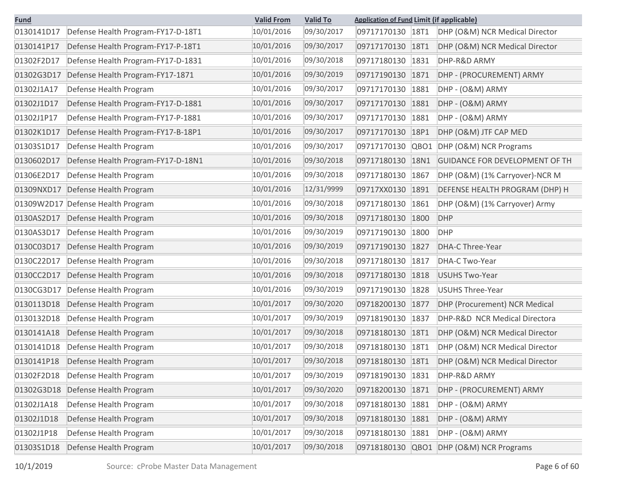| <b>Fund</b> |                                    | <b>Valid From</b> | <b>Valid To</b> | <b>Application of Fund Limit (if applicable)</b> |                                       |
|-------------|------------------------------------|-------------------|-----------------|--------------------------------------------------|---------------------------------------|
| 0130141D17  | Defense Health Program-FY17-D-18T1 | 10/01/2016        | 09/30/2017      | 09717170130<br>18T1                              | DHP (O&M) NCR Medical Director        |
| 0130141P17  | Defense Health Program-FY17-P-18T1 | 10/01/2016        | 09/30/2017      | 09717170130<br><b>18T1</b>                       | DHP (O&M) NCR Medical Director        |
| 01302F2D17  | Defense Health Program-FY17-D-1831 | 10/01/2016        | 09/30/2018      | 09717180130<br>1831                              | DHP-R&D ARMY                          |
| 01302G3D17  | Defense Health Program-FY17-1871   | 10/01/2016        | 09/30/2019      | 09717190130<br>1871                              | DHP - (PROCUREMENT) ARMY              |
| 01302J1A17  | Defense Health Program             | 10/01/2016        | 09/30/2017      | 09717170130<br>1881                              | DHP - (O&M) ARMY                      |
| 01302J1D17  | Defense Health Program-FY17-D-1881 | 10/01/2016        | 09/30/2017      | 09717170130<br>1881                              | DHP - (O&M) ARMY                      |
| 01302J1P17  | Defense Health Program-FY17-P-1881 | 10/01/2016        | 09/30/2017      | 09717170130<br>1881                              | DHP - (O&M) ARMY                      |
| 01302K1D17  | Defense Health Program-FY17-B-18P1 | 10/01/2016        | 09/30/2017      | 09717170130<br>18P1                              | DHP (O&M) JTF CAP MED                 |
| 01303S1D17  | Defense Health Program             | 10/01/2016        | 09/30/2017      | 09717170130<br>QBO1                              | DHP (O&M) NCR Programs                |
| 0130602D17  | Defense Health Program-FY17-D-18N1 | 10/01/2016        | 09/30/2018      | 09717180130<br>18N1                              | <b>GUIDANCE FOR DEVELOPMENT OF TH</b> |
| 01306E2D17  | Defense Health Program             | 10/01/2016        | 09/30/2018      | 09717180130<br>1867                              | DHP (O&M) (1% Carryover)-NCR M        |
| 01309NXD17  | Defense Health Program             | 10/01/2016        | 12/31/9999      | 09717XX0130<br>1891                              | DEFENSE HEALTH PROGRAM (DHP) H        |
|             | 01309W2D17 Defense Health Program  | 10/01/2016        | 09/30/2018      | 09717180130<br>1861                              | DHP (O&M) (1% Carryover) Army         |
| 0130AS2D17  | Defense Health Program             | 10/01/2016        | 09/30/2018      | 09717180130<br>1800                              | <b>DHP</b>                            |
| 0130AS3D17  | Defense Health Program             | 10/01/2016        | 09/30/2019      | 09717190130<br>1800                              | <b>DHP</b>                            |
| 0130C03D17  | Defense Health Program             | 10/01/2016        | 09/30/2019      | 09717190130<br>1827                              | <b>DHA-C Three-Year</b>               |
| 0130C22D17  | Defense Health Program             | 10/01/2016        | 09/30/2018      | 09717180130<br>1817                              | DHA-C Two-Year                        |
| 0130CC2D17  | Defense Health Program             | 10/01/2016        | 09/30/2018      | 09717180130<br>1818                              | <b>USUHS Two-Year</b>                 |
| 0130CG3D17  | Defense Health Program             | 10/01/2016        | 09/30/2019      | 09717190130<br>1828                              | <b>USUHS Three-Year</b>               |
| 0130113D18  | Defense Health Program             | 10/01/2017        | 09/30/2020      | 09718200130<br>1877                              | <b>DHP (Procurement) NCR Medical</b>  |
| 0130132D18  | Defense Health Program             | 10/01/2017        | 09/30/2019      | 09718190130<br>1837                              | DHP-R&D NCR Medical Directora         |
| 0130141A18  | Defense Health Program             | 10/01/2017        | 09/30/2018      | 09718180130<br>18T1                              | DHP (O&M) NCR Medical Director        |
| 0130141D18  | Defense Health Program             | 10/01/2017        | 09/30/2018      | 09718180130<br><b>18T1</b>                       | DHP (O&M) NCR Medical Director        |
| 0130141P18  | Defense Health Program             | 10/01/2017        | 09/30/2018      | 09718180130<br>18T1                              | DHP (O&M) NCR Medical Director        |
| 01302F2D18  | Defense Health Program             | 10/01/2017        | 09/30/2019      | 09718190130 1831                                 | DHP-R&D ARMY                          |
| 01302G3D18  | Defense Health Program             | 10/01/2017        | 09/30/2020      | 09718200130 1871                                 | DHP - (PROCUREMENT) ARMY              |
| 01302J1A18  | Defense Health Program             | 10/01/2017        | 09/30/2018      | 09718180130<br>1881                              | DHP - (O&M) ARMY                      |
| 01302J1D18  | Defense Health Program             | 10/01/2017        | 09/30/2018      | 09718180130<br>1881                              | DHP - (O&M) ARMY                      |
| 01302J1P18  | Defense Health Program             | 10/01/2017        | 09/30/2018      | 09718180130<br>1881                              | DHP - (O&M) ARMY                      |
| 01303S1D18  | Defense Health Program             | 10/01/2017        | 09/30/2018      | 09718180130<br>QBO1                              | DHP (O&M) NCR Programs                |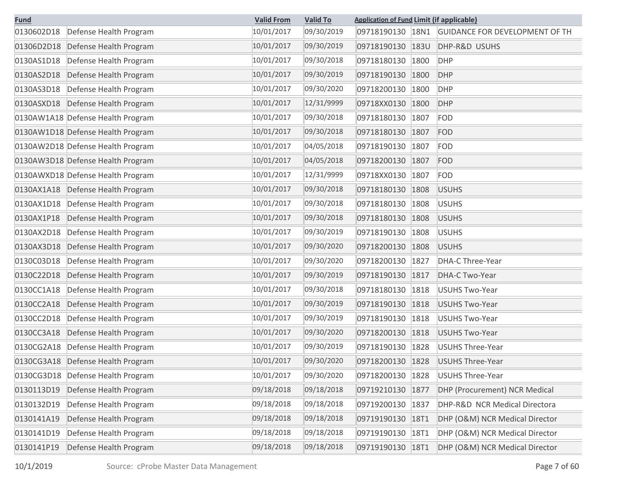| <b>Fund</b>                          | <b>Valid From</b> | <b>Valid To</b> | <b>Application of Fund Limit (if applicable)</b> |                                       |
|--------------------------------------|-------------------|-----------------|--------------------------------------------------|---------------------------------------|
| 0130602D18<br>Defense Health Program | 10/01/2017        | 09/30/2019      | 09718190130<br>18N1                              | <b>GUIDANCE FOR DEVELOPMENT OF TH</b> |
| Defense Health Program<br>01306D2D18 | 10/01/2017        | 09/30/2019      | 09718190130<br>183U                              | DHP-R&D USUHS                         |
| 0130AS1D18<br>Defense Health Program | 10/01/2017        | 09/30/2018      | 09718180130<br>1800                              | <b>DHP</b>                            |
| 0130AS2D18<br>Defense Health Program | 10/01/2017        | 09/30/2019      | 09718190130<br>1800                              | <b>DHP</b>                            |
| 0130AS3D18<br>Defense Health Program | 10/01/2017        | 09/30/2020      | 09718200130<br>1800                              | <b>DHP</b>                            |
| 0130ASXD18<br>Defense Health Program | 10/01/2017        | 12/31/9999      | 09718XX0130<br>1800                              | <b>DHP</b>                            |
| 0130AW1A18 Defense Health Program    | 10/01/2017        | 09/30/2018      | 09718180130<br>1807                              | <b>FOD</b>                            |
| 0130AW1D18 Defense Health Program    | 10/01/2017        | 09/30/2018      | 09718180130<br>1807                              | <b>FOD</b>                            |
| 0130AW2D18 Defense Health Program    | 10/01/2017        | 04/05/2018      | 09718190130<br>1807                              | <b>FOD</b>                            |
| 0130AW3D18 Defense Health Program    | 10/01/2017        | 04/05/2018      | 09718200130<br>1807                              | <b>FOD</b>                            |
| 0130AWXD18 Defense Health Program    | 10/01/2017        | 12/31/9999      | 09718XX0130<br>1807                              | <b>FOD</b>                            |
| 0130AX1A18 Defense Health Program    | 10/01/2017        | 09/30/2018      | 09718180130<br>1808                              | <b>USUHS</b>                          |
| 0130AX1D18<br>Defense Health Program | 10/01/2017        | 09/30/2018      | 09718180130<br>1808                              | <b>USUHS</b>                          |
| 0130AX1P18<br>Defense Health Program | 10/01/2017        | 09/30/2018      | 09718180130<br>1808                              | <b>USUHS</b>                          |
| 0130AX2D18<br>Defense Health Program | 10/01/2017        | 09/30/2019      | 09718190130<br>1808                              | <b>USUHS</b>                          |
| 0130AX3D18<br>Defense Health Program | 10/01/2017        | 09/30/2020      | 09718200130<br>1808                              | <b>USUHS</b>                          |
| 0130C03D18<br>Defense Health Program | 10/01/2017        | 09/30/2020      | 09718200130<br>1827                              | DHA-C Three-Year                      |
| 0130C22D18<br>Defense Health Program | 10/01/2017        | 09/30/2019      | 09718190130<br>1817                              | DHA-C Two-Year                        |
| 0130CC1A18<br>Defense Health Program | 10/01/2017        | 09/30/2018      | 09718180130<br>1818                              | <b>USUHS Two-Year</b>                 |
| 0130CC2A18<br>Defense Health Program | 10/01/2017        | 09/30/2019      | 09718190130<br>1818                              | <b>USUHS Two-Year</b>                 |
| 0130CC2D18<br>Defense Health Program | 10/01/2017        | 09/30/2019      | 09718190130<br>1818                              | <b>USUHS Two-Year</b>                 |
| 0130CC3A18<br>Defense Health Program | 10/01/2017        | 09/30/2020      | 09718200130<br>1818                              | <b>USUHS Two-Year</b>                 |
| 0130CG2A18 Defense Health Program    | 10/01/2017        | 09/30/2019      | 09718190130<br>1828                              | <b>USUHS Three-Year</b>               |
| 0130CG3A18 Defense Health Program    | 10/01/2017        | 09/30/2020      | 09718200130<br>1828                              | <b>USUHS Three-Year</b>               |
| Defense Health Program<br>0130CG3D18 | 10/01/2017        | 09/30/2020      | 09718200130 1828                                 | <b>USUHS Three-Year</b>               |
| 0130113D19<br>Defense Health Program | 09/18/2018        | 09/18/2018      | 1877<br>09719210130                              | DHP (Procurement) NCR Medical         |
| 0130132D19<br>Defense Health Program | 09/18/2018        | 09/18/2018      | 09719200130<br>1837                              | DHP-R&D NCR Medical Directora         |
| 0130141A19<br>Defense Health Program | 09/18/2018        | 09/18/2018      | 09719190130<br>18T1                              | DHP (O&M) NCR Medical Director        |
| 0130141D19<br>Defense Health Program | 09/18/2018        | 09/18/2018      | 09719190130<br><b>18T1</b>                       | DHP (O&M) NCR Medical Director        |
| 0130141P19<br>Defense Health Program | 09/18/2018        | 09/18/2018      | 09719190130 18T1                                 | DHP (O&M) NCR Medical Director        |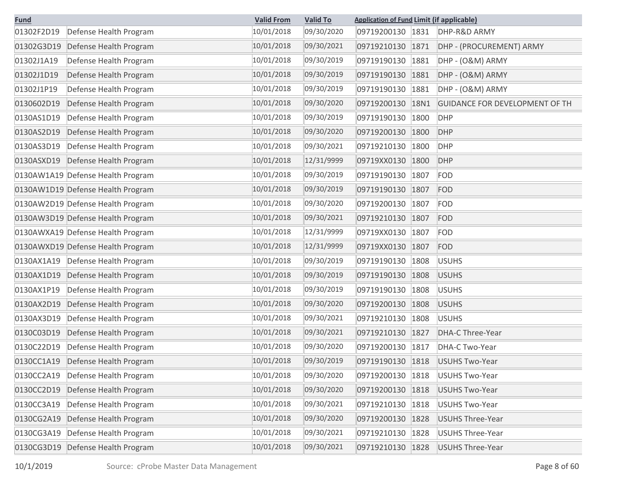| <b>Fund</b>                          | <b>Valid From</b> | <b>Valid To</b> | <b>Application of Fund Limit (if applicable)</b> |                                       |
|--------------------------------------|-------------------|-----------------|--------------------------------------------------|---------------------------------------|
| 01302F2D19<br>Defense Health Program | 10/01/2018        | 09/30/2020      | 09719200130 1831                                 | DHP-R&D ARMY                          |
| 01302G3D19<br>Defense Health Program | 10/01/2018        | 09/30/2021      | 09719210130<br>1871                              | DHP - (PROCUREMENT) ARMY              |
| 01302J1A19<br>Defense Health Program | 10/01/2018        | 09/30/2019      | 09719190130<br>1881                              | DHP - (O&M) ARMY                      |
| 01302J1D19<br>Defense Health Program | 10/01/2018        | 09/30/2019      | 09719190130<br>1881                              | DHP - (O&M) ARMY                      |
| 01302J1P19<br>Defense Health Program | 10/01/2018        | 09/30/2019      | 1881<br>09719190130                              | DHP - (O&M) ARMY                      |
| 0130602D19<br>Defense Health Program | 10/01/2018        | 09/30/2020      | 09719200130<br>18N1                              | <b>GUIDANCE FOR DEVELOPMENT OF TH</b> |
| 0130AS1D19<br>Defense Health Program | 10/01/2018        | 09/30/2019      | 09719190130<br>1800                              | <b>DHP</b>                            |
| 0130AS2D19<br>Defense Health Program | 10/01/2018        | 09/30/2020      | 09719200130<br>1800                              | <b>DHP</b>                            |
| 0130AS3D19<br>Defense Health Program | 10/01/2018        | 09/30/2021      | 09719210130<br>1800                              | <b>DHP</b>                            |
| Defense Health Program<br>0130ASXD19 | 10/01/2018        | 12/31/9999      | 09719XX0130<br>1800                              | <b>DHP</b>                            |
| 0130AW1A19 Defense Health Program    | 10/01/2018        | 09/30/2019      | 09719190130<br>1807                              | <b>FOD</b>                            |
| 0130AW1D19 Defense Health Program    | 10/01/2018        | 09/30/2019      | 09719190130<br>1807                              | FOD                                   |
| 0130AW2D19 Defense Health Program    | 10/01/2018        | 09/30/2020      | 09719200130<br>1807                              | FOD                                   |
| 0130AW3D19 Defense Health Program    | 10/01/2018        | 09/30/2021      | 09719210130<br>1807                              | FOD                                   |
| 0130AWXA19 Defense Health Program    | 10/01/2018        | 12/31/9999      | 09719XX0130<br>1807                              | <b>FOD</b>                            |
| 0130AWXD19 Defense Health Program    | 10/01/2018        | 12/31/9999      | 09719XX0130<br>1807                              | FOD                                   |
| 0130AX1A19<br>Defense Health Program | 10/01/2018        | 09/30/2019      | 09719190130<br>1808                              | <b>USUHS</b>                          |
| 0130AX1D19<br>Defense Health Program | 10/01/2018        | 09/30/2019      | 09719190130<br>1808                              | <b>USUHS</b>                          |
| 0130AX1P19<br>Defense Health Program | 10/01/2018        | 09/30/2019      | 09719190130<br>1808                              | <b>USUHS</b>                          |
| 0130AX2D19<br>Defense Health Program | 10/01/2018        | 09/30/2020      | 09719200130<br>1808                              | <b>USUHS</b>                          |
| 0130AX3D19<br>Defense Health Program | 10/01/2018        | 09/30/2021      | 09719210130<br>1808                              | <b>USUHS</b>                          |
| 0130C03D19<br>Defense Health Program | 10/01/2018        | 09/30/2021      | 09719210130<br>1827                              | <b>DHA-C Three-Year</b>               |
| 0130C22D19<br>Defense Health Program | 10/01/2018        | 09/30/2020      | 09719200130<br>1817                              | DHA-C Two-Year                        |
| 0130CC1A19<br>Defense Health Program | 10/01/2018        | 09/30/2019      | 09719190130<br>1818                              | <b>USUHS Two-Year</b>                 |
| 0130CC2A19<br>Defense Health Program | 10/01/2018        | 09/30/2020      | 09719200130<br>1818                              | <b>USUHS Two-Year</b>                 |
| 0130CC2D19<br>Defense Health Program | 10/01/2018        | 09/30/2020      | 09719200130<br>1818                              | <b>USUHS Two-Year</b>                 |
| Defense Health Program<br>0130CC3A19 | 10/01/2018        | 09/30/2021      | 09719210130<br>1818                              | <b>USUHS Two-Year</b>                 |
| 0130CG2A19<br>Defense Health Program | 10/01/2018        | 09/30/2020      | 09719200130<br>1828                              | <b>USUHS Three-Year</b>               |
| 0130CG3A19<br>Defense Health Program | 10/01/2018        | 09/30/2021      | 09719210130<br>1828                              | <b>USUHS Three-Year</b>               |
| 0130CG3D19<br>Defense Health Program | 10/01/2018        | 09/30/2021      | 09719210130 1828                                 | <b>USUHS Three-Year</b>               |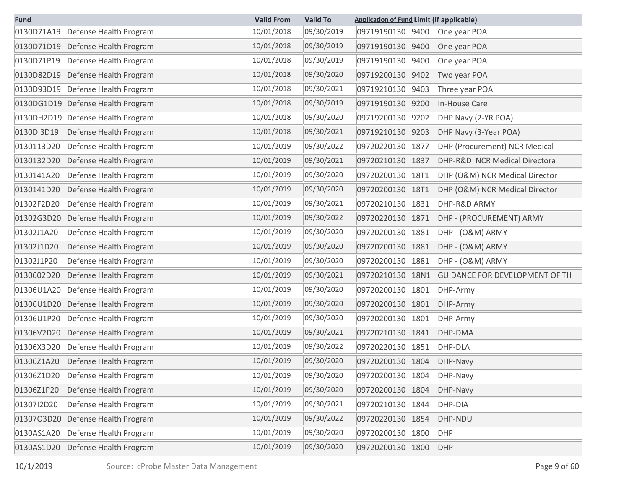| <b>Fund</b> |                                   | <b>Valid From</b> | <b>Valid To</b> | <b>Application of Fund Limit (if applicable)</b> |             |                                       |
|-------------|-----------------------------------|-------------------|-----------------|--------------------------------------------------|-------------|---------------------------------------|
| 0130D71A19  | Defense Health Program            | 10/01/2018        | 09/30/2019      | 09719190130 9400                                 |             | One year POA                          |
| 0130D71D19  | Defense Health Program            | 10/01/2018        | 09/30/2019      | 09719190130 9400                                 |             | One year POA                          |
| 0130D71P19  | Defense Health Program            | 10/01/2018        | 09/30/2019      | 09719190130                                      | 9400        | One year POA                          |
| 0130D82D19  | Defense Health Program            | 10/01/2018        | 09/30/2020      | 09719200130                                      | 9402        | Two year POA                          |
| 0130D93D19  | Defense Health Program            | 10/01/2018        | 09/30/2021      | 09719210130                                      | 9403        | Three year POA                        |
|             | 0130DG1D19 Defense Health Program | 10/01/2018        | 09/30/2019      | 09719190130 9200                                 |             | In-House Care                         |
| 0130DH2D19  | Defense Health Program            | 10/01/2018        | 09/30/2020      | 09719200130                                      | 9202        | DHP Navy (2-YR POA)                   |
| 0130DI3D19  | Defense Health Program            | 10/01/2018        | 09/30/2021      | 09719210130 9203                                 |             | DHP Navy (3-Year POA)                 |
| 0130113D20  | Defense Health Program            | 10/01/2019        | 09/30/2022      | 09720220130                                      | 1877        | DHP (Procurement) NCR Medical         |
| 0130132D20  | Defense Health Program            | 10/01/2019        | 09/30/2021      | 09720210130                                      | 1837        | DHP-R&D NCR Medical Directora         |
| 0130141A20  | Defense Health Program            | 10/01/2019        | 09/30/2020      | 09720200130                                      | <b>18T1</b> | DHP (O&M) NCR Medical Director        |
| 0130141D20  | Defense Health Program            | 10/01/2019        | 09/30/2020      | 09720200130                                      | 18T1        | DHP (O&M) NCR Medical Director        |
| 01302F2D20  | Defense Health Program            | 10/01/2019        | 09/30/2021      | 09720210130                                      | 1831        | DHP-R&D ARMY                          |
| 01302G3D20  | Defense Health Program            | 10/01/2019        | 09/30/2022      | 09720220130                                      | 1871        | DHP - (PROCUREMENT) ARMY              |
| 01302J1A20  | Defense Health Program            | 10/01/2019        | 09/30/2020      | 09720200130                                      | 1881        | DHP - (O&M) ARMY                      |
| 01302J1D20  | Defense Health Program            | 10/01/2019        | 09/30/2020      | 09720200130                                      | 1881        | DHP - (O&M) ARMY                      |
| 01302J1P20  | Defense Health Program            | 10/01/2019        | 09/30/2020      | 09720200130                                      | 1881        | DHP - (O&M) ARMY                      |
| 0130602D20  | Defense Health Program            | 10/01/2019        | 09/30/2021      | 09720210130                                      | 18N1        | <b>GUIDANCE FOR DEVELOPMENT OF TH</b> |
| 01306U1A20  | Defense Health Program            | 10/01/2019        | 09/30/2020      | 09720200130                                      | 1801        | DHP-Army                              |
| 01306U1D20  | Defense Health Program            | 10/01/2019        | 09/30/2020      | 09720200130                                      | 1801        | DHP-Army                              |
| 01306U1P20  | Defense Health Program            | 10/01/2019        | 09/30/2020      | 09720200130                                      | 1801        | DHP-Army                              |
| 01306V2D20  | Defense Health Program            | 10/01/2019        | 09/30/2021      | 09720210130                                      | 1841        | DHP-DMA                               |
| 01306X3D20  | Defense Health Program            | 10/01/2019        | 09/30/2022      | 09720220130                                      | 1851        | DHP-DLA                               |
| 01306Z1A20  | Defense Health Program            | 10/01/2019        | 09/30/2020      | 09720200130                                      | 1804        | DHP-Navy                              |
| 01306Z1D20  | Defense Health Program            | 10/01/2019        | 09/30/2020      | 09720200130                                      | 1804        | DHP-Navy                              |
| 01306Z1P20  | Defense Health Program            | 10/01/2019        | 09/30/2020      | 09720200130                                      | 1804        | DHP-Navy                              |
| 01307I2D20  | Defense Health Program            | 10/01/2019        | 09/30/2021      | 09720210130                                      | 1844        | DHP-DIA                               |
| 01307O3D20  | Defense Health Program            | 10/01/2019        | 09/30/2022      | 09720220130                                      | 1854        | DHP-NDU                               |
| 0130AS1A20  | Defense Health Program            | 10/01/2019        | 09/30/2020      | 09720200130                                      | 1800        | <b>DHP</b>                            |
| 0130AS1D20  | Defense Health Program            | 10/01/2019        | 09/30/2020      | 09720200130 1800                                 |             | DHP                                   |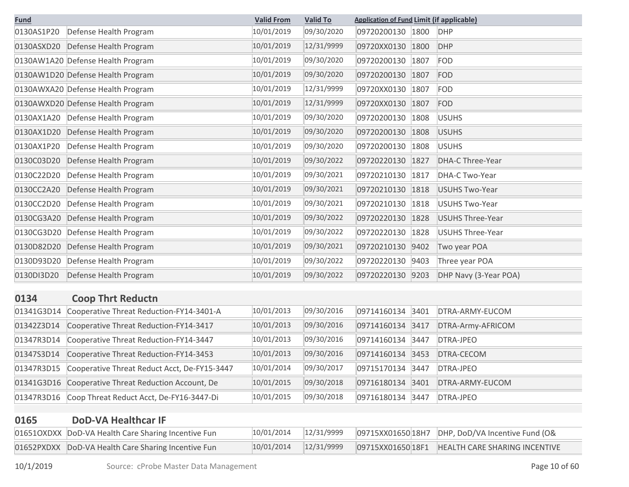| <b>Fund</b> |                                              | <b>Valid From</b> | <b>Valid To</b> | <b>Application of Fund Limit (if applicable)</b> |      |                         |
|-------------|----------------------------------------------|-------------------|-----------------|--------------------------------------------------|------|-------------------------|
| 0130AS1P20  | Defense Health Program                       | 10/01/2019        | 09/30/2020      | 09720200130 1800                                 |      | <b>DHP</b>              |
| 0130ASXD20  | Defense Health Program                       | 10/01/2019        | 12/31/9999      | 09720XX0130 1800                                 |      | <b>DHP</b>              |
|             | 0130AW1A20 Defense Health Program            | 10/01/2019        | 09/30/2020      | 09720200130                                      | 1807 | <b>FOD</b>              |
|             | 0130AW1D20 Defense Health Program            | 10/01/2019        | 09/30/2020      | 09720200130                                      | 1807 | FOD                     |
|             | 0130AWXA20 Defense Health Program            | 10/01/2019        | 12/31/9999      | 09720XX0130                                      | 1807 | <b>FOD</b>              |
|             | 0130AWXD20 Defense Health Program            | 10/01/2019        | 12/31/9999      | 09720XX0130                                      | 1807 | <b>FOD</b>              |
| 0130AX1A20  | Defense Health Program                       | 10/01/2019        | 09/30/2020      | 09720200130                                      | 1808 | <b>USUHS</b>            |
| 0130AX1D20  | Defense Health Program                       | 10/01/2019        | 09/30/2020      | 09720200130                                      | 1808 | <b>USUHS</b>            |
| 0130AX1P20  | Defense Health Program                       | 10/01/2019        | 09/30/2020      | 09720200130                                      | 1808 | <b>USUHS</b>            |
| 0130C03D20  | Defense Health Program                       | 10/01/2019        | 09/30/2022      | 09720220130                                      | 1827 | <b>DHA-C Three-Year</b> |
| 0130C22D20  | Defense Health Program                       | 10/01/2019        | 09/30/2021      | 09720210130                                      | 1817 | DHA-C Two-Year          |
| 0130CC2A20  | Defense Health Program                       | 10/01/2019        | 09/30/2021      | 09720210130                                      | 1818 | <b>USUHS Two-Year</b>   |
| 0130CC2D20  | Defense Health Program                       | 10/01/2019        | 09/30/2021      | 09720210130                                      | 1818 | <b>USUHS Two-Year</b>   |
| 0130CG3A20  | Defense Health Program                       | 10/01/2019        | 09/30/2022      | 09720220130                                      | 1828 | <b>USUHS Three-Year</b> |
| 0130CG3D20  | Defense Health Program                       | 10/01/2019        | 09/30/2022      | 09720220130                                      | 1828 | USUHS Three-Year        |
| 0130D82D20  | Defense Health Program                       | 10/01/2019        | 09/30/2021      | 09720210130                                      | 9402 | Two year POA            |
| 0130D93D20  | Defense Health Program                       | 10/01/2019        | 09/30/2022      | 09720220130                                      | 9403 | Three year POA          |
| 0130DI3D20  | Defense Health Program                       | 10/01/2019        | 09/30/2022      | 09720220130                                      | 9203 | DHP Navy (3-Year POA)   |
| 0134        | <b>Coop Thrt Reductn</b>                     |                   |                 |                                                  |      |                         |
| 01341G3D14  | Cooperative Threat Reduction-FY14-3401-A     | 10/01/2013        | 09/30/2016      | 09714160134                                      | 3401 | DTRA-ARMY-EUCOM         |
| 01342Z3D14  | Cooperative Threat Reduction-FY14-3417       | 10/01/2013        | 09/30/2016      | 09714160134                                      | 3417 | DTRA-Army-AFRICOM       |
| 01347R3D14  | Cooperative Threat Reduction-FY14-3447       | 10/01/2013        | 09/30/2016      | 09714160134                                      | 3447 | DTRA-JPEO               |
| 01347S3D14  | Cooperative Threat Reduction-FY14-3453       | 10/01/2013        | 09/30/2016      | 09714160134                                      | 3453 | DTRA-CECOM              |
| 01347R3D15  | Cooperative Threat Reduct Acct, De-FY15-3447 | 10/01/2014        | 09/30/2017      | 09715170134                                      | 3447 | DTRA-JPEO               |

| 01347 NSD13   COOPETALIVE THEAT NEQUEL ACCI, DE-FITD-3447 | 10/01/2017 |            | $ U3/LJ1/U134 344/L U1NA-JFLU$ |                                  |
|-----------------------------------------------------------|------------|------------|--------------------------------|----------------------------------|
| 01341G3D16 Cooperative Threat Reduction Account, De       | 10/01/2015 | 09/30/2018 |                                | 09716180134 3401 DTRA-ARMY-EUCOM |
| 01347R3D16 Coop Threat Reduct Acct, De-FY16-3447-Di       | 10/01/2015 | 09/30/2018 | 09716180134 3447 DTRA-JPEO     |                                  |
|                                                           |            |            |                                |                                  |

## **0165 DoD-VA Healthcar IF**

| ------ |                                                     |            |  |  |
|--------|-----------------------------------------------------|------------|--|--|
|        | 01651OXDXX DoD-VA Health Care Sharing Incentive Fun | 10/01/2014 |  |  |
|        | 01652PXDXX DoD-VA Health Care Sharing Incentive Fun | 10/01/2014 |  |  |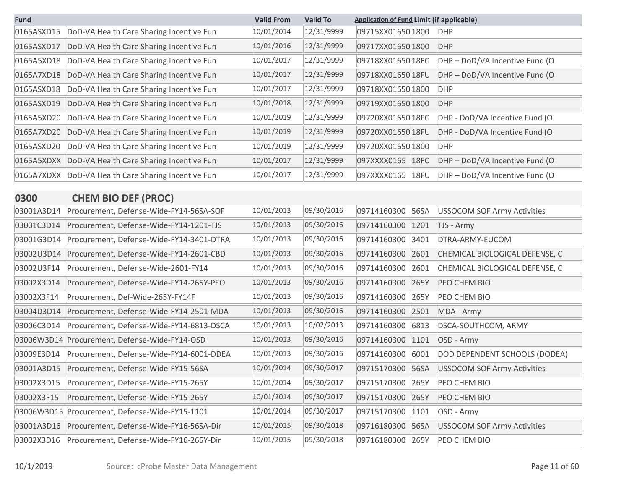| <b>Fund</b> |                                          | <b>Valid From</b> | <b>Valid To</b> | <b>Application of Fund Limit (if applicable)</b> |                                |
|-------------|------------------------------------------|-------------------|-----------------|--------------------------------------------------|--------------------------------|
| 0165ASXD15  | DoD-VA Health Care Sharing Incentive Fun | 10/01/2014        | 12/31/9999      | 09715XX01650 1800                                | <b>DHP</b>                     |
| 0165ASXD17  | DoD-VA Health Care Sharing Incentive Fun | 10/01/2016        | 12/31/9999      | 09717XX01650 1800                                | <b>DHP</b>                     |
| 0165A5XD18  | DoD-VA Health Care Sharing Incentive Fun | 10/01/2017        | 12/31/9999      | 09718XX01650 18FC                                | DHP - DoD/VA Incentive Fund (O |
| 0165A7XD18  | DoD-VA Health Care Sharing Incentive Fun | 10/01/2017        | 12/31/9999      | 09718XX01650 18FU                                | DHP - DoD/VA Incentive Fund (O |
| 0165ASXD18  | DoD-VA Health Care Sharing Incentive Fun | 10/01/2017        | 12/31/9999      | 09718XX01650 1800                                | <b>DHP</b>                     |
| 0165ASXD19  | DoD-VA Health Care Sharing Incentive Fun | 10/01/2018        | 12/31/9999      | 09719XX01650 1800                                | <b>DHP</b>                     |
| 0165A5XD20  | DoD-VA Health Care Sharing Incentive Fun | 10/01/2019        | 12/31/9999      | 09720XX01650 18FC                                | DHP - DoD/VA Incentive Fund (O |
| 0165A7XD20  | DoD-VA Health Care Sharing Incentive Fun | 10/01/2019        | 12/31/9999      | 09720XX01650 18FU                                | DHP - DoD/VA Incentive Fund (O |
| 0165ASXD20  | DoD-VA Health Care Sharing Incentive Fun | 10/01/2019        | 12/31/9999      | 09720XX01650 1800                                | <b>DHP</b>                     |
| 0165A5XDXX  | DoD-VA Health Care Sharing Incentive Fun | 10/01/2017        | 12/31/9999      | 097XXXX0165<br>18FC                              | DHP - DoD/VA Incentive Fund (O |
| 0165A7XDXX  | DoD-VA Health Care Sharing Incentive Fun | 10/01/2017        | 12/31/9999      | 097XXXX0165<br>18FU                              | DHP - DoD/VA Incentive Fund (O |

| <b>CHEM BIO DEF (PROC)</b><br>0300 |  |
|------------------------------------|--|
|------------------------------------|--|

| 03001A3D14 | Procurement, Defense-Wide-FY14-56SA-SOF  | 10/01/2013 | 09/30/2016 | 09714160300 | 56SA | <b>USSOCOM SOF Army Activities</b> |
|------------|------------------------------------------|------------|------------|-------------|------|------------------------------------|
| 03001C3D14 | Procurement, Defense-Wide-FY14-1201-TJS  | 10/01/2013 | 09/30/2016 | 09714160300 | 1201 | TJS - Army                         |
| 03001G3D14 | Procurement, Defense-Wide-FY14-3401-DTRA | 10/01/2013 | 09/30/2016 | 09714160300 | 3401 | DTRA-ARMY-EUCOM                    |
| 03002U3D14 | Procurement, Defense-Wide-FY14-2601-CBD  | 10/01/2013 | 09/30/2016 | 09714160300 | 2601 | CHEMICAL BIOLOGICAL DEFENSE, C     |
| 03002U3F14 | Procurement, Defense-Wide-2601-FY14      | 10/01/2013 | 09/30/2016 | 09714160300 | 2601 | CHEMICAL BIOLOGICAL DEFENSE, C     |
| 03002X3D14 | Procurement, Defense-Wide-FY14-265Y-PEO  | 10/01/2013 | 09/30/2016 | 09714160300 | 265Y | PEO CHEM BIO                       |
| 03002X3F14 | Procurement, Def-Wide-265Y-FY14F         | 10/01/2013 | 09/30/2016 | 09714160300 | 265Y | PEO CHEM BIO                       |
| 03004D3D14 | Procurement, Defense-Wide-FY14-2501-MDA  | 10/01/2013 | 09/30/2016 | 09714160300 | 2501 | MDA - Army                         |
| 03006C3D14 | Procurement, Defense-Wide-FY14-6813-DSCA | 10/01/2013 | 10/02/2013 | 09714160300 | 6813 | DSCA-SOUTHCOM, ARMY                |
| 03006W3D14 | Procurement, Defense-Wide-FY14-OSD       | 10/01/2013 | 09/30/2016 | 09714160300 | 1101 | OSD - Army                         |
| 03009E3D14 | Procurement, Defense-Wide-FY14-6001-DDEA | 10/01/2013 | 09/30/2016 | 09714160300 | 6001 | DOD DEPENDENT SCHOOLS (DODEA)      |
| 03001A3D15 | Procurement, Defense-Wide-FY15-56SA      | 10/01/2014 | 09/30/2017 | 09715170300 | 56SA | <b>USSOCOM SOF Army Activities</b> |
| 03002X3D15 | Procurement, Defense-Wide-FY15-265Y      | 10/01/2014 | 09/30/2017 | 09715170300 | 265Y | PEO CHEM BIO                       |
| 03002X3F15 | Procurement, Defense-Wide-FY15-265Y      | 10/01/2014 | 09/30/2017 | 09715170300 | 265Y | PEO CHEM BIO                       |
| 03006W3D15 | Procurement, Defense-Wide-FY15-1101      | 10/01/2014 | 09/30/2017 | 09715170300 | 1101 | OSD - Army                         |
| 03001A3D16 | Procurement, Defense-Wide-FY16-56SA-Dir  | 10/01/2015 | 09/30/2018 | 09716180300 | 56SA | <b>USSOCOM SOF Army Activities</b> |
| 03002X3D16 | Procurement, Defense-Wide-FY16-265Y-Dir  | 10/01/2015 | 09/30/2018 | 09716180300 | 265Y | PEO CHEM BIO                       |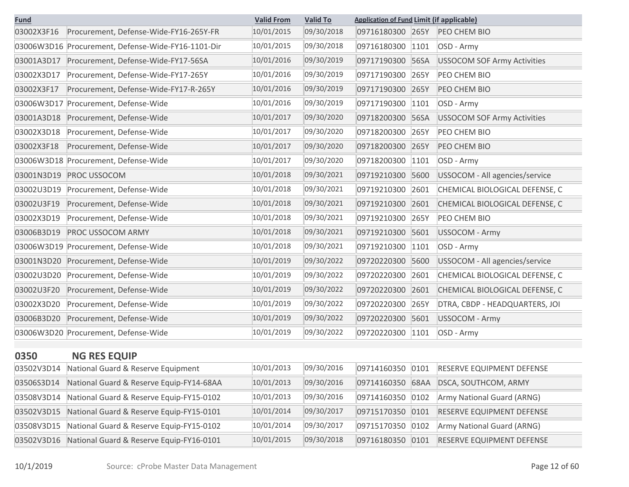| <b>Fund</b> |                                                    | <b>Valid From</b> | <b>Valid To</b> | <b>Application of Fund Limit (if applicable)</b> |      |                                            |
|-------------|----------------------------------------------------|-------------------|-----------------|--------------------------------------------------|------|--------------------------------------------|
| 03002X3F16  | Procurement, Defense-Wide-FY16-265Y-FR             | 10/01/2015        | 09/30/2018      | 09716180300 265Y                                 |      | PEO CHEM BIO                               |
|             | 03006W3D16 Procurement, Defense-Wide-FY16-1101-Dir | 10/01/2015        | 09/30/2018      | 09716180300                                      | 1101 | OSD - Army                                 |
| 03001A3D17  | Procurement, Defense-Wide-FY17-56SA                | 10/01/2016        | 09/30/2019      | 09717190300                                      | 56SA | <b>USSOCOM SOF Army Activities</b>         |
| 03002X3D17  | Procurement, Defense-Wide-FY17-265Y                | 10/01/2016        | 09/30/2019      | 09717190300                                      | 265Y | PEO CHEM BIO                               |
| 03002X3F17  | Procurement, Defense-Wide-FY17-R-265Y              | 10/01/2016        | 09/30/2019      | 09717190300                                      | 265Y | PEO CHEM BIO                               |
|             | 03006W3D17 Procurement, Defense-Wide               | 10/01/2016        | 09/30/2019      | 09717190300                                      | 1101 | OSD - Army                                 |
| 03001A3D18  | Procurement, Defense-Wide                          | 10/01/2017        | 09/30/2020      | 09718200300                                      | 56SA | <b>USSOCOM SOF Army Activities</b>         |
| 03002X3D18  | Procurement, Defense-Wide                          | 10/01/2017        | 09/30/2020      | 09718200300                                      | 265Y | PEO CHEM BIO                               |
| 03002X3F18  | Procurement, Defense-Wide                          | 10/01/2017        | 09/30/2020      | 09718200300                                      | 265Y | PEO CHEM BIO                               |
|             | 03006W3D18 Procurement, Defense-Wide               | 10/01/2017        | 09/30/2020      | 09718200300                                      | 1101 | OSD - Army                                 |
| 03001N3D19  | PROC USSOCOM                                       | 10/01/2018        | 09/30/2021      | 09719210300                                      | 5600 | USSOCOM - All agencies/service             |
| 03002U3D19  | Procurement, Defense-Wide                          | 10/01/2018        | 09/30/2021      | 09719210300                                      | 2601 | CHEMICAL BIOLOGICAL DEFENSE, C             |
| 03002U3F19  | Procurement, Defense-Wide                          | 10/01/2018        | 09/30/2021      | 09719210300                                      | 2601 | CHEMICAL BIOLOGICAL DEFENSE, C             |
| 03002X3D19  | Procurement, Defense-Wide                          | 10/01/2018        | 09/30/2021      | 09719210300                                      | 265Y | PEO CHEM BIO                               |
| 03006B3D19  | <b>PROC USSOCOM ARMY</b>                           | 10/01/2018        | 09/30/2021      | 09719210300                                      | 5601 | <b>USSOCOM - Army</b>                      |
|             | 03006W3D19 Procurement, Defense-Wide               | 10/01/2018        | 09/30/2021      | 09719210300                                      | 1101 | OSD - Army                                 |
| 03001N3D20  | Procurement, Defense-Wide                          | 10/01/2019        | 09/30/2022      | 09720220300                                      | 5600 | USSOCOM - All agencies/service             |
| 03002U3D20  | Procurement, Defense-Wide                          | 10/01/2019        | 09/30/2022      | 09720220300                                      | 2601 | CHEMICAL BIOLOGICAL DEFENSE, C             |
| 03002U3F20  | Procurement, Defense-Wide                          | 10/01/2019        | 09/30/2022      | 09720220300                                      | 2601 | CHEMICAL BIOLOGICAL DEFENSE, C             |
| 03002X3D20  | Procurement, Defense-Wide                          | 10/01/2019        | 09/30/2022      | 09720220300                                      | 265Y | DTRA, CBDP - HEADQUARTERS, JOI             |
| 03006B3D20  | Procurement, Defense-Wide                          | 10/01/2019        | 09/30/2022      | 09720220300                                      | 5601 | <b>USSOCOM - Army</b>                      |
|             | 03006W3D20 Procurement, Defense-Wide               | 10/01/2019        | 09/30/2022      | 09720220300                                      | 1101 | OSD - Army                                 |
|             |                                                    |                   |                 |                                                  |      |                                            |
| 0350        | <b>NG RES EQUIP</b>                                |                   |                 |                                                  |      |                                            |
|             | 03502V3D14 National Guard & Reserve Equipment      | 10/01/2013        | 09/30/2016      |                                                  |      | 09714160350 0101 RESERVE EQUIPMENT DEFENSE |
| 03506S3D14  | National Guard & Reserve Equip-FY14-68AA           | 10/01/2013        | 09/30/2016      | 09714160350                                      | 68AA | DSCA, SOUTHCOM, ARMY                       |
| 03508V3D14  | National Guard & Reserve Equip-FY15-0102           | 10/01/2013        | 09/30/2016      | 09714160350                                      | 0102 | Army National Guard (ARNG)                 |
| 03502V3D15  | National Guard & Reserve Equip-FY15-0101           | 10/01/2014        | 09/30/2017      | 09715170350                                      | 0101 | <b>RESERVE EQUIPMENT DEFENSE</b>           |
| 03508V3D15  | National Guard & Reserve Equip-FY15-0102           | 10/01/2014        | 09/30/2017      | 09715170350                                      | 0102 | Army National Guard (ARNG)                 |
| 03502V3D16  | National Guard & Reserve Equip-FY16-0101           | 10/01/2015        | 09/30/2018      | 09716180350 0101                                 |      | <b>RESERVE EQUIPMENT DEFENSE</b>           |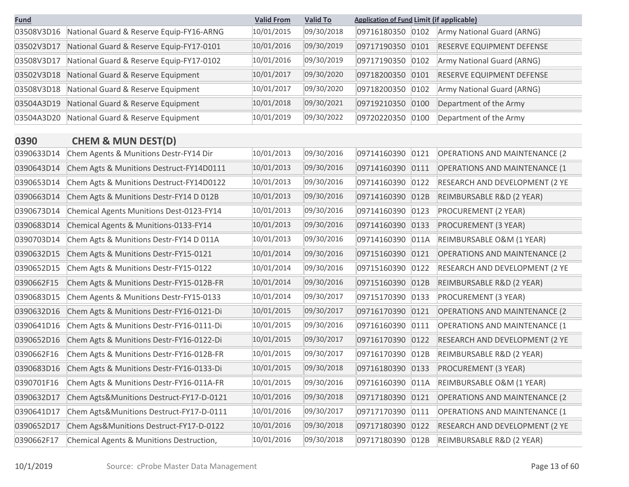| <b>Fund</b> |                                          | <b>Valid From</b> | <b>Valid To</b> | <b>Application of Fund Limit (if applicable)</b> |      |                                      |
|-------------|------------------------------------------|-------------------|-----------------|--------------------------------------------------|------|--------------------------------------|
| 03508V3D16  | National Guard & Reserve Equip-FY16-ARNG | 10/01/2015        | 09/30/2018      | 09716180350                                      | 0102 | Army National Guard (ARNG)           |
| 03502V3D17  | National Guard & Reserve Equip-FY17-0101 | 10/01/2016        | 09/30/2019      | 09717190350                                      | 0101 | RESERVE EQUIPMENT DEFENSE            |
| 03508V3D17  | National Guard & Reserve Equip-FY17-0102 | 10/01/2016        | 09/30/2019      | 09717190350                                      | 0102 | Army National Guard (ARNG)           |
| 03502V3D18  | National Guard & Reserve Equipment       | 10/01/2017        | 09/30/2020      | 09718200350                                      | 0101 | RESERVE EQUIPMENT DEFENSE            |
| 03508V3D18  | National Guard & Reserve Equipment       | 10/01/2017        | 09/30/2020      | 09718200350                                      | 0102 | Army National Guard (ARNG)           |
| 03504A3D19  | National Guard & Reserve Equipment       | 10/01/2018        | 09/30/2021      | 09719210350                                      | 0100 | Department of the Army               |
| 03504A3D20  | National Guard & Reserve Equipment       | 10/01/2019        | 09/30/2022      | 09720220350                                      | 0100 | Department of the Army               |
| 0390        | <b>CHEM &amp; MUN DEST(D)</b>            |                   |                 |                                                  |      |                                      |
| 0390633D14  | Chem Agents & Munitions Destr-FY14 Dir   | 10/01/2013        | 09/30/2016      | 09714160390                                      | 0121 | <b>OPERATIONS AND MAINTENANCE (2</b> |
| 0390643D14  | Chem Agts & Munitions Destruct-FY14D0111 | 10/01/2013        | 09/30/2016      | 09714160390                                      | 0111 | <b>OPERATIONS AND MAINTENANCE (1</b> |
| 0390653D14  | Chem Agts & Munitions Destruct-FY14D0122 | 10/01/2013        | 09/30/2016      | 09714160390                                      | 0122 | RESEARCH AND DEVELOPMENT (2 YE       |
| 0390663D14  | Chem Agts & Munitions Destr-FY14 D 012B  | 10/01/2013        | 09/30/2016      | 09714160390                                      | 012B | REIMBURSABLE R&D (2 YEAR)            |
| 0390673D14  | Chemical Agents Munitions Dest-0123-FY14 | 10/01/2013        | 09/30/2016      | 09714160390                                      | 0123 | PROCUREMENT (2 YEAR)                 |
| 0390683D14  | Chemical Agents & Munitions-0133-FY14    | 10/01/2013        | 09/30/2016      | 09714160390                                      | 0133 | PROCUREMENT (3 YEAR)                 |
| 0390703D14  | Chem Agts & Munitions Destr-FY14 D 011A  | 10/01/2013        | 09/30/2016      | 09714160390                                      | 011A | REIMBURSABLE O&M (1 YEAR)            |
| 0390632D15  | Chem Agts & Munitions Destr-FY15-0121    | 10/01/2014        | 09/30/2016      | 09715160390                                      | 0121 | <b>OPERATIONS AND MAINTENANCE (2</b> |
| 0390652D15  | Chem Agts & Munitions Destr-FY15-0122    | 10/01/2014        | 09/30/2016      | 09715160390                                      | 0122 | RESEARCH AND DEVELOPMENT (2 YE       |
| 0390662F15  | Chem Agts & Munitions Destr-FY15-012B-FR | 10/01/2014        | 09/30/2016      | 09715160390                                      | 012B | REIMBURSABLE R&D (2 YEAR)            |
| 0390683D15  | Chem Agents & Munitions Destr-FY15-0133  | 10/01/2014        | 09/30/2017      | 09715170390                                      | 0133 | PROCUREMENT (3 YEAR)                 |
| 0390632D16  | Chem Agts & Munitions Destr-FY16-0121-Di | 10/01/2015        | 09/30/2017      | 09716170390                                      | 0121 | <b>OPERATIONS AND MAINTENANCE (2</b> |
| 0390641D16  | Chem Agts & Munitions Destr-FY16-0111-Di | 10/01/2015        | 09/30/2016      | 09716160390                                      | 0111 | <b>OPERATIONS AND MAINTENANCE (1</b> |
| 0390652D16  | Chem Agts & Munitions Destr-FY16-0122-Di | 10/01/2015        | 09/30/2017      | 09716170390                                      | 0122 | RESEARCH AND DEVELOPMENT (2 YE       |
| 0390662F16  | Chem Agts & Munitions Destr-FY16-012B-FR | 10/01/2015        | 09/30/2017      | 09716170390                                      | 012B | REIMBURSABLE R&D (2 YEAR)            |
| 0390683D16  | Chem Agts & Munitions Destr-FY16-0133-Di | 10/01/2015        | 09/30/2018      | 09716180390 0133                                 |      | <b>PROCUREMENT (3 YEAR)</b>          |
| 0390701F16  | Chem Agts & Munitions Destr-FY16-011A-FR | 10/01/2015        | 09/30/2016      | 09716160390 011A                                 |      | REIMBURSABLE O&M (1 YEAR)            |
| 0390632D17  | Chem Agts&Munitions Destruct-FY17-D-0121 | 10/01/2016        | 09/30/2018      | 09717180390 0121                                 |      | <b>OPERATIONS AND MAINTENANCE (2</b> |
| 0390641D17  | Chem Agts&Munitions Destruct-FY17-D-0111 | 10/01/2016        | 09/30/2017      | 09717170390                                      | 0111 | <b>OPERATIONS AND MAINTENANCE (1</b> |
| 0390652D17  | Chem Ags&Munitions Destruct-FY17-D-0122  | 10/01/2016        | 09/30/2018      | 09717180390 0122                                 |      | RESEARCH AND DEVELOPMENT (2 YE       |
| 0390662F17  | Chemical Agents & Munitions Destruction, | 10/01/2016        | 09/30/2018      | 09717180390 012B                                 |      | REIMBURSABLE R&D (2 YEAR)            |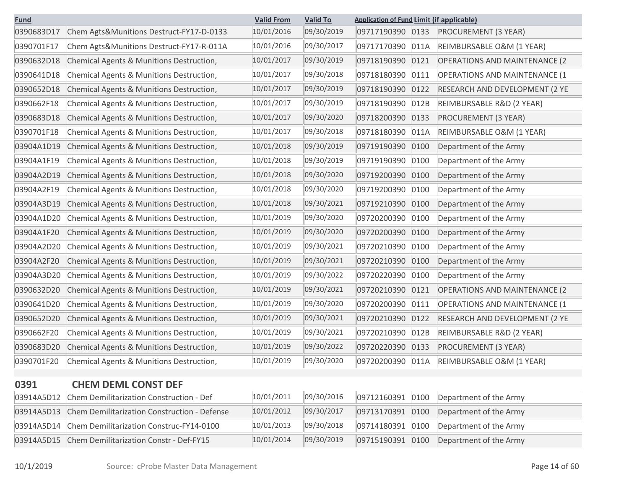| <b>Fund</b> |                                                                        | <b>Valid From</b> | <b>Valid To</b> | <b>Application of Fund Limit (if applicable)</b> |      |                                      |
|-------------|------------------------------------------------------------------------|-------------------|-----------------|--------------------------------------------------|------|--------------------------------------|
| 0390683D17  | Chem Agts&Munitions Destruct-FY17-D-0133                               | 10/01/2016        | 09/30/2019      | 09717190390 0133                                 |      | PROCUREMENT (3 YEAR)                 |
| 0390701F17  | Chem Agts&Munitions Destruct-FY17-R-011A                               | 10/01/2016        | 09/30/2017      | 09717170390                                      | 011A | REIMBURSABLE O&M (1 YEAR)            |
| 0390632D18  | Chemical Agents & Munitions Destruction,                               | 10/01/2017        | 09/30/2019      | 09718190390                                      | 0121 | <b>OPERATIONS AND MAINTENANCE (2</b> |
| 0390641D18  | Chemical Agents & Munitions Destruction,                               | 10/01/2017        | 09/30/2018      | 09718180390                                      | 0111 | <b>OPERATIONS AND MAINTENANCE (1</b> |
| 0390652D18  | Chemical Agents & Munitions Destruction,                               | 10/01/2017        | 09/30/2019      | 09718190390                                      | 0122 | RESEARCH AND DEVELOPMENT (2 YE       |
| 0390662F18  | Chemical Agents & Munitions Destruction,                               | 10/01/2017        | 09/30/2019      | 09718190390                                      | 012B | REIMBURSABLE R&D (2 YEAR)            |
| 0390683D18  | Chemical Agents & Munitions Destruction,                               | 10/01/2017        | 09/30/2020      | 09718200390                                      | 0133 | PROCUREMENT (3 YEAR)                 |
| 0390701F18  | Chemical Agents & Munitions Destruction,                               | 10/01/2017        | 09/30/2018      | 09718180390                                      | 011A | REIMBURSABLE O&M (1 YEAR)            |
| 03904A1D19  | Chemical Agents & Munitions Destruction,                               | 10/01/2018        | 09/30/2019      | 09719190390                                      | 0100 | Department of the Army               |
| 03904A1F19  | Chemical Agents & Munitions Destruction,                               | 10/01/2018        | 09/30/2019      | 09719190390                                      | 0100 | Department of the Army               |
| 03904A2D19  | Chemical Agents & Munitions Destruction,                               | 10/01/2018        | 09/30/2020      | 09719200390                                      | 0100 | Department of the Army               |
| 03904A2F19  | Chemical Agents & Munitions Destruction,                               | 10/01/2018        | 09/30/2020      | 09719200390                                      | 0100 | Department of the Army               |
| 03904A3D19  | Chemical Agents & Munitions Destruction,                               | 10/01/2018        | 09/30/2021      | 09719210390                                      | 0100 | Department of the Army               |
| 03904A1D20  | Chemical Agents & Munitions Destruction,                               | 10/01/2019        | 09/30/2020      | 09720200390                                      | 0100 | Department of the Army               |
| 03904A1F20  | Chemical Agents & Munitions Destruction,                               | 10/01/2019        | 09/30/2020      | 09720200390                                      | 0100 | Department of the Army               |
| 03904A2D20  | Chemical Agents & Munitions Destruction,                               | 10/01/2019        | 09/30/2021      | 09720210390                                      | 0100 | Department of the Army               |
| 03904A2F20  | Chemical Agents & Munitions Destruction,                               | 10/01/2019        | 09/30/2021      | 09720210390                                      | 0100 | Department of the Army               |
| 03904A3D20  | Chemical Agents & Munitions Destruction,                               | 10/01/2019        | 09/30/2022      | 09720220390                                      | 0100 | Department of the Army               |
| 0390632D20  | Chemical Agents & Munitions Destruction,                               | 10/01/2019        | 09/30/2021      | 09720210390                                      | 0121 | <b>OPERATIONS AND MAINTENANCE (2</b> |
| 0390641D20  | Chemical Agents & Munitions Destruction,                               | 10/01/2019        | 09/30/2020      | 09720200390                                      | 0111 | <b>OPERATIONS AND MAINTENANCE (1</b> |
| 0390652D20  | Chemical Agents & Munitions Destruction,                               | 10/01/2019        | 09/30/2021      | 09720210390                                      | 0122 | RESEARCH AND DEVELOPMENT (2 YE       |
| 0390662F20  | Chemical Agents & Munitions Destruction,                               | 10/01/2019        | 09/30/2021      | 09720210390                                      | 012B | REIMBURSABLE R&D (2 YEAR)            |
| 0390683D20  | Chemical Agents & Munitions Destruction,                               | 10/01/2019        | 09/30/2022      | 09720220390                                      | 0133 | PROCUREMENT (3 YEAR)                 |
| 0390701F20  | Chemical Agents & Munitions Destruction,                               | 10/01/2019        | 09/30/2020      | 09720200390                                      | 011A | REIMBURSABLE O&M (1 YEAR)            |
|             |                                                                        |                   |                 |                                                  |      |                                      |
| 0391        | <b>CHEM DEML CONST DEF</b><br>Chem Demilitarization Construction - Def | 10/01/2011        | 09/30/2016      | 09712160391                                      |      |                                      |
| 03914A5D12  | Chem Demilitarization Construction - Defense                           | 10/01/2012        | 09/30/2017      |                                                  | 0100 | Department of the Army               |
| 03914A5D13  |                                                                        |                   |                 | 09713170391                                      | 0100 | Department of the Army               |
| 03914A5D14  | Chem Demilitarization Construc-FY14-0100                               | 10/01/2013        | 09/30/2018      | 09714180391                                      | 0100 | Department of the Army               |
| 03914A5D15  | Chem Demilitarization Constr - Def-FY15                                | 10/01/2014        | 09/30/2019      | 09715190391 0100                                 |      | Department of the Army               |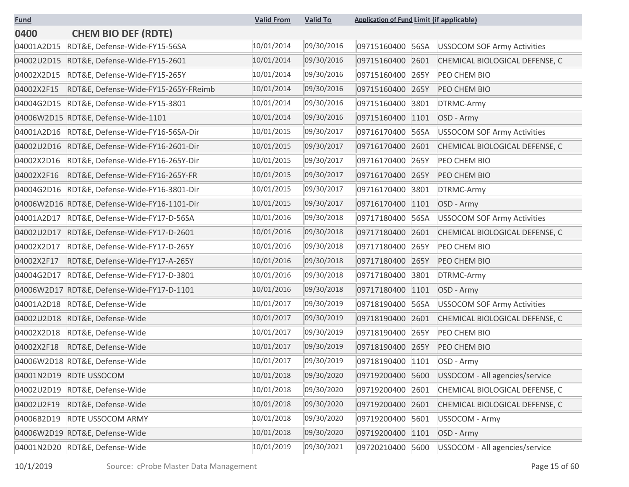| <b>Fund</b> |                                              | <b>Valid From</b> | <b>Valid To</b> | <b>Application of Fund Limit (if applicable)</b> |                                    |
|-------------|----------------------------------------------|-------------------|-----------------|--------------------------------------------------|------------------------------------|
| 0400        | <b>CHEM BIO DEF (RDTE)</b>                   |                   |                 |                                                  |                                    |
| 04001A2D15  | RDT&E, Defense-Wide-FY15-56SA                | 10/01/2014        | 09/30/2016      | 09715160400<br>56SA                              | <b>USSOCOM SOF Army Activities</b> |
| 04002U2D15  | RDT&E, Defense-Wide-FY15-2601                | 10/01/2014        | 09/30/2016      | 09715160400<br>2601                              | CHEMICAL BIOLOGICAL DEFENSE, C     |
| 04002X2D15  | RDT&E, Defense-Wide-FY15-265Y                | 10/01/2014        | 09/30/2016      | 09715160400<br>265Y                              | PEO CHEM BIO                       |
| 04002X2F15  | RDT&E, Defense-Wide-FY15-265Y-FReimb         | 10/01/2014        | 09/30/2016      | 09715160400<br>265Y                              | PEO CHEM BIO                       |
| 04004G2D15  | RDT&E, Defense-Wide-FY15-3801                | 10/01/2014        | 09/30/2016      | 09715160400<br>3801                              | DTRMC-Army                         |
| 04006W2D15  | RDT&E, Defense-Wide-1101                     | 10/01/2014        | 09/30/2016      | 09715160400<br>1101                              | OSD - Army                         |
| 04001A2D16  | RDT&E, Defense-Wide-FY16-56SA-Dir            | 10/01/2015        | 09/30/2017      | 09716170400<br>56SA                              | <b>USSOCOM SOF Army Activities</b> |
| 04002U2D16  | RDT&E, Defense-Wide-FY16-2601-Dir            | 10/01/2015        | 09/30/2017      | 09716170400<br>2601                              | CHEMICAL BIOLOGICAL DEFENSE, C     |
| 04002X2D16  | RDT&E, Defense-Wide-FY16-265Y-Dir            | 10/01/2015        | 09/30/2017      | 265Y<br>09716170400                              | PEO CHEM BIO                       |
| 04002X2F16  | RDT&E, Defense-Wide-FY16-265Y-FR             | 10/01/2015        | 09/30/2017      | 09716170400<br>265Y                              | PEO CHEM BIO                       |
| 04004G2D16  | RDT&E, Defense-Wide-FY16-3801-Dir            | 10/01/2015        | 09/30/2017      | 09716170400<br>3801                              | DTRMC-Army                         |
|             | 04006W2D16 RDT&E, Defense-Wide-FY16-1101-Dir | 10/01/2015        | 09/30/2017      | 09716170400<br>1101                              | OSD - Army                         |
| 04001A2D17  | RDT&E, Defense-Wide-FY17-D-56SA              | 10/01/2016        | 09/30/2018      | 09717180400<br>56SA                              | <b>USSOCOM SOF Army Activities</b> |
| 04002U2D17  | RDT&E, Defense-Wide-FY17-D-2601              | 10/01/2016        | 09/30/2018      | 09717180400<br>2601                              | CHEMICAL BIOLOGICAL DEFENSE, C     |
| 04002X2D17  | RDT&E, Defense-Wide-FY17-D-265Y              | 10/01/2016        | 09/30/2018      | 09717180400<br>265Y                              | PEO CHEM BIO                       |
| 04002X2F17  | RDT&E, Defense-Wide-FY17-A-265Y              | 10/01/2016        | 09/30/2018      | 09717180400<br>265Y                              | PEO CHEM BIO                       |
| 04004G2D17  | RDT&E, Defense-Wide-FY17-D-3801              | 10/01/2016        | 09/30/2018      | 09717180400<br>3801                              | DTRMC-Army                         |
| 04006W2D17  | RDT&E, Defense-Wide-FY17-D-1101              | 10/01/2016        | 09/30/2018      | 09717180400<br>1101                              | OSD - Army                         |
| 04001A2D18  | RDT&E, Defense-Wide                          | 10/01/2017        | 09/30/2019      | 09718190400<br>56SA                              | <b>USSOCOM SOF Army Activities</b> |
| 04002U2D18  | RDT&E, Defense-Wide                          | 10/01/2017        | 09/30/2019      | 09718190400<br>2601                              | CHEMICAL BIOLOGICAL DEFENSE, C     |
| 04002X2D18  | RDT&E, Defense-Wide                          | 10/01/2017        | 09/30/2019      | 09718190400<br>265Y                              | PEO CHEM BIO                       |
| 04002X2F18  | RDT&E, Defense-Wide                          | 10/01/2017        | 09/30/2019      | 09718190400<br>265Y                              | PEO CHEM BIO                       |
|             | 04006W2D18 RDT&E, Defense-Wide               | 10/01/2017        | 09/30/2019      | 09718190400<br>1101                              | OSD - Army                         |
| 04001N2D19  | RDTE USSOCOM                                 | 10/01/2018        | 09/30/2020      | 09719200400<br>5600                              | USSOCOM - All agencies/service     |
| 04002U2D19  | RDT&E, Defense-Wide                          | 10/01/2018        | 09/30/2020      | 09719200400<br>2601                              | CHEMICAL BIOLOGICAL DEFENSE, C     |
| 04002U2F19  | RDT&E, Defense-Wide                          | 10/01/2018        | 09/30/2020      | 09719200400<br>2601                              | CHEMICAL BIOLOGICAL DEFENSE, C     |
| 04006B2D19  | RDTE USSOCOM ARMY                            | 10/01/2018        | 09/30/2020      | 09719200400<br>5601                              | <b>USSOCOM - Army</b>              |
|             | 04006W2D19 RDT&E, Defense-Wide               | 10/01/2018        | 09/30/2020      | 09719200400<br>1101                              | OSD - Army                         |
| 04001N2D20  | RDT&E, Defense-Wide                          | 10/01/2019        | 09/30/2021      | 09720210400 5600                                 | USSOCOM - All agencies/service     |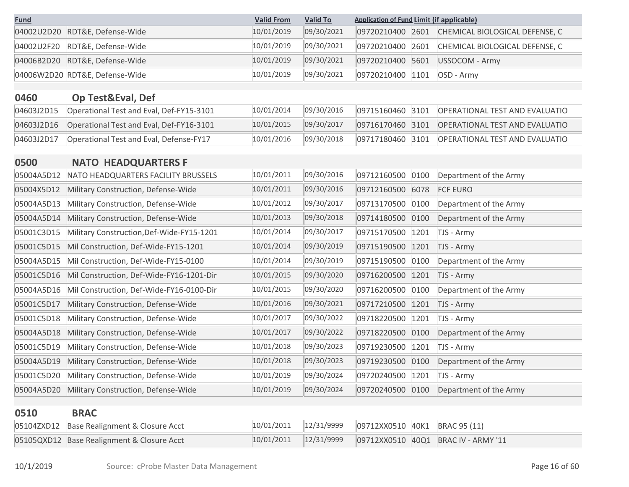| <b>Fund</b> |                                | <b>Valid From</b> | <b>Valid To</b> | <b>Application of Fund Limit (if applicable)</b> |                                                 |
|-------------|--------------------------------|-------------------|-----------------|--------------------------------------------------|-------------------------------------------------|
|             | 04002U2D20 RDT&E, Defense-Wide | 10/01/2019        | 09/30/2021      |                                                  | 09720210400 2601 CHEMICAL BIOLOGICAL DEFENSE, C |
|             | 04002U2F20 RDT&E, Defense-Wide | 10/01/2019        | 09/30/2021      |                                                  | 09720210400 2601 CHEMICAL BIOLOGICAL DEFENSE, C |
|             | 04006B2D20 RDT&E, Defense-Wide | 10/01/2019        | 09/30/2021      | 09720210400 5601                                 | USSOCOM - Army                                  |
|             | 04006W2D20 RDT&E, Defense-Wide | 10/01/2019        | 09/30/2021      | 09720210400 1101                                 | OSD - Army                                      |

#### **0460 Op Test&Eval, Def**

**0500 NATO HEADQUARTERS F**

| 04603J2D15 | Operational Test and Eval, Def-FY15-3101 | 10/01/2014 | 09/30/2016 |  | 09715160460 3101 OPERATIONAL TEST AND EVALUATIO |
|------------|------------------------------------------|------------|------------|--|-------------------------------------------------|
| 04603J2D16 | Operational Test and Eval, Def-FY16-3101 | 10/01/2015 | 09/30/2017 |  | 09716170460 3101 OPERATIONAL TEST AND EVALUATIO |
| 04603J2D17 | Operational Test and Eval, Defense-FY17  | 10/01/2016 | 09/30/2018 |  | 09717180460 3101 OPERATIONAL TEST AND EVALUATIO |

# 05004A5D12 NATO HEADQUARTERS FACILITY BRUSSELS 10/01/2011 09/30/2016 09712160500 0100 Department of the Army 05004X5D12 Military Construction, Defense-Wide 10/01/2011 09/30/2016 09712160500 6078 FCF EURO 05004A5D13 Military Construction, Defense-Wide 10/01/2012 09/30/2017 09713170500 0100 Department of the Army 05004A5D14 Military Construction, Defense-Wide 10/01/2013 09/30/2018 09714180500 0100 Department of the Army 05001C3D15 Military Construction,Def-Wide-FY15-1201 10/01/2014 09/30/2017 09715170500 1201 TJS - Army 05001C5D15 Mil Construction, Def-Wide-FY15-1201 10/01/2014 09/30/2019 09715190500 1201 TJS - Army 05004A5D15 Mil Construction, Def-Wide-FY15-0100 10/01/2014 09/30/2019 09715190500 0100 Department of the Army 05001C5D16 Mil Construction, Def-Wide-FY16-1201-Dir 10/01/2015 09/30/2020 09716200500 1201 TJS - Army 05004A5D16 Mil Construction, Def-Wide-FY16-0100-Dir 10/01/2015 09/30/2020 09716200500 0100 Department of the Army 05001C5D17 Military Construction, Defense-Wide 10/01/2016 09/30/2021 09717210500 1201 TJS - Army 05001C5D18 Military Construction, Defense-Wide 10/01/2017 09/30/2022 09718220500 1201 TJS - Army 05004A5D18 Military Construction, Defense-Wide 10/01/2017 09/30/2022 09718220500 0100 Department of the Army 05001C5D19 Military Construction, Defense-Wide 10/01/2018 09/30/2023 09719230500 1201 TJS - Army 05004A5D19 Military Construction, Defense-Wide 10/01/2018 09/30/2023 09719230500 0100 Department of the Army 05001C5D20 Military Construction, Defense-Wide 10/01/2019 09/30/2024 09720240500 1201 TJS - Army 05004A5D20 Military Construction, Defense-Wide 10/01/2019 09/30/2024 09720240500 0100 Department of the Army

#### **0510 BRAC**

| 05104ZXD12 Base Realignment & Closure Acct |  |  |                                                               |
|--------------------------------------------|--|--|---------------------------------------------------------------|
| 05105QXD12 Base Realignment & Closure Acct |  |  | 10/01/2011  12/31/9999  09712XX0510  40Q1  BRAC IV - ARMY '11 |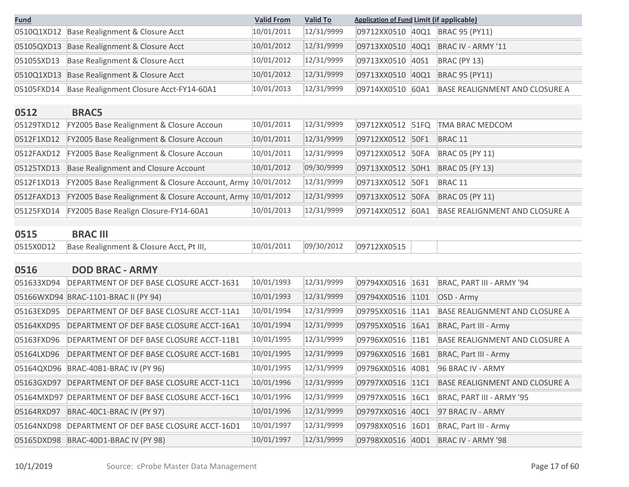| <b>Fund</b> |                                                            | <b>Valid From</b> | <b>Valid To</b> | <b>Application of Fund Limit (if applicable)</b> |      |                                       |
|-------------|------------------------------------------------------------|-------------------|-----------------|--------------------------------------------------|------|---------------------------------------|
| 0510Q1XD12  | Base Realignment & Closure Acct                            | 10/01/2011        | 12/31/9999      | 09712XX0510                                      | 40Q1 | <b>BRAC 95 (PY11)</b>                 |
| 05105QXD13  | Base Realignment & Closure Acct                            | 10/01/2012        | 12/31/9999      | 09713XX0510                                      | 40Q1 | BRAC IV - ARMY '11                    |
| 05105SXD13  | Base Realignment & Closure Acct                            | 10/01/2012        | 12/31/9999      | 09713XX0510                                      | 40S1 | BRAC (PY 13)                          |
| 0510Q1XD13  | Base Realignment & Closure Acct                            | 10/01/2012        | 12/31/9999      | 09713XX0510                                      | 40Q1 | <b>BRAC 95 (PY11)</b>                 |
| 05105FXD14  | Base Realignment Closure Acct-FY14-60A1                    | 10/01/2013        | 12/31/9999      | 09714XX0510                                      | 60A1 | <b>BASE REALIGNMENT AND CLOSURE A</b> |
| 0512        | <b>BRAC5</b>                                               |                   |                 |                                                  |      |                                       |
| 05129TXD12  | FY2005 Base Realignment & Closure Accoun                   | 10/01/2011        | 12/31/9999      | 09712XX0512 51FQ                                 |      | TMA BRAC MEDCOM                       |
| 0512F1XD12  | FY2005 Base Realignment & Closure Accoun                   | 10/01/2011        | 12/31/9999      | 09712XX0512 50F1                                 |      | BRAC <sub>11</sub>                    |
| 0512FAXD12  | FY2005 Base Realignment & Closure Accoun                   | 10/01/2011        | 12/31/9999      | 09712XX0512                                      | 50FA | <b>BRAC 05 (PY 11)</b>                |
| 05125TXD13  | <b>Base Realignment and Closure Account</b>                | 10/01/2012        | 09/30/9999      | 09713XX0512 50H1                                 |      | <b>BRAC 05 (FY 13)</b>                |
| 0512F1XD13  | FY2005 Base Realignment & Closure Account, Army 10/01/2012 |                   | 12/31/9999      | 09713XX0512 50F1                                 |      | BRAC <sub>11</sub>                    |
| 0512FAXD13  | FY2005 Base Realignment & Closure Account, Army 10/01/2012 |                   | 12/31/9999      | 09713XX0512 50FA                                 |      | <b>BRAC 05 (PY 11)</b>                |
| 05125FXD14  | FY2005 Base Realign Closure-FY14-60A1                      | 10/01/2013        | 12/31/9999      | 09714XX0512                                      | 60A1 | <b>BASE REALIGNMENT AND CLOSURE A</b> |
|             |                                                            |                   |                 |                                                  |      |                                       |
| 0515        | <b>BRAC III</b>                                            |                   |                 |                                                  |      |                                       |
| 0515X0D12   | Base Realignment & Closure Acct, Pt III,                   | 10/01/2011        | 09/30/2012      | 09712XX0515                                      |      |                                       |
| 0516        | <b>DOD BRAC - ARMY</b>                                     |                   |                 |                                                  |      |                                       |
| 051633XD94  | DEPARTMENT OF DEF BASE CLOSURE ACCT-1631                   | 10/01/1993        | 12/31/9999      | 09794XX0516                                      | 1631 | BRAC, PART III - ARMY '94             |
| 05166WXD94  | BRAC-1101-BRAC II (PY 94)                                  | 10/01/1993        | 12/31/9999      | 09794XX0516                                      | 1101 | OSD - Army                            |
| 05163EXD95  | DEPARTMENT OF DEF BASE CLOSURE ACCT-11A1                   | 10/01/1994        | 12/31/9999      | 09795XX0516 11A1                                 |      | BASE REALIGNMENT AND CLOSURE A        |
| 05164KXD95  | DEPARTMENT OF DEF BASE CLOSURE ACCT-16A1                   | 10/01/1994        | 12/31/9999      | 09795XX0516                                      | 16A1 | <b>BRAC, Part III - Army</b>          |
| 05163FXD96  | DEPARTMENT OF DEF BASE CLOSURE ACCT-11B1                   | 10/01/1995        | 12/31/9999      | 09796XX0516 11B1                                 |      | <b>BASE REALIGNMENT AND CLOSURE A</b> |
| 05164LXD96  | DEPARTMENT OF DEF BASE CLOSURE ACCT-16B1                   | 10/01/1995        | 12/31/9999      | 09796XX0516                                      | 16B1 | BRAC, Part III - Army                 |
|             | 05164QXD96 BRAC-40B1-BRAC IV (PY 96)                       | 10/01/1995        | 12/31/9999      |                                                  |      | 09796XX0516 40B1 96 BRAC IV - ARMY    |
|             | 05163GXD97   DEPARTMENT OF DEF BASE CLOSURE ACCT-11C1      | 10/01/1996        | 12/31/9999      | 09797XX0516 11C1                                 |      | BASE REALIGNMENT AND CLOSURE A        |
|             | 05164MXD97 DEPARTMENT OF DEF BASE CLOSURE ACCT-16C1        | 10/01/1996        | 12/31/9999      | 09797XX0516 16C1                                 |      | BRAC, PART III - ARMY '95             |
| 05164RXD97  | BRAC-40C1-BRAC IV (PY 97)                                  | 10/01/1996        | 12/31/9999      | 09797XX0516 40C1                                 |      | 97 BRAC IV - ARMY                     |
|             |                                                            | 10/01/1997        | 12/31/9999      |                                                  |      |                                       |
|             | 05164NXD98 DEPARTMENT OF DEF BASE CLOSURE ACCT-16D1        |                   |                 | 09798XX0516 16D1                                 |      | <b>BRAC, Part III - Army</b>          |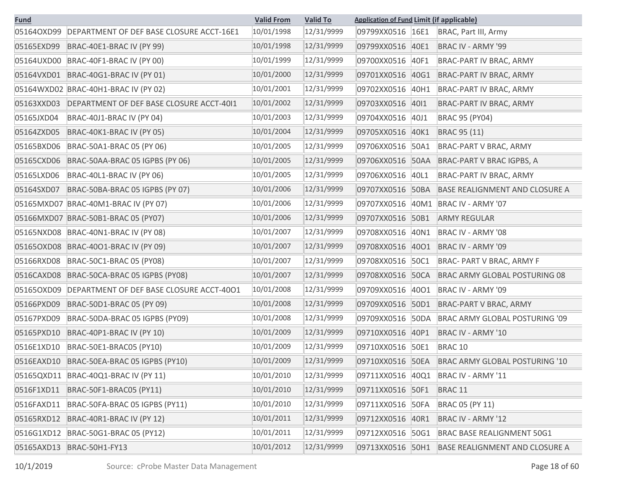| <u>Fund</u> |                                          | <b>Valid From</b> | <b>Valid To</b> | <b>Application of Fund Limit (if applicable)</b> |                                       |
|-------------|------------------------------------------|-------------------|-----------------|--------------------------------------------------|---------------------------------------|
| 05164OXD99  | DEPARTMENT OF DEF BASE CLOSURE ACCT-16E1 | 10/01/1998        | 12/31/9999      | 09799XX0516 16E1                                 | BRAC, Part III, Army                  |
| 05165EXD99  | BRAC-40E1-BRAC IV (PY 99)                | 10/01/1998        | 12/31/9999      | 09799XX0516<br>40E1                              | BRAC IV - ARMY '99                    |
| 05164UXD00  | BRAC-40F1-BRAC IV (PY 00)                | 10/01/1999        | 12/31/9999      | 09700XX0516<br>40F1                              | BRAC-PART IV BRAC, ARMY               |
| 05164VXD01  | BRAC-40G1-BRAC IV (PY 01)                | 10/01/2000        | 12/31/9999      | 09701XX0516<br>40G1                              | BRAC-PART IV BRAC, ARMY               |
|             | 05164WXD02 BRAC-40H1-BRAC IV (PY 02)     | 10/01/2001        | 12/31/9999      | 09702XX0516<br>40H1                              | BRAC-PART IV BRAC, ARMY               |
| 05163XXD03  | DEPARTMENT OF DEF BASE CLOSURE ACCT-4011 | 10/01/2002        | 12/31/9999      | 09703XX0516<br>4011                              | BRAC-PART IV BRAC, ARMY               |
| 05165JXD04  | BRAC-40J1-BRAC IV (PY 04)                | 10/01/2003        | 12/31/9999      | 09704XX0516<br>40J1                              | <b>BRAC 95 (PY04)</b>                 |
| 05164ZXD05  | BRAC-40K1-BRAC IV (PY 05)                | 10/01/2004        | 12/31/9999      | 09705XX0516<br>40K1                              | <b>BRAC 95 (11)</b>                   |
| 05165BXD06  | BRAC-50A1-BRAC 05 (PY 06)                | 10/01/2005        | 12/31/9999      | 09706XX0516<br>50A1                              | BRAC-PART V BRAC, ARMY                |
| 05165CXD06  | BRAC-50AA-BRAC 05 IGPBS (PY 06)          | 10/01/2005        | 12/31/9999      | 09706XX0516 50AA                                 | BRAC-PART V BRAC IGPBS, A             |
| 05165LXD06  | BRAC-40L1-BRAC IV (PY 06)                | 10/01/2005        | 12/31/9999      | 40L1<br>09706XX0516                              | BRAC-PART IV BRAC, ARMY               |
| 05164SXD07  | BRAC-50BA-BRAC 05 IGPBS (PY 07)          | 10/01/2006        | 12/31/9999      | 09707XX0516 50BA                                 | <b>BASE REALIGNMENT AND CLOSURE A</b> |
|             | 05165MXD07 BRAC-40M1-BRAC IV (PY 07)     | 10/01/2006        | 12/31/9999      | 09707XX0516<br>40M1                              | BRAC IV - ARMY '07                    |
|             | 05166MXD07 BRAC-50B1-BRAC 05 (PY07)      | 10/01/2006        | 12/31/9999      | 09707XX0516 50B1                                 | <b>ARMY REGULAR</b>                   |
| 05165NXD08  | BRAC-40N1-BRAC IV (PY 08)                | 10/01/2007        | 12/31/9999      | 09708XX0516<br>40N1                              | BRAC IV - ARMY '08                    |
|             | 051650XD08 BRAC-4001-BRAC IV (PY 09)     | 10/01/2007        | 12/31/9999      | 09708XX0516<br>4001                              | BRAC IV - ARMY '09                    |
| 05166RXD08  | BRAC-50C1-BRAC 05 (PY08)                 | 10/01/2007        | 12/31/9999      | 09708XX0516<br>50C1                              | BRAC- PART V BRAC, ARMY F             |
| 0516CAXD08  | BRAC-50CA-BRAC 05 IGPBS (PY08)           | 10/01/2007        | 12/31/9999      | 09708XX0516 50CA                                 | BRAC ARMY GLOBAL POSTURING 08         |
| 051650XD09  | DEPARTMENT OF DEF BASE CLOSURE ACCT-4001 | 10/01/2008        | 12/31/9999      | 09709XX0516<br>4001                              | BRAC IV - ARMY '09                    |
| 05166PXD09  | BRAC-50D1-BRAC 05 (PY 09)                | 10/01/2008        | 12/31/9999      | 09709XX0516 50D1                                 | BRAC-PART V BRAC, ARMY                |
| 05167PXD09  | BRAC-50DA-BRAC 05 IGPBS (PY09)           | 10/01/2008        | 12/31/9999      | 09709XX0516<br>50DA                              | BRAC ARMY GLOBAL POSTURING '09        |
| 05165PXD10  | BRAC-40P1-BRAC IV (PY 10)                | 10/01/2009        | 12/31/9999      | 09710XX0516<br>40P1                              | BRAC IV - ARMY '10                    |
| 0516E1XD10  | BRAC-50E1-BRAC05 (PY10)                  | 10/01/2009        | 12/31/9999      | 09710XX0516<br>50E1                              | BRAC <sub>10</sub>                    |
| 0516EAXD10  | BRAC-50EA-BRAC 05 IGPBS (PY10)           | 10/01/2009        | 12/31/9999      | 09710XX0516 50EA                                 | BRAC ARMY GLOBAL POSTURING '10        |
|             | 05165QXD11 BRAC-40Q1-BRAC IV (PY 11)     | 10/01/2010        | 12/31/9999      | 09711XX0516 40Q1                                 | BRAC IV - ARMY '11                    |
| 0516F1XD11  | BRAC-50F1-BRAC05 (PY11)                  | 10/01/2010        | 12/31/9999      | 09711XX0516 50F1                                 | BRAC <sub>11</sub>                    |
| 0516FAXD11  | BRAC-50FA-BRAC 05 IGPBS (PY11)           | 10/01/2010        | 12/31/9999      | 09711XX0516 50FA                                 | BRAC 05 (PY 11)                       |
| 05165RXD12  | BRAC-40R1-BRAC IV (PY 12)                | 10/01/2011        | 12/31/9999      | 09712XX0516<br>40R1                              | BRAC IV - ARMY '12                    |
|             | 0516G1XD12 BRAC-50G1-BRAC 05 (PY12)      | 10/01/2011        | 12/31/9999      | 09712XX0516 50G1                                 | <b>BRAC BASE REALIGNMENT 50G1</b>     |
| 05165AXD13  | BRAC-50H1-FY13                           | 10/01/2012        | 12/31/9999      | 09713XX0516 50H1                                 | <b>BASE REALIGNMENT AND CLOSURE A</b> |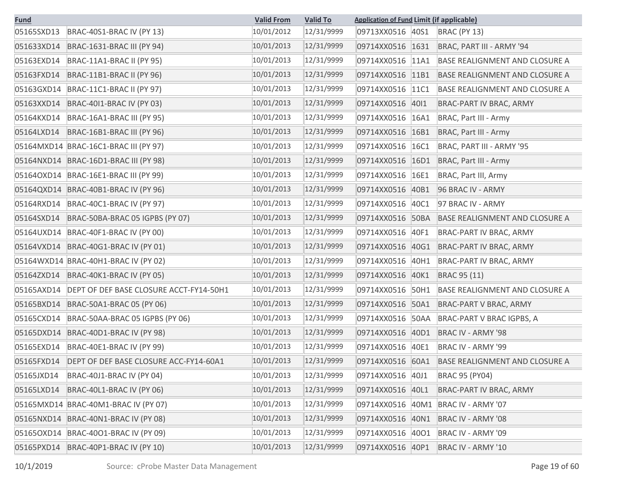| <b>Fund</b> |                                         | <b>Valid From</b> | <b>Valid To</b> | <b>Application of Fund Limit (if applicable)</b> |                                       |
|-------------|-----------------------------------------|-------------------|-----------------|--------------------------------------------------|---------------------------------------|
| 05165SXD13  | BRAC-40S1-BRAC IV (PY 13)               | 10/01/2012        | 12/31/9999      | 09713XX0516<br>40S1                              | <b>BRAC (PY 13)</b>                   |
| 051633XD14  | BRAC-1631-BRAC III (PY 94)              | 10/01/2013        | 12/31/9999      | 09714XX0516<br>1631                              | BRAC, PART III - ARMY '94             |
| 05163EXD14  | BRAC-11A1-BRAC II (PY 95)               | 10/01/2013        | 12/31/9999      | 09714XX0516<br>11A1                              | BASE REALIGNMENT AND CLOSURE A        |
| 05163FXD14  | BRAC-11B1-BRAC II (PY 96)               | 10/01/2013        | 12/31/9999      | 09714XX0516<br>11B1                              | BASE REALIGNMENT AND CLOSURE A        |
| 05163GXD14  | BRAC-11C1-BRAC II (PY 97)               | 10/01/2013        | 12/31/9999      | 09714XX0516<br><b>11C1</b>                       | BASE REALIGNMENT AND CLOSURE A        |
| 05163XXD14  | BRAC-4011-BRAC IV (PY 03)               | 10/01/2013        | 12/31/9999      | 09714XX0516<br>4011                              | BRAC-PART IV BRAC, ARMY               |
| 05164KXD14  | BRAC-16A1-BRAC III (PY 95)              | 10/01/2013        | 12/31/9999      | 09714XX0516<br>16A1                              | <b>BRAC, Part III - Army</b>          |
| 05164LXD14  | BRAC-16B1-BRAC III (PY 96)              | 10/01/2013        | 12/31/9999      | 09714XX0516<br>16B1                              | <b>BRAC, Part III - Army</b>          |
|             | 05164MXD14 BRAC-16C1-BRAC III (PY 97)   | 10/01/2013        | 12/31/9999      | 09714XX0516<br><b>16C1</b>                       | BRAC, PART III - ARMY '95             |
|             | 05164NXD14 BRAC-16D1-BRAC III (PY 98)   | 10/01/2013        | 12/31/9999      | 09714XX0516<br>16D1                              | BRAC, Part III - Army                 |
| 05164OXD14  | BRAC-16E1-BRAC III (PY 99)              | 10/01/2013        | 12/31/9999      | 09714XX0516<br>16E1                              | BRAC, Part III, Army                  |
|             | 05164QXD14 BRAC-40B1-BRAC IV (PY 96)    | 10/01/2013        | 12/31/9999      | 09714XX0516<br>40B1                              | 96 BRAC IV - ARMY                     |
| 05164RXD14  | BRAC-40C1-BRAC IV (PY 97)               | 10/01/2013        | 12/31/9999      | 09714XX0516<br>40C1                              | 97 BRAC IV - ARMY                     |
| 05164SXD14  | BRAC-50BA-BRAC 05 IGPBS (PY 07)         | 10/01/2013        | 12/31/9999      | 09714XX0516 50BA                                 | BASE REALIGNMENT AND CLOSURE A        |
|             | 05164UXD14 BRAC-40F1-BRAC IV (PY 00)    | 10/01/2013        | 12/31/9999      | 09714XX0516<br>40F1                              | BRAC-PART IV BRAC, ARMY               |
| 05164VXD14  | BRAC-40G1-BRAC IV (PY 01)               | 10/01/2013        | 12/31/9999      | 09714XX0516<br>40G1                              | BRAC-PART IV BRAC, ARMY               |
|             | 05164WXD14 BRAC-40H1-BRAC IV (PY 02)    | 10/01/2013        | 12/31/9999      | 09714XX0516<br>40H1                              | BRAC-PART IV BRAC, ARMY               |
| 05164ZXD14  | BRAC-40K1-BRAC IV (PY 05)               | 10/01/2013        | 12/31/9999      | 09714XX0516<br>40K1                              | BRAC 95 (11)                          |
| 05165AXD14  | DEPT OF DEF BASE CLOSURE ACCT-FY14-50H1 | 10/01/2013        | 12/31/9999      | 09714XX0516<br>50H1                              | <b>BASE REALIGNMENT AND CLOSURE A</b> |
| 05165BXD14  | BRAC-50A1-BRAC 05 (PY 06)               | 10/01/2013        | 12/31/9999      | 09714XX0516 50A1                                 | BRAC-PART V BRAC, ARMY                |
| 05165CXD14  | BRAC-50AA-BRAC 05 IGPBS (PY 06)         | 10/01/2013        | 12/31/9999      | 09714XX0516<br><b>50AA</b>                       | BRAC-PART V BRAC IGPBS, A             |
|             | 05165DXD14 BRAC-40D1-BRAC IV (PY 98)    | 10/01/2013        | 12/31/9999      | 09714XX0516<br>40D1                              | BRAC IV - ARMY '98                    |
| 05165EXD14  | BRAC-40E1-BRAC IV (PY 99)               | 10/01/2013        | 12/31/9999      | 09714XX0516<br>40E1                              | BRAC IV - ARMY '99                    |
| 05165FXD14  | DEPT OF DEF BASE CLOSURE ACC-FY14-60A1  | 10/01/2013        | 12/31/9999      | 09714XX0516 60A1                                 | <b>BASE REALIGNMENT AND CLOSURE A</b> |
| 05165JXD14  | BRAC-40J1-BRAC IV (PY 04)               | 10/01/2013        | 12/31/9999      | 09714XX0516 40J1                                 | <b>BRAC 95 (PY04)</b>                 |
| 05165LXD14  | BRAC-40L1-BRAC IV (PY 06)               | 10/01/2013        | 12/31/9999      | 09714XX0516 40L1                                 | BRAC-PART IV BRAC, ARMY               |
|             | 05165MXD14 BRAC-40M1-BRAC IV (PY 07)    | 10/01/2013        | 12/31/9999      | 09714XX0516 40M1                                 | BRAC IV - ARMY '07                    |
|             | 05165NXD14 BRAC-40N1-BRAC IV (PY 08)    | 10/01/2013        | 12/31/9999      | 09714XX0516 40N1                                 | BRAC IV - ARMY '08                    |
|             | 051650XD14 BRAC-4001-BRAC IV (PY 09)    | 10/01/2013        | 12/31/9999      | 09714XX0516 40O1                                 | BRAC IV - ARMY '09                    |
| 05165PXD14  | BRAC-40P1-BRAC IV (PY 10)               | 10/01/2013        | 12/31/9999      | 09714XX0516 40P1                                 | BRAC IV - ARMY '10                    |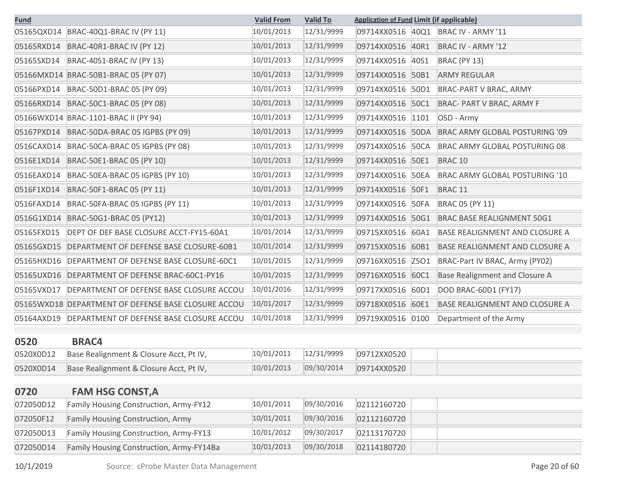| <b>Fund</b> |                                                     | <b>Valid From</b> | <b>Valid To</b> | <b>Application of Fund Limit (if applicable)</b> |             |                                       |
|-------------|-----------------------------------------------------|-------------------|-----------------|--------------------------------------------------|-------------|---------------------------------------|
| 05165QXD14  | BRAC-40Q1-BRAC IV (PY 11)                           | 10/01/2013        | 12/31/9999      | 09714XX0516                                      | 40Q1        | BRAC IV - ARMY '11                    |
| 05165RXD14  | BRAC-40R1-BRAC IV (PY 12)                           | 10/01/2013        | 12/31/9999      | 09714XX0516                                      | 40R1        | BRAC IV - ARMY '12                    |
| 05165SXD14  | BRAC-40S1-BRAC IV (PY 13)                           | 10/01/2013        | 12/31/9999      | 09714XX0516                                      | 40S1        | <b>BRAC (PY 13)</b>                   |
|             | 05166MXD14 BRAC-50B1-BRAC 05 (PY 07)                | 10/01/2013        | 12/31/9999      | 09714XX0516                                      | 50B1        | <b>ARMY REGULAR</b>                   |
| 05166PXD14  | BRAC-50D1-BRAC 05 (PY 09)                           | 10/01/2013        | 12/31/9999      | 09714XX0516                                      | 50D1        | BRAC-PART V BRAC, ARMY                |
| 05166RXD14  | BRAC-50C1-BRAC 05 (PY 08)                           | 10/01/2013        | 12/31/9999      | 09714XX0516                                      | 50C1        | <b>BRAC- PART V BRAC, ARMY F</b>      |
|             | 05166WXD14 BRAC-1101-BRAC II (PY 94)                | 10/01/2013        | 12/31/9999      | 09714XX0516                                      | 1101        | OSD - Army                            |
| 05167PXD14  | BRAC-50DA-BRAC 05 IGPBS (PY 09)                     | 10/01/2013        | 12/31/9999      | 09714XX0516                                      | <b>50DA</b> | <b>BRAC ARMY GLOBAL POSTURING '09</b> |
| 0516CAXD14  | BRAC-50CA-BRAC 05 IGPBS (PY 08)                     | 10/01/2013        | 12/31/9999      | 09714XX0516                                      | <b>50CA</b> | BRAC ARMY GLOBAL POSTURING 08         |
| 0516E1XD14  | BRAC-50E1-BRAC 05 (PY 10)                           | 10/01/2013        | 12/31/9999      | 09714XX0516                                      | 50E1        | BRAC <sub>10</sub>                    |
| 0516EAXD14  | BRAC-50EA-BRAC 05 IGPBS (PY 10)                     | 10/01/2013        | 12/31/9999      | 09714XX0516                                      | <b>50EA</b> | BRAC ARMY GLOBAL POSTURING '10        |
| 0516F1XD14  | BRAC-50F1-BRAC 05 (PY 11)                           | 10/01/2013        | 12/31/9999      | 09714XX0516                                      | 50F1        | BRAC <sub>11</sub>                    |
| 0516FAXD14  | BRAC-50FA-BRAC 05 IGPBS (PY 11)                     | 10/01/2013        | 12/31/9999      | 09714XX0516                                      | <b>50FA</b> | <b>BRAC 05 (PY 11)</b>                |
| 0516G1XD14  | BRAC-50G1-BRAC 05 (PY12)                            | 10/01/2013        | 12/31/9999      | 09714XX0516                                      | 50G1        | <b>BRAC BASE REALIGNMENT 50G1</b>     |
| 05165FXD15  | DEPT OF DEF BASE CLOSURE ACCT-FY15-60A1             | 10/01/2014        | 12/31/9999      | 09715XX0516                                      | 60A1        | BASE REALIGNMENT AND CLOSURE A        |
| 05165GXD15  | DEPARTMENT OF DEFENSE BASE CLOSURE-60B1             | 10/01/2014        | 12/31/9999      | 09715XX0516                                      | 60B1        | <b>BASE REALIGNMENT AND CLOSURE A</b> |
| 05165HXD16  | DEPARTMENT OF DEFENSE BASE CLOSURE-60C1             | 10/01/2015        | 12/31/9999      | 09716XX0516                                      | Z501        | BRAC-Part IV BRAC, Army (PY02)        |
| 05165UXD16  | DEPARTMENT OF DEFENSE BRAC-60C1-PY16                | 10/01/2015        | 12/31/9999      | 09716XX0516                                      | 60C1        | Base Realignment and Closure A        |
| 05165VXD17  | DEPARTMENT OF DEFENSE BASE CLOSURE ACCOU            | 10/01/2016        | 12/31/9999      | 09717XX0516                                      | 60D1        | DOD BRAC-60D1 (FY17)                  |
|             | 05165WXD18 DEPARTMENT OF DEFENSE BASE CLOSURE ACCOU | 10/01/2017        | 12/31/9999      | 09718XX0516                                      | 60E1        | <b>BASE REALIGNMENT AND CLOSURE A</b> |
| 05164AXD19  | DEPARTMENT OF DEFENSE BASE CLOSURE ACCOU            | 10/01/2018        | 12/31/9999      | 09719XX0516                                      | 0100        | Department of the Army                |

## **0520 BRAC4**

| 0520X0D12 | Base Realignment & Closure Acct, Pt IV, | 10/01/2011 | $12/31/9999$ 09712XX0520 |
|-----------|-----------------------------------------|------------|--------------------------|
| 0520X0D14 | Base Realignment & Closure Acct, Pt IV, | 10/01/2013 |                          |

# **0720 FAM HSG CONST,A**

| 072050D12 | Family Housing Construction, Army-FY12   | 10/01/2011 | 09/30/2016 | 02112160720 |
|-----------|------------------------------------------|------------|------------|-------------|
| 072050F12 | <b>Family Housing Construction, Army</b> | 10/01/2011 | 09/30/2016 | 02112160720 |
| 072050D13 | Family Housing Construction, Army-FY13   | 10/01/2012 | 09/30/2017 | 02113170720 |
| 072050D14 | Family Housing Construction, Army-FY14Ba | 10/01/2013 | 09/30/2018 | 02114180720 |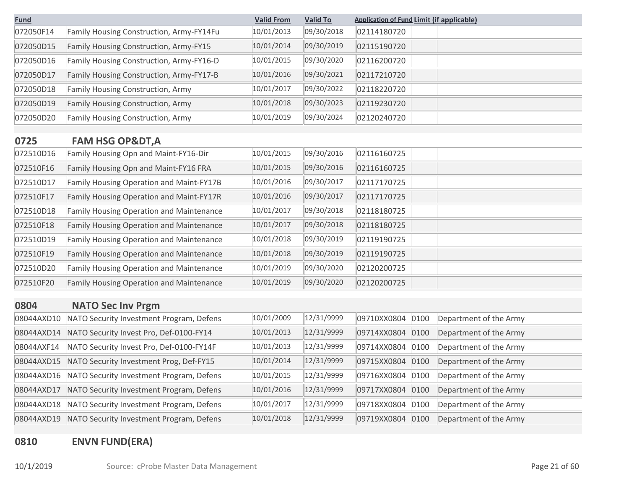| <b>Fund</b> |                                                 | <b>Valid From</b> | <b>Valid To</b> | <b>Application of Fund Limit (if applicable)</b> |                        |
|-------------|-------------------------------------------------|-------------------|-----------------|--------------------------------------------------|------------------------|
| 072050F14   | Family Housing Construction, Army-FY14Fu        | 10/01/2013        | 09/30/2018      | 02114180720                                      |                        |
| 072050D15   | Family Housing Construction, Army-FY15          | 10/01/2014        | 09/30/2019      | 02115190720                                      |                        |
| 072050D16   | Family Housing Construction, Army-FY16-D        | 10/01/2015        | 09/30/2020      | 02116200720                                      |                        |
| 072050D17   | Family Housing Construction, Army-FY17-B        | 10/01/2016        | 09/30/2021      | 02117210720                                      |                        |
| 072050D18   | <b>Family Housing Construction, Army</b>        | 10/01/2017        | 09/30/2022      | 02118220720                                      |                        |
| 072050D19   | Family Housing Construction, Army               | 10/01/2018        | 09/30/2023      | 02119230720                                      |                        |
| 072050D20   | Family Housing Construction, Army               | 10/01/2019        | 09/30/2024      | 02120240720                                      |                        |
| 0725        | <b>FAM HSG OP&amp;DT, A</b>                     |                   |                 |                                                  |                        |
| 072510D16   | Family Housing Opn and Maint-FY16-Dir           | 10/01/2015        | 09/30/2016      | 02116160725                                      |                        |
| 072510F16   | Family Housing Opn and Maint-FY16 FRA           | 10/01/2015        | 09/30/2016      | 02116160725                                      |                        |
| 072510D17   | Family Housing Operation and Maint-FY17B        | 10/01/2016        | 09/30/2017      | 02117170725                                      |                        |
| 072510F17   | Family Housing Operation and Maint-FY17R        | 10/01/2016        | 09/30/2017      | 02117170725                                      |                        |
| 072510D18   | <b>Family Housing Operation and Maintenance</b> | 10/01/2017        | 09/30/2018      | 02118180725                                      |                        |
| 072510F18   | <b>Family Housing Operation and Maintenance</b> | 10/01/2017        | 09/30/2018      | 02118180725                                      |                        |
| 072510D19   | <b>Family Housing Operation and Maintenance</b> | 10/01/2018        | 09/30/2019      | 02119190725                                      |                        |
| 072510F19   | <b>Family Housing Operation and Maintenance</b> | 10/01/2018        | 09/30/2019      | 02119190725                                      |                        |
| 072510D20   | <b>Family Housing Operation and Maintenance</b> | 10/01/2019        | 09/30/2020      | 02120200725                                      |                        |
| 072510F20   | <b>Family Housing Operation and Maintenance</b> | 10/01/2019        | 09/30/2020      | 02120200725                                      |                        |
| 0804        | <b>NATO Sec Inv Prgm</b>                        |                   |                 |                                                  |                        |
| 08044AXD10  | NATO Security Investment Program, Defens        | 10/01/2009        | 12/31/9999      | 09710XX0804<br>0100                              | Department of the Army |
| 08044AXD14  | NATO Security Invest Pro, Def-0100-FY14         | 10/01/2013        | 12/31/9999      | 09714XX0804<br>0100                              | Department of the Army |
| 08044AXF14  | NATO Security Invest Pro, Def-0100-FY14F        | 10/01/2013        | 12/31/9999      | 09714XX0804<br>0100                              | Department of the Army |
| 08044AXD15  | NATO Security Investment Prog, Def-FY15         | 10/01/2014        | 12/31/9999      | 0100<br>09715XX0804                              | Department of the Army |
| 08044AXD16  | NATO Security Investment Program, Defens        | 10/01/2015        | 12/31/9999      | 09716XX0804<br>0100                              | Department of the Army |
| 08044AXD17  | NATO Security Investment Program, Defens        | 10/01/2016        | 12/31/9999      | 09717XX0804<br>0100                              | Department of the Army |
| 08044AXD18  | NATO Security Investment Program, Defens        | 10/01/2017        | 12/31/9999      | 09718XX0804<br>0100                              | Department of the Army |
| 08044AXD19  | NATO Security Investment Program, Defens        | 10/01/2018        | 12/31/9999      | 09719XX0804<br>0100                              | Department of the Army |

# **0810 ENVN FUND(ERA)**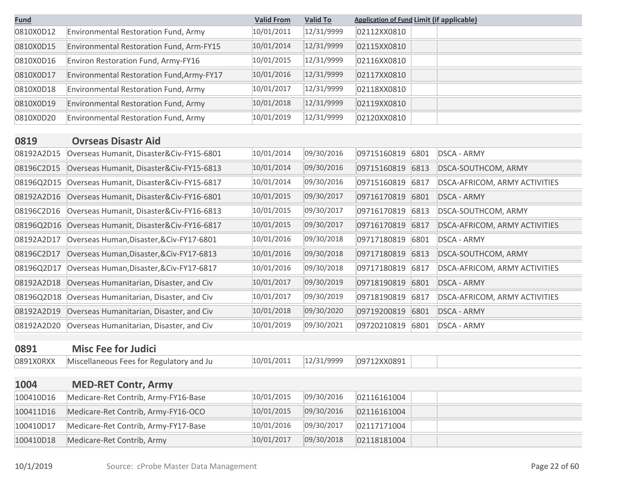| <b>Fund</b> |                                           | <b>Valid From</b> | <b>Valid To</b> | <b>Application of Fund Limit (if applicable)</b> |      |                               |
|-------------|-------------------------------------------|-------------------|-----------------|--------------------------------------------------|------|-------------------------------|
| 0810X0D12   | Environmental Restoration Fund, Army      | 10/01/2011        | 12/31/9999      | 02112XX0810                                      |      |                               |
| 0810X0D15   | Environmental Restoration Fund, Arm-FY15  | 10/01/2014        | 12/31/9999      | 02115XX0810                                      |      |                               |
| 0810X0D16   | Environ Restoration Fund, Army-FY16       | 10/01/2015        | 12/31/9999      | 02116XX0810                                      |      |                               |
| 0810X0D17   | Environmental Restoration Fund, Army-FY17 | 10/01/2016        | 12/31/9999      | 02117XX0810                                      |      |                               |
| 0810X0D18   | Environmental Restoration Fund, Army      | 10/01/2017        | 12/31/9999      | 02118XX0810                                      |      |                               |
| 0810X0D19   | Environmental Restoration Fund, Army      | 10/01/2018        | 12/31/9999      | 02119XX0810                                      |      |                               |
| 0810X0D20   | Environmental Restoration Fund, Army      | 10/01/2019        | 12/31/9999      | 02120XX0810                                      |      |                               |
| 0819        | <b>Ovrseas Disastr Aid</b>                |                   |                 |                                                  |      |                               |
| 08192A2D15  | Overseas Humanit, Disaster&Civ-FY15-6801  | 10/01/2014        | 09/30/2016      | 09715160819                                      | 6801 | <b>DSCA - ARMY</b>            |
| 08196C2D15  | Overseas Humanit, Disaster&Civ-FY15-6813  | 10/01/2014        | 09/30/2016      | 09715160819                                      | 6813 | DSCA-SOUTHCOM, ARMY           |
| 08196Q2D15  | Overseas Humanit, Disaster&Civ-FY15-6817  | 10/01/2014        | 09/30/2016      | 09715160819                                      | 6817 | DSCA-AFRICOM, ARMY ACTIVITIES |
| 08192A2D16  | Overseas Humanit, Disaster&Civ-FY16-6801  | 10/01/2015        | 09/30/2017      | 09716170819                                      | 6801 | <b>DSCA - ARMY</b>            |
| 08196C2D16  |                                           | 10/01/2015        | 09/30/2017      | 09716170819                                      | 6813 | DSCA-SOUTHCOM, ARMY           |
|             | Overseas Humanit, Disaster&Civ-FY16-6813  | 10/01/2015        | 09/30/2017      |                                                  |      |                               |
| 08196Q2D16  | Overseas Humanit, Disaster&Civ-FY16-6817  |                   |                 | 09716170819                                      | 6817 | DSCA-AFRICOM, ARMY ACTIVITIES |
| 08192A2D17  | Overseas Human, Disaster, & Civ-FY17-6801 | 10/01/2016        | 09/30/2018      | 09717180819                                      | 6801 | <b>DSCA - ARMY</b>            |
| 08196C2D17  | Overseas Human, Disaster, & Civ-FY17-6813 | 10/01/2016        | 09/30/2018      | 09717180819                                      | 6813 | DSCA-SOUTHCOM, ARMY           |
| 08196Q2D17  | Overseas Human, Disaster, & Civ-FY17-6817 | 10/01/2016        | 09/30/2018      | 09717180819                                      | 6817 | DSCA-AFRICOM, ARMY ACTIVITIES |
| 08192A2D18  | Overseas Humanitarian, Disaster, and Civ  | 10/01/2017        | 09/30/2019      | 09718190819                                      | 6801 | <b>DSCA - ARMY</b>            |
| 08196Q2D18  | Overseas Humanitarian, Disaster, and Civ  | 10/01/2017        | 09/30/2019      | 09718190819                                      | 6817 | DSCA-AFRICOM, ARMY ACTIVITIES |
| 08192A2D19  | Overseas Humanitarian, Disaster, and Civ  | 10/01/2018        | 09/30/2020      | 09719200819                                      | 6801 | <b>DSCA - ARMY</b>            |
| 08192A2D20  | Overseas Humanitarian, Disaster, and Civ  | 10/01/2019        | 09/30/2021      | 09720210819                                      | 6801 | <b>DSCA - ARMY</b>            |
| 0891        | <b>Misc Fee for Judici</b>                |                   |                 |                                                  |      |                               |
| 0891X0RXX   | Miscellaneous Fees for Regulatory and Ju  | 10/01/2011        | 12/31/9999      | 09712XX0891                                      |      |                               |
| 1004        | <b>MED-RET Contr, Army</b>                |                   |                 |                                                  |      |                               |
| 100410D16   | Medicare-Ret Contrib, Army-FY16-Base      | 10/01/2015        | 09/30/2016      | 02116161004                                      |      |                               |
| 100411D16   | Medicare-Ret Contrib, Army-FY16-OCO       | 10/01/2015        | 09/30/2016      | 02116161004                                      |      |                               |
| 100410D17   | Medicare-Ret Contrib, Army-FY17-Base      | 10/01/2016        | 09/30/2017      | 02117171004                                      |      |                               |
|             |                                           |                   |                 |                                                  |      |                               |
| 100410D18   | Medicare-Ret Contrib, Army                | 10/01/2017        | 09/30/2018      | 02118181004                                      |      |                               |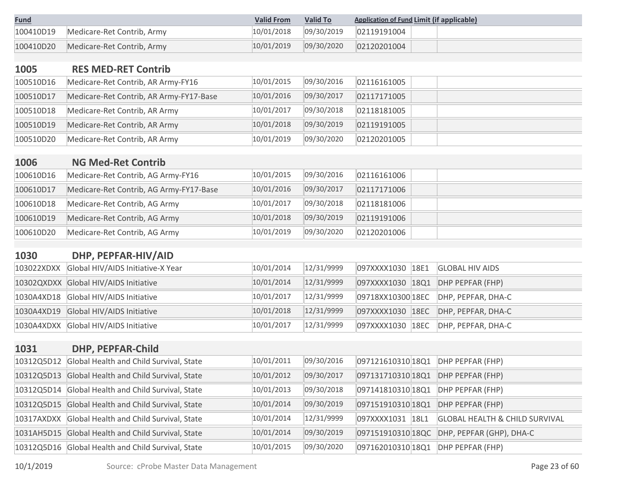| <b>Fund</b> |                            | <b>Valid From</b> | <b>Valid To</b> | <b>Application of Fund Limit (if applicable)</b> |
|-------------|----------------------------|-------------------|-----------------|--------------------------------------------------|
| 100410D19   | Medicare-Ret Contrib, Army | 10/01/2018        | 09/30/2019      | 02119191004                                      |
| 100410D20   | Medicare-Ret Contrib, Army | 10/01/2019        | 09/30/2020      | 02120201004                                      |

# **1005 RES MED-RET Contrib** 100510D16 Medicare-Ret Contrib, AR Army-FY16 10/01/2015 09/30/2016 02116161005 100510D17 Medicare-Ret Contrib, AR Army-FY17-Base 10/01/2016 09/30/2017 02117171005 100510D18 Medicare-Ret Contrib, AR Army 10/01/2017 09/30/2018 02118181005 100510D19 Medicare-Ret Contrib, AR Army 10/01/2018 09/30/2019 02119191005 100510D20 Medicare-Ret Contrib, AR Army 10/01/2019 09/30/2020 02120201005

| <b>TOOP</b> | <u>NG MED-RET CONTRID</u>               |            |            |             |  |
|-------------|-----------------------------------------|------------|------------|-------------|--|
| 100610D16   | Medicare-Ret Contrib, AG Army-FY16      | 10/01/2015 | 09/30/2016 | 02116161006 |  |
| 100610D17   | Medicare-Ret Contrib, AG Army-FY17-Base | 10/01/2016 | 09/30/2017 | 02117171006 |  |
| 100610D18   | Medicare-Ret Contrib, AG Army           | 10/01/2017 | 09/30/2018 | 02118181006 |  |
| 100610D19   | Medicare-Ret Contrib, AG Army           | 10/01/2018 | 09/30/2019 | 02119191006 |  |
| 100610D20   | Medicare-Ret Contrib, AG Army           | 10/01/2019 | 09/30/2020 | 02120201006 |  |

#### **1030 DHP, PEPFAR-HIV/AID**

**1006 NG Med-Ret Contrib**

| 103022XDXX Global HIV/AIDS Initiative-X Year | 10/01/2014 | 12/31/9999 |                  | 097XXXX1030 18E1 GLOBAL HIV AIDS    |
|----------------------------------------------|------------|------------|------------------|-------------------------------------|
| 10302QXDXX Global HIV/AIDS Initiative        | 10/01/2014 | 12/31/9999 |                  | 097XXXX1030 18Q1 DHP PEPFAR (FHP)   |
| 1030A4XD18 Global HIV/AIDS Initiative        | 10/01/2017 | 12/31/9999 |                  |                                     |
| 1030A4XD19 Global HIV/AIDS Initiative        | 10/01/2018 | 12/31/9999 |                  | 097XXXX1030 18EC DHP, PEPFAR, DHA-C |
| 1030A4XDXX Global HIV/AIDS Initiative        | 10/01/2017 | 12/31/9999 | 097XXXX1030 18EC | DHP, PEPFAR, DHA-C                  |

#### **1031 DHP, PEPFAR-Child**

|            | 10312Q5D12 Global Health and Child Survival, State | 10/01/2011 | 09/30/2016 | 097121610310 18Q1 | DHP PEPFAR (FHP)                          |
|------------|----------------------------------------------------|------------|------------|-------------------|-------------------------------------------|
| 10312Q5D13 | Global Health and Child Survival, State            | 10/01/2012 | 09/30/2017 | 097131710310 18Q1 | DHP PEPFAR (FHP)                          |
| 10312Q5D14 | Global Health and Child Survival, State            | 10/01/2013 | 09/30/2018 | 097141810310 18Q1 | DHP PEPFAR (FHP)                          |
| 10312Q5D15 | Global Health and Child Survival, State            | 10/01/2014 | 09/30/2019 | 097151910310 18Q1 | DHP PEPFAR (FHP)                          |
| 10317AXDXX | Global Health and Child Survival, State            | 10/01/2014 | 12/31/9999 | 097XXXX1031 18L1  | <b>GLOBAL HEALTH &amp; CHILD SURVIVAL</b> |
|            | 1031AH5D15 Global Health and Child Survival, State | 10/01/2014 | 09/30/2019 | 097151910310 18QC | DHP, PEPFAR (GHP), DHA-C                  |
|            | 10312Q5D16 Global Health and Child Survival, State | 10/01/2015 | 09/30/2020 | 097162010310 18Q1 | DHP PEPFAR (FHP)                          |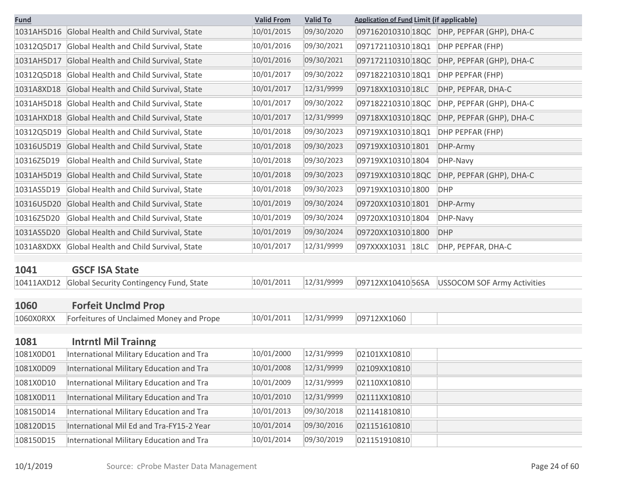| <b>Fund</b> |                                                    | <b>Valid From</b> | <b>Valid To</b> | <b>Application of Fund Limit (if applicable)</b> |                                    |
|-------------|----------------------------------------------------|-------------------|-----------------|--------------------------------------------------|------------------------------------|
|             | 1031AH5D16 Global Health and Child Survival, State | 10/01/2015        | 09/30/2020      | 097162010310 18QC                                | DHP, PEPFAR (GHP), DHA-C           |
| 10312Q5D17  | Global Health and Child Survival, State            | 10/01/2016        | 09/30/2021      | 097172110310 18Q1                                | DHP PEPFAR (FHP)                   |
| 1031AH5D17  | Global Health and Child Survival, State            | 10/01/2016        | 09/30/2021      | 097172110310 18QC                                | DHP, PEPFAR (GHP), DHA-C           |
| 10312Q5D18  | Global Health and Child Survival, State            | 10/01/2017        | 09/30/2022      | 097182210310 18Q1                                | DHP PEPFAR (FHP)                   |
| 1031A8XD18  | Global Health and Child Survival, State            | 10/01/2017        | 12/31/9999      | 09718XX10310 18LC                                | DHP, PEPFAR, DHA-C                 |
| 1031AH5D18  | Global Health and Child Survival, State            | 10/01/2017        | 09/30/2022      | 097182210310 18QC                                | DHP, PEPFAR (GHP), DHA-C           |
| 1031AHXD18  | Global Health and Child Survival, State            | 10/01/2017        | 12/31/9999      | 09718XX10310 18QC                                | DHP, PEPFAR (GHP), DHA-C           |
| 10312Q5D19  | Global Health and Child Survival, State            | 10/01/2018        | 09/30/2023      | 09719XX10310 18Q1                                | DHP PEPFAR (FHP)                   |
| 10316U5D19  | Global Health and Child Survival, State            | 10/01/2018        | 09/30/2023      | 09719XX10310 1801                                | DHP-Army                           |
| 10316Z5D19  | Global Health and Child Survival, State            | 10/01/2018        | 09/30/2023      | 09719XX10310 1804                                | DHP-Navy                           |
| 1031AH5D19  | Global Health and Child Survival, State            | 10/01/2018        | 09/30/2023      | 09719XX10310 18QC                                | DHP, PEPFAR (GHP), DHA-C           |
| 1031AS5D19  | Global Health and Child Survival, State            | 10/01/2018        | 09/30/2023      | 09719XX10310 1800                                | <b>DHP</b>                         |
| 10316U5D20  | Global Health and Child Survival, State            | 10/01/2019        | 09/30/2024      | 09720XX10310 1801                                | DHP-Army                           |
| 10316Z5D20  | Global Health and Child Survival, State            | 10/01/2019        | 09/30/2024      | 09720XX10310 1804                                | DHP-Navy                           |
| 1031AS5D20  | Global Health and Child Survival, State            | 10/01/2019        | 09/30/2024      | 09720XX10310 1800                                | <b>DHP</b>                         |
| 1031A8XDXX  | Global Health and Child Survival, State            | 10/01/2017        | 12/31/9999      | 097XXXX1031 18LC                                 | DHP, PEPFAR, DHA-C                 |
|             |                                                    |                   |                 |                                                  |                                    |
| 1041        | <b>GSCF ISA State</b>                              |                   |                 |                                                  |                                    |
| 10411AXD12  | Global Security Contingency Fund, State            | 10/01/2011        | 12/31/9999      | 09712XX1041056SA                                 | <b>USSOCOM SOF Army Activities</b> |
| 1060        | <b>Forfeit Unclmd Prop</b>                         |                   |                 |                                                  |                                    |
| 1060X0RXX   | Forfeitures of Unclaimed Money and Prope           | 10/01/2011        | 12/31/9999      | 09712XX1060                                      |                                    |
|             |                                                    |                   |                 |                                                  |                                    |
| 1081        | <b>Intrntl Mil Trainng</b>                         |                   |                 |                                                  |                                    |
| 1081X0D01   | International Military Education and Tra           | 10/01/2000        | 12/31/9999      | 02101XX10810                                     |                                    |
| 1081X0D09   | International Military Education and Tra           | 10/01/2008        | 12/31/9999      | 02109XX10810                                     |                                    |
| 1081X0D10   | International Military Education and Tra           | 10/01/2009        | 12/31/9999      | 02110XX10810                                     |                                    |
| 1081X0D11   | International Military Education and Tra           | 10/01/2010        | 12/31/9999      | 02111XX10810                                     |                                    |
| 108150D14   | International Military Education and Tra           | 10/01/2013        | 09/30/2018      | 021141810810                                     |                                    |
| 108120D15   | International Mil Ed and Tra-FY15-2 Year           | 10/01/2014        | 09/30/2016      | 021151610810                                     |                                    |
| 108150D15   | International Military Education and Tra           | 10/01/2014        | 09/30/2019      | 021151910810                                     |                                    |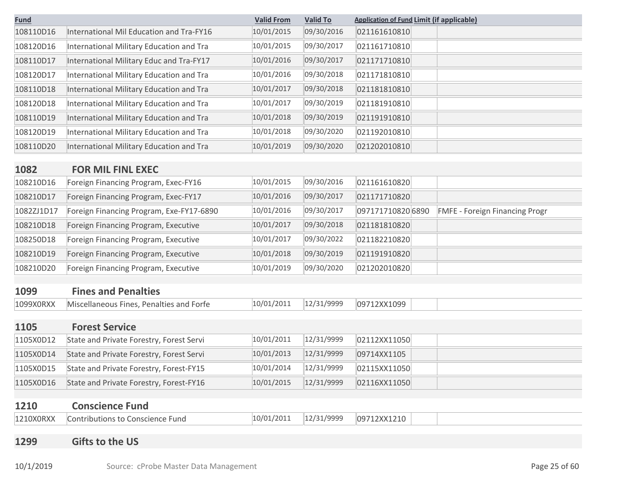| <b>Fund</b> |                                          | <b>Valid From</b> | <b>Valid To</b> | <b>Application of Fund Limit (if applicable)</b> |                                       |
|-------------|------------------------------------------|-------------------|-----------------|--------------------------------------------------|---------------------------------------|
| 108110D16   | International Mil Education and Tra-FY16 | 10/01/2015        | 09/30/2016      | 021161610810                                     |                                       |
| 108120D16   | International Military Education and Tra | 10/01/2015        | 09/30/2017      | 021161710810                                     |                                       |
| 108110D17   | International Military Educ and Tra-FY17 | 10/01/2016        | 09/30/2017      | 021171710810                                     |                                       |
| 108120D17   | International Military Education and Tra | 10/01/2016        | 09/30/2018      | 021171810810                                     |                                       |
| 108110D18   | International Military Education and Tra | 10/01/2017        | 09/30/2018      | 021181810810                                     |                                       |
| 108120D18   | International Military Education and Tra | 10/01/2017        | 09/30/2019      | 021181910810                                     |                                       |
| 108110D19   | International Military Education and Tra | 10/01/2018        | 09/30/2019      | 021191910810                                     |                                       |
| 108120D19   | International Military Education and Tra | 10/01/2018        | 09/30/2020      | 021192010810                                     |                                       |
| 108110D20   | International Military Education and Tra | 10/01/2019        | 09/30/2020      | 021202010810                                     |                                       |
| 1082        | <b>FOR MIL FINL EXEC</b>                 |                   |                 |                                                  |                                       |
| 108210D16   | Foreign Financing Program, Exec-FY16     | 10/01/2015        | 09/30/2016      | 021161610820                                     |                                       |
| 108210D17   | Foreign Financing Program, Exec-FY17     | 10/01/2016        | 09/30/2017      | 021171710820                                     |                                       |
| 1082ZJ1D17  | Foreign Financing Program, Exe-FY17-6890 | 10/01/2016        | 09/30/2017      | 097171710820 6890                                | <b>FMFE - Foreign Financing Progr</b> |
| 108210D18   | Foreign Financing Program, Executive     | 10/01/2017        | 09/30/2018      | 021181810820                                     |                                       |
| 108250D18   | Foreign Financing Program, Executive     | 10/01/2017        | 09/30/2022      | 021182210820                                     |                                       |
| 108210D19   | Foreign Financing Program, Executive     | 10/01/2018        | 09/30/2019      | 021191910820                                     |                                       |
| 108210D20   | Foreign Financing Program, Executive     | 10/01/2019        | 09/30/2020      | 021202010820                                     |                                       |
|             |                                          |                   |                 |                                                  |                                       |
| 1099        | <b>Fines and Penalties</b>               |                   |                 |                                                  |                                       |
| 1099X0RXX   | Miscellaneous Fines, Penalties and Forfe | 10/01/2011        | 12/31/9999      | 09712XX1099                                      |                                       |
| 1105        | <b>Forest Service</b>                    |                   |                 |                                                  |                                       |
| 1105X0D12   | State and Private Forestry, Forest Servi | 10/01/2011        | 12/31/9999      | 02112XX11050                                     |                                       |
| 1105X0D14   | State and Private Forestry, Forest Servi | 10/01/2013        | 12/31/9999      | 09714XX1105                                      |                                       |
| 1105X0D15   | State and Private Forestry, Forest-FY15  | 10/01/2014        | 12/31/9999      | 02115XX11050                                     |                                       |
| 1105X0D16   | State and Private Forestry, Forest-FY16  | 10/01/2015        | 12/31/9999      | 02116XX11050                                     |                                       |
|             |                                          |                   |                 |                                                  |                                       |
| 1210        | <b>Conscience Fund</b>                   |                   |                 |                                                  |                                       |
| 1210X0RXX   | <b>Contributions to Conscience Fund</b>  | 10/01/2011        | 12/31/9999      | 09712XX1210                                      |                                       |
|             |                                          |                   |                 |                                                  |                                       |

# **1299 Gifts to the US**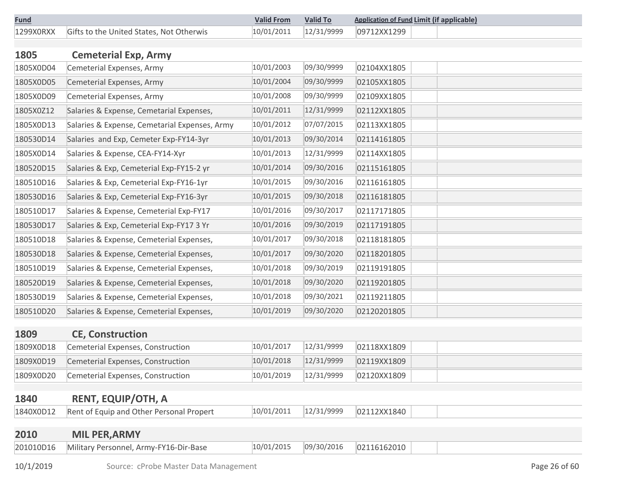| <b>Fund</b> |                                                    | <b>Valid From</b> | <b>Valid To</b> | <b>Application of Fund Limit (if applicable)</b> |
|-------------|----------------------------------------------------|-------------------|-----------------|--------------------------------------------------|
|             | 1299XORXX Gifts to the United States, Not Otherwis |                   |                 | $10/01/2011$ $12/31/9999$ 09712XX1299            |

| 1805      | <b>Cemeterial Exp, Army</b>                             |            |            |             |  |
|-----------|---------------------------------------------------------|------------|------------|-------------|--|
| 1805X0D04 | Cemeterial Expenses, Army                               | 10/01/2003 | 09/30/9999 | 02104XX1805 |  |
| 1805X0D05 | Cemeterial Expenses, Army                               | 10/01/2004 | 09/30/9999 | 02105XX1805 |  |
| 1805X0D09 | Cemeterial Expenses, Army                               | 10/01/2008 | 09/30/9999 | 02109XX1805 |  |
| 1805X0Z12 | Salaries & Expense, Cemetarial Expenses,                | 10/01/2011 | 12/31/9999 | 02112XX1805 |  |
| 1805X0D13 | Salaries & Expense, Cemetarial Expenses, Army           | 10/01/2012 | 07/07/2015 | 02113XX1805 |  |
| 180530D14 | Salaries and Exp, Cemeter Exp-FY14-3yr                  | 10/01/2013 | 09/30/2014 | 02114161805 |  |
| 1805X0D14 | Salaries & Expense, CEA-FY14-Xyr                        | 10/01/2013 | 12/31/9999 | 02114XX1805 |  |
| 180520D15 | Salaries & Exp, Cemeterial Exp-FY15-2 yr                | 10/01/2014 | 09/30/2016 | 02115161805 |  |
| 180510D16 | Salaries & Exp, Cemeterial Exp-FY16-1yr                 | 10/01/2015 | 09/30/2016 | 02116161805 |  |
| 180530D16 | Salaries & Exp, Cemeterial Exp-FY16-3yr                 | 10/01/2015 | 09/30/2018 | 02116181805 |  |
| 180510D17 | Salaries & Expense, Cemeterial Exp-FY17                 | 10/01/2016 | 09/30/2017 | 02117171805 |  |
| 180530D17 | Salaries & Exp, Cemeterial Exp-FY17 3 Yr                | 10/01/2016 | 09/30/2019 | 02117191805 |  |
| 180510D18 | Salaries & Expense, Cemeterial Expenses,                | 10/01/2017 | 09/30/2018 | 02118181805 |  |
| 180530D18 | Salaries & Expense, Cemeterial Expenses,                | 10/01/2017 | 09/30/2020 | 02118201805 |  |
| 180510D19 | Salaries & Expense, Cemeterial Expenses,                | 10/01/2018 | 09/30/2019 | 02119191805 |  |
| 180520D19 | Salaries & Expense, Cemeterial Expenses,                | 10/01/2018 | 09/30/2020 | 02119201805 |  |
| 180530D19 | Salaries & Expense, Cemeterial Expenses,                | 10/01/2018 | 09/30/2021 | 02119211805 |  |
| 180510D20 | Salaries & Expense, Cemeterial Expenses,                | 10/01/2019 | 09/30/2020 | 02120201805 |  |
| 1000      | $\bigcap_{i=1}^n \bigcap_{i=1}^n A_i = A_i + A_i + A_i$ |            |            |             |  |

## **1809 CE, Construction** 1809X0D18 Cemeterial Expenses, Construction 10/01/2017 12/31/9999 02118XX1809 1809X0D19 Cemeterial Expenses, Construction 10/01/2018 12/31/9999 02119XX1809 1809X0D20 Cemeterial Expenses, Construction 10/01/2019 12/31/9999 02120XX1809

#### **1840 RENT, EQUIP/OTH, A**

| 1840X0D12<br>Rent of Equip and Other Personal Propert | 10/01/2011 | 12/31/0000<br><b>コエ/フフフフ</b> | 02112XX1840 |  |
|-------------------------------------------------------|------------|------------------------------|-------------|--|
|-------------------------------------------------------|------------|------------------------------|-------------|--|

| 09/30/2016<br>10/01/2015<br>02116162010<br>Military Personnel, Army-FY16-Dir-Base | 2010      | <b>MIL PER, ARMY</b> |  |  |  |
|-----------------------------------------------------------------------------------|-----------|----------------------|--|--|--|
|                                                                                   | 201010D16 |                      |  |  |  |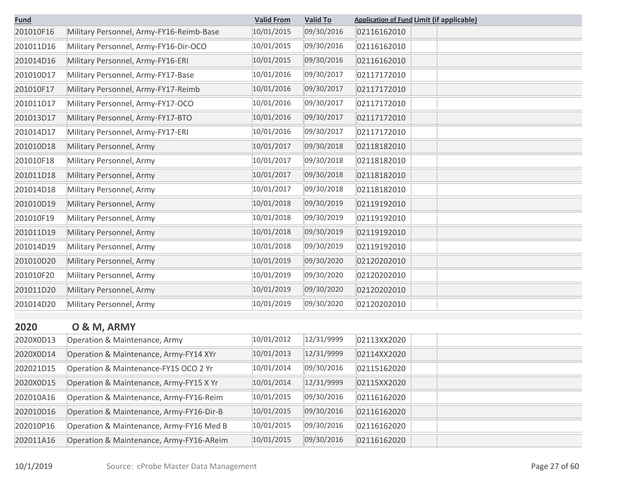| <b>Fund</b> |                                          | <b>Valid From</b> | <b>Valid To</b> | <b>Application of Fund Limit (if applicable)</b> |
|-------------|------------------------------------------|-------------------|-----------------|--------------------------------------------------|
| 201010F16   | Military Personnel, Army-FY16-Reimb-Base | 10/01/2015        | 09/30/2016      | 02116162010                                      |
| 201011D16   | Military Personnel, Army-FY16-Dir-OCO    | 10/01/2015        | 09/30/2016      | 02116162010                                      |
| 201014D16   | Military Personnel, Army-FY16-ERI        | 10/01/2015        | 09/30/2016      | 02116162010                                      |
| 201010D17   | Military Personnel, Army-FY17-Base       | 10/01/2016        | 09/30/2017      | 02117172010                                      |
| 201010F17   | Military Personnel, Army-FY17-Reimb      | 10/01/2016        | 09/30/2017      | 02117172010                                      |
| 201011D17   | Military Personnel, Army-FY17-OCO        | 10/01/2016        | 09/30/2017      | 02117172010                                      |
| 201013D17   | Military Personnel, Army-FY17-BTO        | 10/01/2016        | 09/30/2017      | 02117172010                                      |
| 201014D17   | Military Personnel, Army-FY17-ERI        | 10/01/2016        | 09/30/2017      | 02117172010                                      |
| 201010D18   | Military Personnel, Army                 | 10/01/2017        | 09/30/2018      | 02118182010                                      |
| 201010F18   | Military Personnel, Army                 | 10/01/2017        | 09/30/2018      | 02118182010                                      |
| 201011D18   | Military Personnel, Army                 | 10/01/2017        | 09/30/2018      | 02118182010                                      |
| 201014D18   | Military Personnel, Army                 | 10/01/2017        | 09/30/2018      | 02118182010                                      |
| 201010D19   | Military Personnel, Army                 | 10/01/2018        | 09/30/2019      | 02119192010                                      |
| 201010F19   | Military Personnel, Army                 | 10/01/2018        | 09/30/2019      | 02119192010                                      |
| 201011D19   | Military Personnel, Army                 | 10/01/2018        | 09/30/2019      | 02119192010                                      |
| 201014D19   | Military Personnel, Army                 | 10/01/2018        | 09/30/2019      | 02119192010                                      |
| 201010D20   | Military Personnel, Army                 | 10/01/2019        | 09/30/2020      | 02120202010                                      |
| 201010F20   | Military Personnel, Army                 | 10/01/2019        | 09/30/2020      | 02120202010                                      |
| 201011D20   | Military Personnel, Army                 | 10/01/2019        | 09/30/2020      | 02120202010                                      |
| 201014D20   | Military Personnel, Army                 | 10/01/2019        | 09/30/2020      | 02120202010                                      |

| 2020 |  |  |  | O & M, ARMY |  |
|------|--|--|--|-------------|--|
|------|--|--|--|-------------|--|

|  | . <b>.</b> | . | . . |  |
|--|------------|---|-----|--|
|  |            |   |     |  |

| 2020X0D13 | Operation & Maintenance, Army            | 10/01/2012 | 12/31/9999 | 02113XX2020 |
|-----------|------------------------------------------|------------|------------|-------------|
| 2020X0D14 | Operation & Maintenance, Army-FY14 XYr   | 10/01/2013 | 12/31/9999 | 02114XX2020 |
| 202021D15 | Operation & Maintenance-FY15 OCO 2 Yr    | 10/01/2014 | 09/30/2016 | 02115162020 |
| 2020X0D15 | Operation & Maintenance, Army-FY15 X Yr  | 10/01/2014 | 12/31/9999 | 02115XX2020 |
| 202010A16 | Operation & Maintenance, Army-FY16-Reim  | 10/01/2015 | 09/30/2016 | 02116162020 |
| 202010D16 | Operation & Maintenance, Army-FY16-Dir-B | 10/01/2015 | 09/30/2016 | 02116162020 |
| 202010P16 | Operation & Maintenance, Army-FY16 Med B | 10/01/2015 | 09/30/2016 | 02116162020 |
| 202011A16 | Operation & Maintenance, Army-FY16-AReim | 10/01/2015 | 09/30/2016 | 02116162020 |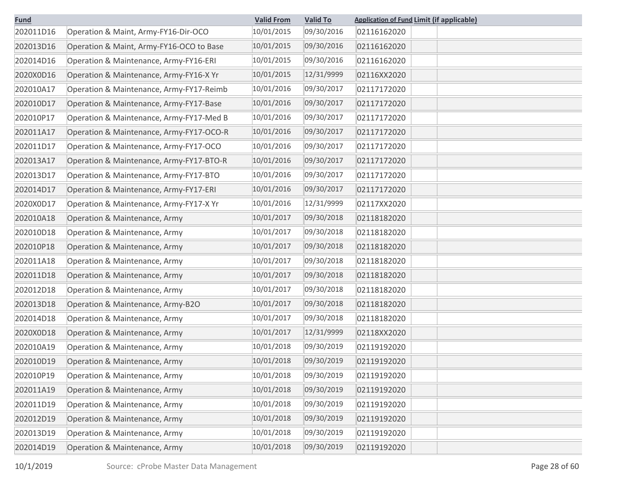| <b>Fund</b> |                                          | <b>Valid From</b> | <b>Valid To</b> | <b>Application of Fund Limit (if applicable)</b> |
|-------------|------------------------------------------|-------------------|-----------------|--------------------------------------------------|
| 202011D16   | Operation & Maint, Army-FY16-Dir-OCO     | 10/01/2015        | 09/30/2016      | 02116162020                                      |
| 202013D16   | Operation & Maint, Army-FY16-OCO to Base | 10/01/2015        | 09/30/2016      | 02116162020                                      |
| 202014D16   | Operation & Maintenance, Army-FY16-ERI   | 10/01/2015        | 09/30/2016      | 02116162020                                      |
| 2020X0D16   | Operation & Maintenance, Army-FY16-X Yr  | 10/01/2015        | 12/31/9999      | 02116XX2020                                      |
| 202010A17   | Operation & Maintenance, Army-FY17-Reimb | 10/01/2016        | 09/30/2017      | 02117172020                                      |
| 202010D17   | Operation & Maintenance, Army-FY17-Base  | 10/01/2016        | 09/30/2017      | 02117172020                                      |
| 202010P17   | Operation & Maintenance, Army-FY17-Med B | 10/01/2016        | 09/30/2017      | 02117172020                                      |
| 202011A17   | Operation & Maintenance, Army-FY17-OCO-R | 10/01/2016        | 09/30/2017      | 02117172020                                      |
| 202011D17   | Operation & Maintenance, Army-FY17-OCO   | 10/01/2016        | 09/30/2017      | 02117172020                                      |
| 202013A17   | Operation & Maintenance, Army-FY17-BTO-R | 10/01/2016        | 09/30/2017      | 02117172020                                      |
| 202013D17   | Operation & Maintenance, Army-FY17-BTO   | 10/01/2016        | 09/30/2017      | 02117172020                                      |
| 202014D17   | Operation & Maintenance, Army-FY17-ERI   | 10/01/2016        | 09/30/2017      | 02117172020                                      |
| 2020X0D17   | Operation & Maintenance, Army-FY17-X Yr  | 10/01/2016        | 12/31/9999      | 02117XX2020                                      |
| 202010A18   | Operation & Maintenance, Army            | 10/01/2017        | 09/30/2018      | 02118182020                                      |
| 202010D18   | Operation & Maintenance, Army            | 10/01/2017        | 09/30/2018      | 02118182020                                      |
| 202010P18   | Operation & Maintenance, Army            | 10/01/2017        | 09/30/2018      | 02118182020                                      |
| 202011A18   | Operation & Maintenance, Army            | 10/01/2017        | 09/30/2018      | 02118182020                                      |
| 202011D18   | Operation & Maintenance, Army            | 10/01/2017        | 09/30/2018      | 02118182020                                      |
| 202012D18   | Operation & Maintenance, Army            | 10/01/2017        | 09/30/2018      | 02118182020                                      |
| 202013D18   | Operation & Maintenance, Army-B2O        | 10/01/2017        | 09/30/2018      | 02118182020                                      |
| 202014D18   | Operation & Maintenance, Army            | 10/01/2017        | 09/30/2018      | 02118182020                                      |
| 2020X0D18   | Operation & Maintenance, Army            | 10/01/2017        | 12/31/9999      | 02118XX2020                                      |
| 202010A19   | Operation & Maintenance, Army            | 10/01/2018        | 09/30/2019      | 02119192020                                      |
| 202010D19   | Operation & Maintenance, Army            | 10/01/2018        | 09/30/2019      | 02119192020                                      |
| 202010P19   | Operation & Maintenance, Army            | 10/01/2018        | 09/30/2019      | 02119192020                                      |
| 202011A19   | Operation & Maintenance, Army            | 10/01/2018        | 09/30/2019      | 02119192020                                      |
| 202011D19   | Operation & Maintenance, Army            | 10/01/2018        | 09/30/2019      | 02119192020                                      |
| 202012D19   | Operation & Maintenance, Army            | 10/01/2018        | 09/30/2019      | 02119192020                                      |
| 202013D19   | Operation & Maintenance, Army            | 10/01/2018        | 09/30/2019      | 02119192020                                      |
| 202014D19   | Operation & Maintenance, Army            | 10/01/2018        | 09/30/2019      | 02119192020                                      |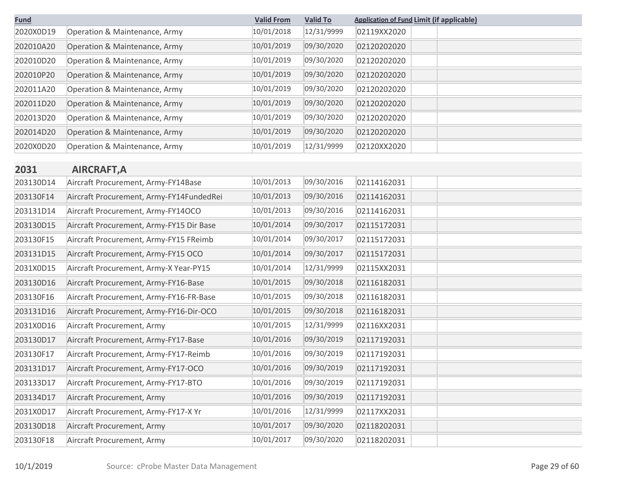| <b>Fund</b> |                                          | <b>Valid From</b> | <b>Valid To</b> | <b>Application of Fund Limit (if applicable)</b> |
|-------------|------------------------------------------|-------------------|-----------------|--------------------------------------------------|
| 2020X0D19   | Operation & Maintenance, Army            | 10/01/2018        | 12/31/9999      | 02119XX2020                                      |
| 202010A20   | Operation & Maintenance, Army            | 10/01/2019        | 09/30/2020      | 02120202020                                      |
| 202010D20   | Operation & Maintenance, Army            | 10/01/2019        | 09/30/2020      | 02120202020                                      |
| 202010P20   | Operation & Maintenance, Army            | 10/01/2019        | 09/30/2020      | 02120202020                                      |
| 202011A20   | Operation & Maintenance, Army            | 10/01/2019        | 09/30/2020      | 02120202020                                      |
| 202011D20   | Operation & Maintenance, Army            | 10/01/2019        | 09/30/2020      | 02120202020                                      |
| 202013D20   | Operation & Maintenance, Army            | 10/01/2019        | 09/30/2020      | 02120202020                                      |
| 202014D20   | Operation & Maintenance, Army            | 10/01/2019        | 09/30/2020      | 02120202020                                      |
| 2020X0D20   | Operation & Maintenance, Army            | 10/01/2019        | 12/31/9999      | 02120XX2020                                      |
|             |                                          |                   |                 |                                                  |
| 2031        | <b>AIRCRAFT, A</b>                       |                   |                 |                                                  |
| 203130D14   | Aircraft Procurement, Army-FY14Base      | 10/01/2013        | 09/30/2016      | 02114162031                                      |
| 203130F14   | Aircraft Procurement, Army-FY14FundedRei | 10/01/2013        | 09/30/2016      | 02114162031                                      |
| 203131D14   | Aircraft Procurement, Army-FY14OCO       | 10/01/2013        | 09/30/2016      | 02114162031                                      |
| 203130D15   | Aircraft Procurement, Army-FY15 Dir Base | 10/01/2014        | 09/30/2017      | 02115172031                                      |
| 203130F15   | Aircraft Procurement, Army-FY15 FReimb   | 10/01/2014        | 09/30/2017      | 02115172031                                      |
| 203131D15   | Aircraft Procurement, Army-FY15 OCO      | 10/01/2014        | 09/30/2017      | 02115172031                                      |
| 2031X0D15   | Aircraft Procurement, Army-X Year-PY15   | 10/01/2014        | 12/31/9999      | 02115XX2031                                      |
| 203130D16   | Aircraft Procurement, Army-FY16-Base     | 10/01/2015        | 09/30/2018      | 02116182031                                      |
| 203130F16   | Aircraft Procurement, Army-FY16-FR-Base  | 10/01/2015        | 09/30/2018      | 02116182031                                      |
| 203131D16   | Aircraft Procurement, Army-FY16-Dir-OCO  | 10/01/2015        | 09/30/2018      | 02116182031                                      |
| 2031X0D16   | Aircraft Procurement, Army               | 10/01/2015        | 12/31/9999      | 02116XX2031                                      |
| 203130D17   | Aircraft Procurement, Army-FY17-Base     | 10/01/2016        | 09/30/2019      | 02117192031                                      |
| 203130F17   | Aircraft Procurement, Army-FY17-Reimb    | 10/01/2016        | 09/30/2019      | 02117192031                                      |
| 203131D17   | Aircraft Procurement, Army-FY17-OCO      | 10/01/2016        | 09/30/2019      | 02117192031                                      |
| 203133D17   | Aircraft Procurement, Army-FY17-BTO      | 10/01/2016        | 09/30/2019      | 02117192031                                      |
| 203134D17   | Aircraft Procurement, Army               | 10/01/2016        | 09/30/2019      | 02117192031                                      |
| 2031X0D17   | Aircraft Procurement, Army-FY17-X Yr     | 10/01/2016        | 12/31/9999      | 02117XX2031                                      |
| 203130D18   | Aircraft Procurement, Army               | 10/01/2017        | 09/30/2020      | 02118202031                                      |
| 203130F18   | Aircraft Procurement, Army               | 10/01/2017        | 09/30/2020      | 02118202031                                      |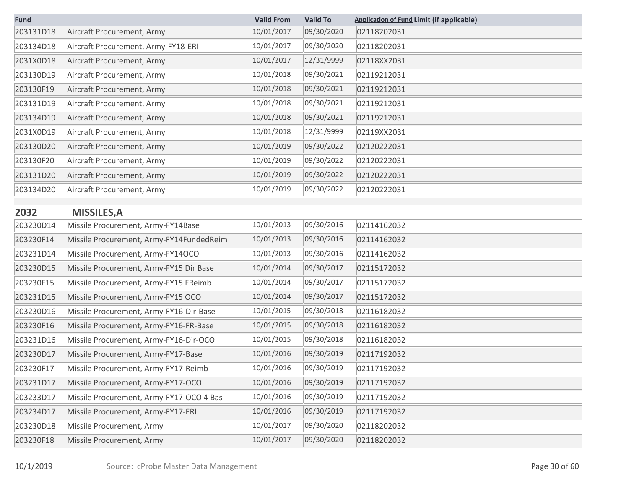| <b>Fund</b> |                                          | <b>Valid From</b> | <b>Valid To</b> | <b>Application of Fund Limit (if applicable)</b> |  |
|-------------|------------------------------------------|-------------------|-----------------|--------------------------------------------------|--|
| 203131D18   | Aircraft Procurement, Army               | 10/01/2017        | 09/30/2020      | 02118202031                                      |  |
| 203134D18   | Aircraft Procurement, Army-FY18-ERI      | 10/01/2017        | 09/30/2020      | 02118202031                                      |  |
| 2031X0D18   | Aircraft Procurement, Army               | 10/01/2017        | 12/31/9999      | 02118XX2031                                      |  |
| 203130D19   | Aircraft Procurement, Army               | 10/01/2018        | 09/30/2021      | 02119212031                                      |  |
| 203130F19   | Aircraft Procurement, Army               | 10/01/2018        | 09/30/2021      | 02119212031                                      |  |
| 203131D19   | Aircraft Procurement, Army               | 10/01/2018        | 09/30/2021      | 02119212031                                      |  |
| 203134D19   | Aircraft Procurement, Army               | 10/01/2018        | 09/30/2021      | 02119212031                                      |  |
| 2031X0D19   | Aircraft Procurement, Army               | 10/01/2018        | 12/31/9999      | 02119XX2031                                      |  |
| 203130D20   | Aircraft Procurement, Army               | 10/01/2019        | 09/30/2022      | 02120222031                                      |  |
| 203130F20   | Aircraft Procurement, Army               | 10/01/2019        | 09/30/2022      | 02120222031                                      |  |
| 203131D20   | Aircraft Procurement, Army               | 10/01/2019        | 09/30/2022      | 02120222031                                      |  |
| 203134D20   | Aircraft Procurement, Army               | 10/01/2019        | 09/30/2022      | 02120222031                                      |  |
|             |                                          |                   |                 |                                                  |  |
| 2032        | <b>MISSILES, A</b>                       |                   |                 |                                                  |  |
| 203230D14   | Missile Procurement, Army-FY14Base       | 10/01/2013        | 09/30/2016      | 02114162032                                      |  |
| 203230F14   | Missile Procurement, Army-FY14FundedReim | 10/01/2013        | 09/30/2016      | 02114162032                                      |  |
| 203231D14   | Missile Procurement, Army-FY14OCO        | 10/01/2013        | 09/30/2016      | 02114162032                                      |  |
| 203230D15   | Missile Procurement, Army-FY15 Dir Base  | 10/01/2014        | 09/30/2017      | 02115172032                                      |  |
| 203230F15   | Missile Procurement, Army-FY15 FReimb    | 10/01/2014        | 09/30/2017      | 02115172032                                      |  |
| 203231D15   | Missile Procurement, Army-FY15 OCO       | 10/01/2014        | 09/30/2017      | 02115172032                                      |  |
| 203230D16   | Missile Procurement, Army-FY16-Dir-Base  | 10/01/2015        | 09/30/2018      | 02116182032                                      |  |
| 203230F16   | Missile Procurement, Army-FY16-FR-Base   | 10/01/2015        | 09/30/2018      | 02116182032                                      |  |
| 203231D16   | Missile Procurement, Army-FY16-Dir-OCO   | 10/01/2015        | 09/30/2018      | 02116182032                                      |  |
| 203230D17   | Missile Procurement, Army-FY17-Base      | 10/01/2016        | 09/30/2019      | 02117192032                                      |  |
| 203230F17   | Missile Procurement, Army-FY17-Reimb     | 10/01/2016        | 09/30/2019      | 02117192032                                      |  |
| 203231D17   | Missile Procurement, Army-FY17-OCO       | 10/01/2016        | 09/30/2019      | 02117192032                                      |  |
| 203233D17   | Missile Procurement, Army-FY17-OCO 4 Bas | 10/01/2016        | 09/30/2019      | 02117192032                                      |  |
| 203234D17   | Missile Procurement, Army-FY17-ERI       | 10/01/2016        | 09/30/2019      | 02117192032                                      |  |
| 203230D18   | Missile Procurement, Army                | 10/01/2017        | 09/30/2020      | 02118202032                                      |  |
| 203230F18   | Missile Procurement, Army                | 10/01/2017        | 09/30/2020      | 02118202032                                      |  |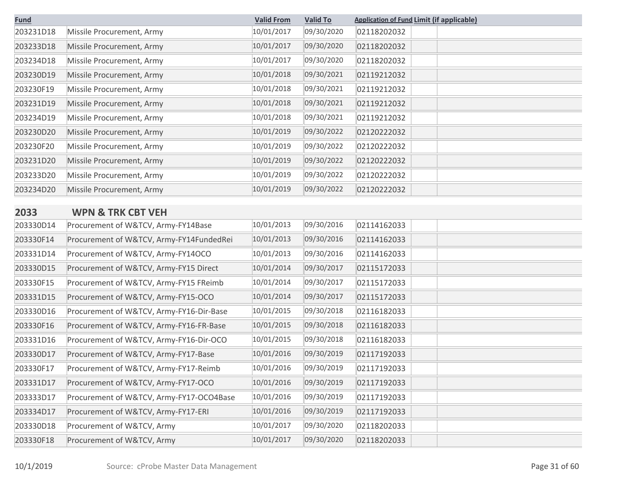| <b>Fund</b> |                           | <b>Valid From</b> | <b>Valid To</b> | <b>Application of Fund Limit (if applicable)</b> |
|-------------|---------------------------|-------------------|-----------------|--------------------------------------------------|
| 203231D18   | Missile Procurement, Army | 10/01/2017        | 09/30/2020      | 02118202032                                      |
| 203233D18   | Missile Procurement, Army | 10/01/2017        | 09/30/2020      | 02118202032                                      |
| 203234D18   | Missile Procurement, Army | 10/01/2017        | 09/30/2020      | 02118202032                                      |
| 203230D19   | Missile Procurement, Army | 10/01/2018        | 09/30/2021      | 02119212032                                      |
| 203230F19   | Missile Procurement, Army | 10/01/2018        | 09/30/2021      | 02119212032                                      |
| 203231D19   | Missile Procurement, Army | 10/01/2018        | 09/30/2021      | 02119212032                                      |
| 203234D19   | Missile Procurement, Army | 10/01/2018        | 09/30/2021      | 02119212032                                      |
| 203230D20   | Missile Procurement, Army | 10/01/2019        | 09/30/2022      | 02120222032                                      |
| 203230F20   | Missile Procurement, Army | 10/01/2019        | 09/30/2022      | 02120222032                                      |
| 203231D20   | Missile Procurement, Army | 10/01/2019        | 09/30/2022      | 02120222032                                      |
| 203233D20   | Missile Procurement, Army | 10/01/2019        | 09/30/2022      | 02120222032                                      |
| 203234D20   | Missile Procurement, Army | 10/01/2019        | 09/30/2022      | 02120222032                                      |

## **2033 WPN & TRK CBT VEH**

| 203330D14 | Procurement of W&TCV, Army-FY14Base      | 10/01/2013 | 09/30/2016 | 02114162033 |
|-----------|------------------------------------------|------------|------------|-------------|
| 203330F14 | Procurement of W&TCV, Army-FY14FundedRei | 10/01/2013 | 09/30/2016 | 02114162033 |
| 203331D14 | Procurement of W&TCV, Army-FY14OCO       | 10/01/2013 | 09/30/2016 | 02114162033 |
| 203330D15 | Procurement of W&TCV, Army-FY15 Direct   | 10/01/2014 | 09/30/2017 | 02115172033 |
| 203330F15 | Procurement of W&TCV, Army-FY15 FReimb   | 10/01/2014 | 09/30/2017 | 02115172033 |
| 203331D15 | Procurement of W&TCV, Army-FY15-OCO      | 10/01/2014 | 09/30/2017 | 02115172033 |
| 203330D16 | Procurement of W&TCV, Army-FY16-Dir-Base | 10/01/2015 | 09/30/2018 | 02116182033 |
| 203330F16 | Procurement of W&TCV, Army-FY16-FR-Base  | 10/01/2015 | 09/30/2018 | 02116182033 |
| 203331D16 | Procurement of W&TCV, Army-FY16-Dir-OCO  | 10/01/2015 | 09/30/2018 | 02116182033 |
| 203330D17 | Procurement of W&TCV, Army-FY17-Base     | 10/01/2016 | 09/30/2019 | 02117192033 |
| 203330F17 | Procurement of W&TCV, Army-FY17-Reimb    | 10/01/2016 | 09/30/2019 | 02117192033 |
| 203331D17 | Procurement of W&TCV, Army-FY17-OCO      | 10/01/2016 | 09/30/2019 | 02117192033 |
| 203333D17 | Procurement of W&TCV, Army-FY17-OCO4Base | 10/01/2016 | 09/30/2019 | 02117192033 |
| 203334D17 | Procurement of W&TCV, Army-FY17-ERI      | 10/01/2016 | 09/30/2019 | 02117192033 |
| 203330D18 | Procurement of W&TCV, Army               | 10/01/2017 | 09/30/2020 | 02118202033 |
| 203330F18 | Procurement of W&TCV, Army               | 10/01/2017 | 09/30/2020 | 02118202033 |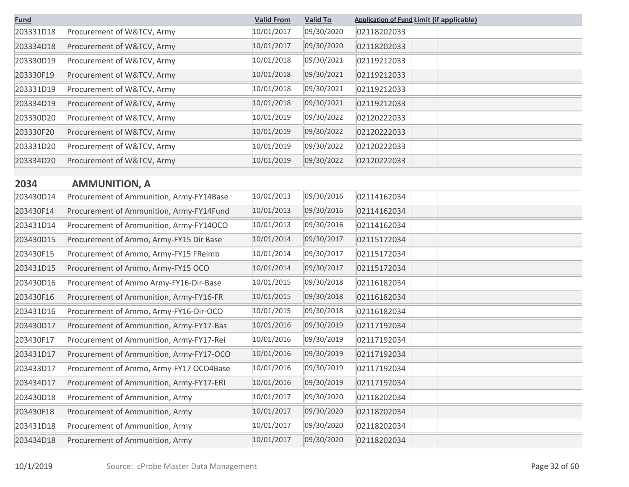| <b>Fund</b> |                                          | <b>Valid From</b> | <b>Valid To</b> | <b>Application of Fund Limit (if applicable)</b> |
|-------------|------------------------------------------|-------------------|-----------------|--------------------------------------------------|
| 203331D18   | Procurement of W&TCV, Army               | 10/01/2017        | 09/30/2020      | 02118202033                                      |
| 203334D18   | Procurement of W&TCV, Army               | 10/01/2017        | 09/30/2020      | 02118202033                                      |
| 203330D19   | Procurement of W&TCV, Army               | 10/01/2018        | 09/30/2021      | 02119212033                                      |
| 203330F19   | Procurement of W&TCV, Army               | 10/01/2018        | 09/30/2021      | 02119212033                                      |
| 203331D19   | Procurement of W&TCV, Army               | 10/01/2018        | 09/30/2021      | 02119212033                                      |
| 203334D19   | Procurement of W&TCV, Army               | 10/01/2018        | 09/30/2021      | 02119212033                                      |
| 203330D20   | Procurement of W&TCV, Army               | 10/01/2019        | 09/30/2022      | 02120222033                                      |
| 203330F20   | Procurement of W&TCV, Army               | 10/01/2019        | 09/30/2022      | 02120222033                                      |
| 203331D20   | Procurement of W&TCV, Army               | 10/01/2019        | 09/30/2022      | 02120222033                                      |
| 203334D20   | Procurement of W&TCV, Army               | 10/01/2019        | 09/30/2022      | 02120222033                                      |
|             |                                          |                   |                 |                                                  |
| 2034        | <b>AMMUNITION, A</b>                     |                   |                 |                                                  |
| 203430D14   | Procurement of Ammunition, Army-FY14Base | 10/01/2013        | 09/30/2016      | 02114162034                                      |
| 203430F14   | Procurement of Ammunition, Army-FY14Fund | 10/01/2013        | 09/30/2016      | 02114162034                                      |
| 203431D14   | Procurement of Ammunition, Army-FY14OCO  | 10/01/2013        | 09/30/2016      | 02114162034                                      |
| 203430D15   | Procurement of Ammo, Army-FY15 Dir Base  | 10/01/2014        | 09/30/2017      | 02115172034                                      |
| 203430F15   | Procurement of Ammo, Army-FY15 FReimb    | 10/01/2014        | 09/30/2017      | 02115172034                                      |
| 203431D15   | Procurement of Ammo, Army-FY15 OCO       | 10/01/2014        | 09/30/2017      | 02115172034                                      |
| 203430D16   | Procurement of Ammo Army-FY16-Dir-Base   | 10/01/2015        | 09/30/2018      | 02116182034                                      |
| 203430F16   | Procurement of Ammunition, Army-FY16-FR  | 10/01/2015        | 09/30/2018      | 02116182034                                      |
| 203431D16   | Procurement of Ammo, Army-FY16-Dir-OCO   | 10/01/2015        | 09/30/2018      | 02116182034                                      |
| 203430D17   | Procurement of Ammunition, Army-FY17-Bas | 10/01/2016        | 09/30/2019      | 02117192034                                      |
| 203430F17   | Procurement of Ammunition, Army-FY17-Rei | 10/01/2016        | 09/30/2019      | 02117192034                                      |
| 203431D17   | Procurement of Ammunition, Army-FY17-OCO | 10/01/2016        | 09/30/2019      | 02117192034                                      |
| 203433D17   | Procurement of Ammo, Army-FY17 OCO4Base  | 10/01/2016        | 09/30/2019      | 02117192034                                      |
| 203434D17   | Procurement of Ammunition, Army-FY17-ERI | 10/01/2016        | 09/30/2019      | 02117192034                                      |
| 203430D18   | Procurement of Ammunition, Army          | 10/01/2017        | 09/30/2020      | 02118202034                                      |
| 203430F18   | Procurement of Ammunition, Army          | 10/01/2017        | 09/30/2020      | 02118202034                                      |
| 203431D18   | Procurement of Ammunition, Army          | 10/01/2017        | 09/30/2020      | 02118202034                                      |
| 203434D18   | Procurement of Ammunition, Army          | 10/01/2017        | 09/30/2020      | 02118202034                                      |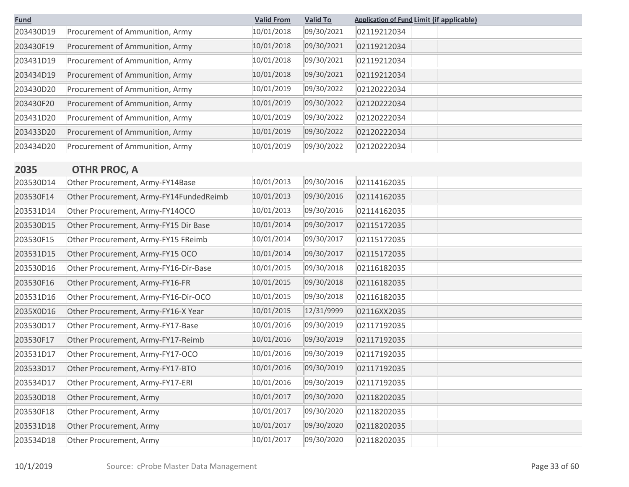| <b>Fund</b> |                                         | <b>Valid From</b> | <b>Valid To</b> | <b>Application of Fund Limit (if applicable)</b> |  |
|-------------|-----------------------------------------|-------------------|-----------------|--------------------------------------------------|--|
| 203430D19   | Procurement of Ammunition, Army         | 10/01/2018        | 09/30/2021      | 02119212034                                      |  |
| 203430F19   | Procurement of Ammunition, Army         | 10/01/2018        | 09/30/2021      | 02119212034                                      |  |
| 203431D19   | Procurement of Ammunition, Army         | 10/01/2018        | 09/30/2021      | 02119212034                                      |  |
| 203434D19   | Procurement of Ammunition, Army         | 10/01/2018        | 09/30/2021      | 02119212034                                      |  |
| 203430D20   | Procurement of Ammunition, Army         | 10/01/2019        | 09/30/2022      | 02120222034                                      |  |
| 203430F20   | Procurement of Ammunition, Army         | 10/01/2019        | 09/30/2022      | 02120222034                                      |  |
| 203431D20   | Procurement of Ammunition, Army         | 10/01/2019        | 09/30/2022      | 02120222034                                      |  |
| 203433D20   | Procurement of Ammunition, Army         | 10/01/2019        | 09/30/2022      | 02120222034                                      |  |
| 203434D20   | Procurement of Ammunition, Army         | 10/01/2019        | 09/30/2022      | 02120222034                                      |  |
|             |                                         |                   |                 |                                                  |  |
| 2035        | <b>OTHR PROC, A</b>                     |                   |                 |                                                  |  |
| 203530D14   | Other Procurement, Army-FY14Base        | 10/01/2013        | 09/30/2016      | 02114162035                                      |  |
| 203530F14   | Other Procurement, Army-FY14FundedReimb | 10/01/2013        | 09/30/2016      | 02114162035                                      |  |
| 203531D14   | Other Procurement, Army-FY14OCO         | 10/01/2013        | 09/30/2016      | 02114162035                                      |  |
| 203530D15   | Other Procurement, Army-FY15 Dir Base   | 10/01/2014        | 09/30/2017      | 02115172035                                      |  |
| 203530F15   | Other Procurement, Army-FY15 FReimb     | 10/01/2014        | 09/30/2017      | 02115172035                                      |  |
| 203531D15   | Other Procurement, Army-FY15 OCO        | 10/01/2014        | 09/30/2017      | 02115172035                                      |  |
| 203530D16   | Other Procurement, Army-FY16-Dir-Base   | 10/01/2015        | 09/30/2018      | 02116182035                                      |  |
| 203530F16   | Other Procurement, Army-FY16-FR         | 10/01/2015        | 09/30/2018      | 02116182035                                      |  |
| 203531D16   | Other Procurement, Army-FY16-Dir-OCO    | 10/01/2015        | 09/30/2018      | 02116182035                                      |  |
| 2035X0D16   | Other Procurement, Army-FY16-X Year     | 10/01/2015        | 12/31/9999      | 02116XX2035                                      |  |
| 203530D17   | Other Procurement, Army-FY17-Base       | 10/01/2016        | 09/30/2019      | 02117192035                                      |  |
| 203530F17   | Other Procurement, Army-FY17-Reimb      | 10/01/2016        | 09/30/2019      | 02117192035                                      |  |
| 203531D17   | Other Procurement, Army-FY17-OCO        | 10/01/2016        | 09/30/2019      | 02117192035                                      |  |
| 203533D17   | Other Procurement, Army-FY17-BTO        | 10/01/2016        | 09/30/2019      | 02117192035                                      |  |
| 203534D17   | Other Procurement, Army-FY17-ERI        | 10/01/2016        | 09/30/2019      | 02117192035                                      |  |
| 203530D18   | Other Procurement, Army                 | 10/01/2017        | 09/30/2020      | 02118202035                                      |  |
| 203530F18   | Other Procurement, Army                 | 10/01/2017        | 09/30/2020      | 02118202035                                      |  |
| 203531D18   | Other Procurement, Army                 | 10/01/2017        | 09/30/2020      | 02118202035                                      |  |
| 203534D18   | Other Procurement, Army                 | 10/01/2017        | 09/30/2020      | 02118202035                                      |  |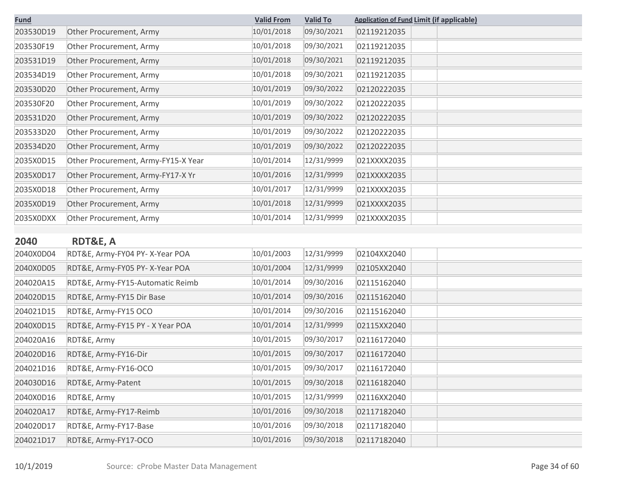| <b>Fund</b> |                                     | <b>Valid From</b> | <b>Valid To</b> | <b>Application of Fund Limit (if applicable)</b> |
|-------------|-------------------------------------|-------------------|-----------------|--------------------------------------------------|
| 203530D19   | Other Procurement, Army             | 10/01/2018        | 09/30/2021      | 02119212035                                      |
| 203530F19   | Other Procurement, Army             | 10/01/2018        | 09/30/2021      | 02119212035                                      |
| 203531D19   | Other Procurement, Army             | 10/01/2018        | 09/30/2021      | 02119212035                                      |
| 203534D19   | Other Procurement, Army             | 10/01/2018        | 09/30/2021      | 02119212035                                      |
| 203530D20   | Other Procurement, Army             | 10/01/2019        | 09/30/2022      | 02120222035                                      |
| 203530F20   | Other Procurement, Army             | 10/01/2019        | 09/30/2022      | 02120222035                                      |
| 203531D20   | Other Procurement, Army             | 10/01/2019        | 09/30/2022      | 02120222035                                      |
| 203533D20   | Other Procurement, Army             | 10/01/2019        | 09/30/2022      | 02120222035                                      |
| 203534D20   | Other Procurement, Army             | 10/01/2019        | 09/30/2022      | 02120222035                                      |
| 2035X0D15   | Other Procurement, Army-FY15-X Year | 10/01/2014        | 12/31/9999      | 021XXXX2035                                      |
| 2035X0D17   | Other Procurement, Army-FY17-X Yr   | 10/01/2016        | 12/31/9999      | 021XXXX2035                                      |
| 2035X0D18   | Other Procurement, Army             | 10/01/2017        | 12/31/9999      | 021XXXX2035                                      |
| 2035X0D19   | Other Procurement, Army             | 10/01/2018        | 12/31/9999      | 021XXXX2035                                      |
| 2035X0DXX   | Other Procurement, Army             | 10/01/2014        | 12/31/9999      | 021XXXX2035                                      |
|             |                                     |                   |                 |                                                  |
| 2040        | <b>RDT&amp;E, A</b>                 |                   |                 |                                                  |
| 2040X0D04   | RDT&E, Army-FY04 PY- X-Year POA     | 10/01/2003        | 12/31/9999      | 02104XX2040                                      |
| 2040X0D05   | RDT&E, Army-FY05 PY-X-Year POA      | 10/01/2004        | 12/31/9999      | 02105XX2040                                      |
| 204020A15   | RDT&E, Army-FY15-Automatic Reimb    | 10/01/2014        | 09/30/2016      | 02115162040                                      |
| 204020D15   | RDT&E, Army-FY15 Dir Base           | 10/01/2014        | 09/30/2016      | 02115162040                                      |
| 204021D15   | RDT&E, Army-FY15 OCO                | 10/01/2014        | 09/30/2016      | 02115162040                                      |
| $2010V001F$ | DDTOF Army EVIE BY V Voor DOA       | 10/01/2011        | 12/21/0000      | 02115VV2010                                      |

| 2040X0D05 | RDT&E, Army-FY05 PY-X-Year POA   | 10/01/2004 | 12/31/9999 | 02105XX2040 |  |
|-----------|----------------------------------|------------|------------|-------------|--|
| 204020A15 | RDT&E, Army-FY15-Automatic Reimb | 10/01/2014 | 09/30/2016 | 02115162040 |  |
| 204020D15 | RDT&E, Army-FY15 Dir Base        | 10/01/2014 | 09/30/2016 | 02115162040 |  |
| 204021D15 | RDT&E, Army-FY15 OCO             | 10/01/2014 | 09/30/2016 | 02115162040 |  |
| 2040X0D15 | RDT&E, Army-FY15 PY - X Year POA | 10/01/2014 | 12/31/9999 | 02115XX2040 |  |
| 204020A16 | RDT&E, Army                      | 10/01/2015 | 09/30/2017 | 02116172040 |  |
| 204020D16 | RDT&E, Army-FY16-Dir             | 10/01/2015 | 09/30/2017 | 02116172040 |  |
| 204021D16 | RDT&E, Army-FY16-OCO             | 10/01/2015 | 09/30/2017 | 02116172040 |  |
| 204030D16 | RDT&E, Army-Patent               | 10/01/2015 | 09/30/2018 | 02116182040 |  |
| 2040X0D16 | RDT&E, Army                      | 10/01/2015 | 12/31/9999 | 02116XX2040 |  |
| 204020A17 | RDT&E, Army-FY17-Reimb           | 10/01/2016 | 09/30/2018 | 02117182040 |  |
| 204020D17 | RDT&E, Army-FY17-Base            | 10/01/2016 | 09/30/2018 | 02117182040 |  |
| 204021D17 | RDT&E, Army-FY17-OCO             | 10/01/2016 | 09/30/2018 | 02117182040 |  |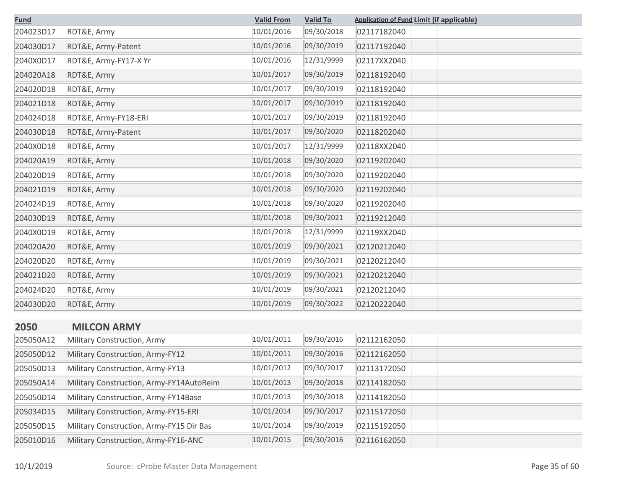| <b>Fund</b> |                       | <b>Valid From</b> | <b>Valid To</b> | <b>Application of Fund Limit (if applicable)</b> |
|-------------|-----------------------|-------------------|-----------------|--------------------------------------------------|
| 204023D17   | RDT&E, Army           | 10/01/2016        | 09/30/2018      | 02117182040                                      |
| 204030D17   | RDT&E, Army-Patent    | 10/01/2016        | 09/30/2019      | 02117192040                                      |
| 2040X0D17   | RDT&E, Army-FY17-X Yr | 10/01/2016        | 12/31/9999      | 02117XX2040                                      |
| 204020A18   | RDT&E, Army           | 10/01/2017        | 09/30/2019      | 02118192040                                      |
| 204020D18   | RDT&E, Army           | 10/01/2017        | 09/30/2019      | 02118192040                                      |
| 204021D18   | RDT&E, Army           | 10/01/2017        | 09/30/2019      | 02118192040                                      |
| 204024D18   | RDT&E, Army-FY18-ERI  | 10/01/2017        | 09/30/2019      | 02118192040                                      |
| 204030D18   | RDT&E, Army-Patent    | 10/01/2017        | 09/30/2020      | 02118202040                                      |
| 2040X0D18   | RDT&E, Army           | 10/01/2017        | 12/31/9999      | 02118XX2040                                      |
| 204020A19   | RDT&E, Army           | 10/01/2018        | 09/30/2020      | 02119202040                                      |
| 204020D19   | RDT&E, Army           | 10/01/2018        | 09/30/2020      | 02119202040                                      |
| 204021D19   | RDT&E, Army           | 10/01/2018        | 09/30/2020      | 02119202040                                      |
| 204024D19   | RDT&E, Army           | 10/01/2018        | 09/30/2020      | 02119202040                                      |
| 204030D19   | RDT&E, Army           | 10/01/2018        | 09/30/2021      | 02119212040                                      |
| 2040X0D19   | RDT&E, Army           | 10/01/2018        | 12/31/9999      | 02119XX2040                                      |
| 204020A20   | RDT&E, Army           | 10/01/2019        | 09/30/2021      | 02120212040                                      |
| 204020D20   | RDT&E, Army           | 10/01/2019        | 09/30/2021      | 02120212040                                      |
| 204021D20   | RDT&E, Army           | 10/01/2019        | 09/30/2021      | 02120212040                                      |
| 204024D20   | RDT&E, Army           | 10/01/2019        | 09/30/2021      | 02120212040                                      |
| 204030D20   | RDT&E, Army           | 10/01/2019        | 09/30/2022      | 02120222040                                      |
| 2050        | <b>MILCON ARMY</b>    |                   |                 |                                                  |

| 205050A12 | Military Construction, Army              | 10/01/2011 | 09/30/2016 | 02112162050 |
|-----------|------------------------------------------|------------|------------|-------------|
| 205050D12 | Military Construction, Army-FY12         | 10/01/2011 | 09/30/2016 | 02112162050 |
| 205050D13 | Military Construction, Army-FY13         | 10/01/2012 | 09/30/2017 | 02113172050 |
| 205050A14 | Military Construction, Army-FY14AutoReim | 10/01/2013 | 09/30/2018 | 02114182050 |
| 205050D14 | Military Construction, Army-FY14Base     | 10/01/2013 | 09/30/2018 | 02114182050 |
| 205034D15 | Military Construction, Army-FY15-ERI     | 10/01/2014 | 09/30/2017 | 02115172050 |
| 205050D15 | Military Construction, Army-FY15 Dir Bas | 10/01/2014 | 09/30/2019 | 02115192050 |
| 205010D16 | Military Construction, Army-FY16-ANC     | 10/01/2015 | 09/30/2016 | 02116162050 |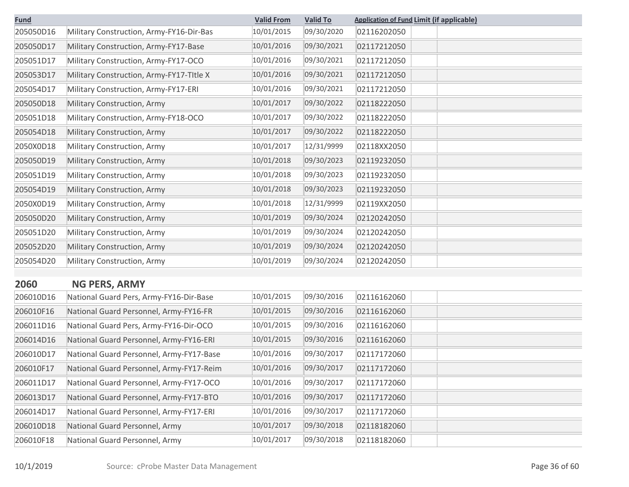| <b>Fund</b> |                                          | <b>Valid From</b> | <b>Valid To</b> | <b>Application of Fund Limit (if applicable)</b> |
|-------------|------------------------------------------|-------------------|-----------------|--------------------------------------------------|
| 205050D16   | Military Construction, Army-FY16-Dir-Bas | 10/01/2015        | 09/30/2020      | 02116202050                                      |
| 205050D17   | Military Construction, Army-FY17-Base    | 10/01/2016        | 09/30/2021      | 02117212050                                      |
| 205051D17   | Military Construction, Army-FY17-OCO     | 10/01/2016        | 09/30/2021      | 02117212050                                      |
| 205053D17   | Military Construction, Army-FY17-Title X | 10/01/2016        | 09/30/2021      | 02117212050                                      |
| 205054D17   | Military Construction, Army-FY17-ERI     | 10/01/2016        | 09/30/2021      | 02117212050                                      |
| 205050D18   | Military Construction, Army              | 10/01/2017        | 09/30/2022      | 02118222050                                      |
| 205051D18   | Military Construction, Army-FY18-OCO     | 10/01/2017        | 09/30/2022      | 02118222050                                      |
| 205054D18   | Military Construction, Army              | 10/01/2017        | 09/30/2022      | 02118222050                                      |
| 2050X0D18   | Military Construction, Army              | 10/01/2017        | 12/31/9999      | 02118XX2050                                      |
| 205050D19   | Military Construction, Army              | 10/01/2018        | 09/30/2023      | 02119232050                                      |
| 205051D19   | Military Construction, Army              | 10/01/2018        | 09/30/2023      | 02119232050                                      |
| 205054D19   | Military Construction, Army              | 10/01/2018        | 09/30/2023      | 02119232050                                      |
| 2050X0D19   | Military Construction, Army              | 10/01/2018        | 12/31/9999      | 02119XX2050                                      |
| 205050D20   | Military Construction, Army              | 10/01/2019        | 09/30/2024      | 02120242050                                      |
| 205051D20   | Military Construction, Army              | 10/01/2019        | 09/30/2024      | 02120242050                                      |
| 205052D20   | Military Construction, Army              | 10/01/2019        | 09/30/2024      | 02120242050                                      |
| 205054D20   | Military Construction, Army              | 10/01/2019        | 09/30/2024      | 02120242050                                      |
|             |                                          |                   |                 |                                                  |
| 2060        | <b>NG PERS, ARMY</b>                     |                   |                 |                                                  |
| 206010D16   | National Guard Pers, Army-FY16-Dir-Base  | 10/01/2015        | 09/30/2016      | 02116162060                                      |
| 206010F16   | National Guard Personnel, Army-FY16-FR   | 10/01/2015        | 09/30/2016      | 02116162060                                      |
| 206011D16   | National Guard Pers, Army-FY16-Dir-OCO   | 10/01/2015        | 09/30/2016      | 02116162060                                      |
| 206014D16   | National Guard Personnel, Army-FY16-ERI  | 10/01/2015        | 09/30/2016      | 02116162060                                      |
| 206010D17   | National Guard Personnel, Army-FY17-Base | 10/01/2016        | 09/30/2017      | 02117172060                                      |
| 206010F17   | National Guard Personnel, Army-FY17-Reim | 10/01/2016        | 09/30/2017      | 02117172060                                      |
| 206011D17   | National Guard Personnel, Army-FY17-OCO  | 10/01/2016        | 09/30/2017      | 02117172060                                      |
| 206013D17   | National Guard Personnel, Army-FY17-BTO  | 10/01/2016        | 09/30/2017      | 02117172060                                      |
| 206014D17   | National Guard Personnel, Army-FY17-ERI  | 10/01/2016        | 09/30/2017      | 02117172060                                      |
| 206010D18   | National Guard Personnel, Army           | 10/01/2017        | 09/30/2018      | 02118182060                                      |
| 206010F18   | National Guard Personnel, Army           | 10/01/2017        | 09/30/2018      | 02118182060                                      |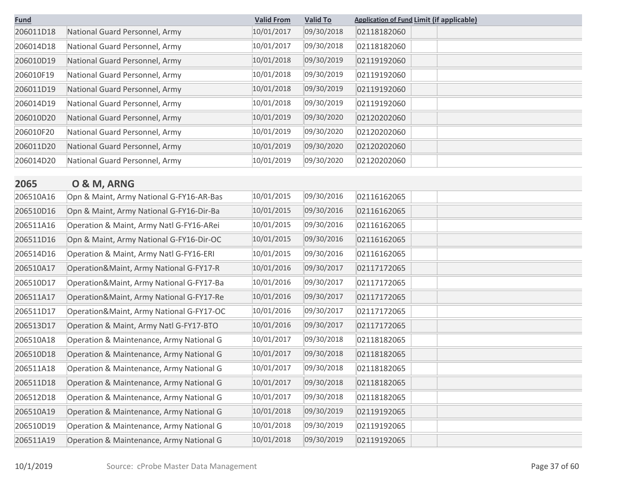| <b>Fund</b> |                                          | <b>Valid From</b> | <b>Valid To</b> | <b>Application of Fund Limit (if applicable)</b> |  |
|-------------|------------------------------------------|-------------------|-----------------|--------------------------------------------------|--|
| 206011D18   | National Guard Personnel, Army           | 10/01/2017        | 09/30/2018      | 02118182060                                      |  |
| 206014D18   | National Guard Personnel, Army           | 10/01/2017        | 09/30/2018      | 02118182060                                      |  |
| 206010D19   | National Guard Personnel, Army           | 10/01/2018        | 09/30/2019      | 02119192060                                      |  |
| 206010F19   | National Guard Personnel, Army           | 10/01/2018        | 09/30/2019      | 02119192060                                      |  |
| 206011D19   | National Guard Personnel, Army           | 10/01/2018        | 09/30/2019      | 02119192060                                      |  |
| 206014D19   | National Guard Personnel, Army           | 10/01/2018        | 09/30/2019      | 02119192060                                      |  |
| 206010D20   | National Guard Personnel, Army           | 10/01/2019        | 09/30/2020      | 02120202060                                      |  |
| 206010F20   | National Guard Personnel, Army           | 10/01/2019        | 09/30/2020      | 02120202060                                      |  |
| 206011D20   | National Guard Personnel, Army           | 10/01/2019        | 09/30/2020      | 02120202060                                      |  |
| 206014D20   | National Guard Personnel, Army           | 10/01/2019        | 09/30/2020      | 02120202060                                      |  |
| 2065        | O & M, ARNG                              |                   |                 |                                                  |  |
| 206510A16   | Opn & Maint, Army National G-FY16-AR-Bas | 10/01/2015        | 09/30/2016      | 02116162065                                      |  |
| 206510D16   | Opn & Maint, Army National G-FY16-Dir-Ba | 10/01/2015        | 09/30/2016      | 02116162065                                      |  |
| 206511A16   | Operation & Maint, Army Natl G-FY16-ARei | 10/01/2015        | 09/30/2016      | 02116162065                                      |  |
| 206511D16   | Opn & Maint, Army National G-FY16-Dir-OC | 10/01/2015        | 09/30/2016      | 02116162065                                      |  |
| 206514D16   | Operation & Maint, Army Natl G-FY16-ERI  | 10/01/2015        | 09/30/2016      | 02116162065                                      |  |
| 206510A17   | Operation&Maint, Army National G-FY17-R  | 10/01/2016        | 09/30/2017      | 02117172065                                      |  |
| 206510D17   | Operation&Maint, Army National G-FY17-Ba | 10/01/2016        | 09/30/2017      | 02117172065                                      |  |
| 206511A17   | Operation&Maint, Army National G-FY17-Re | 10/01/2016        | 09/30/2017      | 02117172065                                      |  |
| 206511D17   | Operation&Maint, Army National G-FY17-OC | 10/01/2016        | 09/30/2017      | 02117172065                                      |  |
| 206513D17   | Operation & Maint, Army Natl G-FY17-BTO  | 10/01/2016        | 09/30/2017      | 02117172065                                      |  |
| 206510A18   | Operation & Maintenance, Army National G | 10/01/2017        | 09/30/2018      | 02118182065                                      |  |
| 206510D18   | Operation & Maintenance, Army National G | 10/01/2017        | 09/30/2018      | 02118182065                                      |  |
| 206511A18   | Operation & Maintenance, Army National G | 10/01/2017        | 09/30/2018      | 02118182065                                      |  |
| 206511D18   | Operation & Maintenance, Army National G | 10/01/2017        | 09/30/2018      | 02118182065                                      |  |
| 206512D18   | Operation & Maintenance, Army National G | 10/01/2017        | 09/30/2018      | 02118182065                                      |  |
| 206510A19   | Operation & Maintenance, Army National G | 10/01/2018        | 09/30/2019      | 02119192065                                      |  |
| 206510D19   | Operation & Maintenance, Army National G | 10/01/2018        | 09/30/2019      | 02119192065                                      |  |
| 206511A19   | Operation & Maintenance, Army National G | 10/01/2018        | 09/30/2019      | 02119192065                                      |  |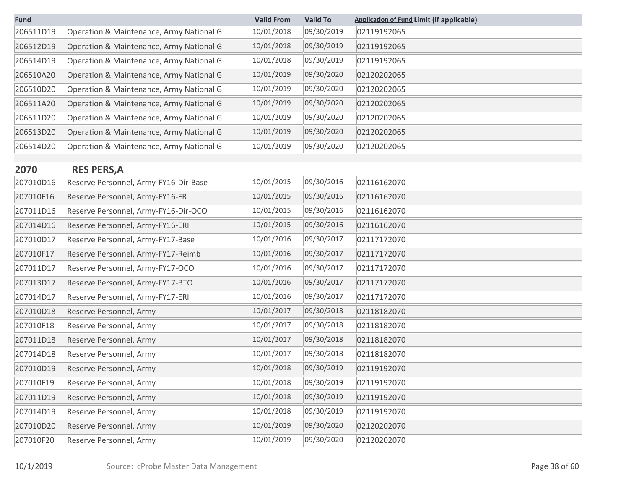| <b>Fund</b> |                                          | <b>Valid From</b> | <b>Valid To</b> | <b>Application of Fund Limit (if applicable)</b> |
|-------------|------------------------------------------|-------------------|-----------------|--------------------------------------------------|
| 206511D19   | Operation & Maintenance, Army National G | 10/01/2018        | 09/30/2019      | 02119192065                                      |
| 206512D19   | Operation & Maintenance, Army National G | 10/01/2018        | 09/30/2019      | 02119192065                                      |
| 206514D19   | Operation & Maintenance, Army National G | 10/01/2018        | 09/30/2019      | 02119192065                                      |
| 206510A20   | Operation & Maintenance, Army National G | 10/01/2019        | 09/30/2020      | 02120202065                                      |
| 206510D20   | Operation & Maintenance, Army National G | 10/01/2019        | 09/30/2020      | 02120202065                                      |
| 206511A20   | Operation & Maintenance, Army National G | 10/01/2019        | 09/30/2020      | 02120202065                                      |
| 206511D20   | Operation & Maintenance, Army National G | 10/01/2019        | 09/30/2020      | 02120202065                                      |
| 206513D20   | Operation & Maintenance, Army National G | 10/01/2019        | 09/30/2020      | 02120202065                                      |
| 206514D20   | Operation & Maintenance, Army National G | 10/01/2019        | 09/30/2020      | 02120202065                                      |

# **2070 RES PERS,A**

| 207010D16 | Reserve Personnel, Army-FY16-Dir-Base | 10/01/2015 | 09/30/2016 | 02116162070 |  |
|-----------|---------------------------------------|------------|------------|-------------|--|
| 207010F16 | Reserve Personnel, Army-FY16-FR       | 10/01/2015 | 09/30/2016 | 02116162070 |  |
| 207011D16 | Reserve Personnel, Army-FY16-Dir-OCO  | 10/01/2015 | 09/30/2016 | 02116162070 |  |
| 207014D16 | Reserve Personnel, Army-FY16-ERI      | 10/01/2015 | 09/30/2016 | 02116162070 |  |
| 207010D17 | Reserve Personnel, Army-FY17-Base     | 10/01/2016 | 09/30/2017 | 02117172070 |  |
| 207010F17 | Reserve Personnel, Army-FY17-Reimb    | 10/01/2016 | 09/30/2017 | 02117172070 |  |
| 207011D17 | Reserve Personnel, Army-FY17-OCO      | 10/01/2016 | 09/30/2017 | 02117172070 |  |
| 207013D17 | Reserve Personnel, Army-FY17-BTO      | 10/01/2016 | 09/30/2017 | 02117172070 |  |
| 207014D17 | Reserve Personnel, Army-FY17-ERI      | 10/01/2016 | 09/30/2017 | 02117172070 |  |
| 207010D18 | Reserve Personnel, Army               | 10/01/2017 | 09/30/2018 | 02118182070 |  |
| 207010F18 | Reserve Personnel, Army               | 10/01/2017 | 09/30/2018 | 02118182070 |  |
| 207011D18 | Reserve Personnel, Army               | 10/01/2017 | 09/30/2018 | 02118182070 |  |
| 207014D18 | Reserve Personnel, Army               | 10/01/2017 | 09/30/2018 | 02118182070 |  |
| 207010D19 | Reserve Personnel, Army               | 10/01/2018 | 09/30/2019 | 02119192070 |  |
| 207010F19 | Reserve Personnel, Army               | 10/01/2018 | 09/30/2019 | 02119192070 |  |
| 207011D19 | Reserve Personnel, Army               | 10/01/2018 | 09/30/2019 | 02119192070 |  |
| 207014D19 | Reserve Personnel, Army               | 10/01/2018 | 09/30/2019 | 02119192070 |  |
| 207010D20 | Reserve Personnel, Army               | 10/01/2019 | 09/30/2020 | 02120202070 |  |
| 207010F20 | Reserve Personnel, Army               | 10/01/2019 | 09/30/2020 | 02120202070 |  |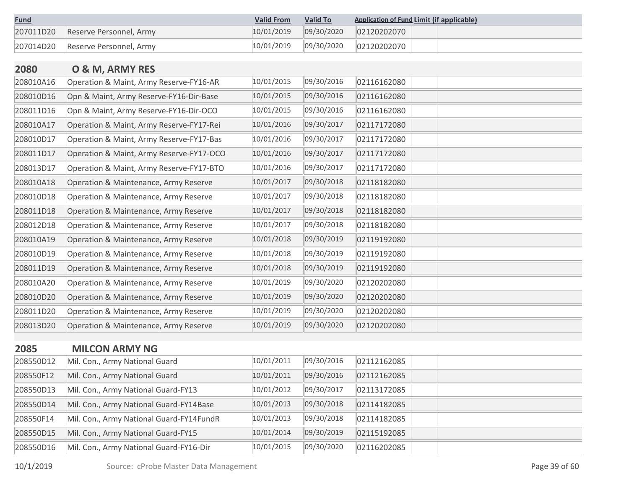| <b>Fund</b> |                         | <b>Valid From</b> | <b>Valid To</b> | <b>Application of Fund Limit (if applicable)</b> |
|-------------|-------------------------|-------------------|-----------------|--------------------------------------------------|
| 207011D20   | Reserve Personnel, Army | 10/01/2019        | 09/30/2020      | 02120202070                                      |
| 207014D20   | Reserve Personnel, Army | 10/01/2019        | 09/30/2020      | 02120202070                                      |

| 2080      | O & M, ARMY RES                          |            |            |             |  |
|-----------|------------------------------------------|------------|------------|-------------|--|
| 208010A16 | Operation & Maint, Army Reserve-FY16-AR  | 10/01/2015 | 09/30/2016 | 02116162080 |  |
| 208010D16 | Opn & Maint, Army Reserve-FY16-Dir-Base  | 10/01/2015 | 09/30/2016 | 02116162080 |  |
| 208011D16 | Opn & Maint, Army Reserve-FY16-Dir-OCO   | 10/01/2015 | 09/30/2016 | 02116162080 |  |
| 208010A17 | Operation & Maint, Army Reserve-FY17-Rei | 10/01/2016 | 09/30/2017 | 02117172080 |  |
| 208010D17 | Operation & Maint, Army Reserve-FY17-Bas | 10/01/2016 | 09/30/2017 | 02117172080 |  |
| 208011D17 | Operation & Maint, Army Reserve-FY17-OCO | 10/01/2016 | 09/30/2017 | 02117172080 |  |
| 208013D17 | Operation & Maint, Army Reserve-FY17-BTO | 10/01/2016 | 09/30/2017 | 02117172080 |  |
| 208010A18 | Operation & Maintenance, Army Reserve    | 10/01/2017 | 09/30/2018 | 02118182080 |  |
| 208010D18 | Operation & Maintenance, Army Reserve    | 10/01/2017 | 09/30/2018 | 02118182080 |  |
| 208011D18 | Operation & Maintenance, Army Reserve    | 10/01/2017 | 09/30/2018 | 02118182080 |  |
| 208012D18 | Operation & Maintenance, Army Reserve    | 10/01/2017 | 09/30/2018 | 02118182080 |  |
| 208010A19 | Operation & Maintenance, Army Reserve    | 10/01/2018 | 09/30/2019 | 02119192080 |  |
| 208010D19 | Operation & Maintenance, Army Reserve    | 10/01/2018 | 09/30/2019 | 02119192080 |  |
| 208011D19 | Operation & Maintenance, Army Reserve    | 10/01/2018 | 09/30/2019 | 02119192080 |  |
| 208010A20 | Operation & Maintenance, Army Reserve    | 10/01/2019 | 09/30/2020 | 02120202080 |  |
| 208010D20 | Operation & Maintenance, Army Reserve    | 10/01/2019 | 09/30/2020 | 02120202080 |  |
| 208011D20 | Operation & Maintenance, Army Reserve    | 10/01/2019 | 09/30/2020 | 02120202080 |  |
| 208013D20 | Operation & Maintenance, Army Reserve    | 10/01/2019 | 09/30/2020 | 02120202080 |  |
|           |                                          |            |            |             |  |
| 2085      | <b>MILCON ARMY NG</b>                    |            |            |             |  |
| 208550D12 | Mil. Con., Army National Guard           | 10/01/2011 | 09/30/2016 | 02112162085 |  |

| 208550D12 | Mil. Con., Army National Guard           | 10/01/2011 | 09/30/2016 | 02112162085 |
|-----------|------------------------------------------|------------|------------|-------------|
| 208550F12 | Mil. Con., Army National Guard           | 10/01/2011 | 09/30/2016 | 02112162085 |
| 208550D13 | Mil. Con., Army National Guard-FY13      | 10/01/2012 | 09/30/2017 | 02113172085 |
| 208550D14 | Mil. Con., Army National Guard-FY14Base  | 10/01/2013 | 09/30/2018 | 02114182085 |
| 208550F14 | Mil. Con., Army National Guard-FY14FundR | 10/01/2013 | 09/30/2018 | 02114182085 |
| 208550D15 | Mil. Con., Army National Guard-FY15      | 10/01/2014 | 09/30/2019 | 02115192085 |
| 208550D16 | Mil. Con., Army National Guard-FY16-Dir  | 10/01/2015 | 09/30/2020 | 02116202085 |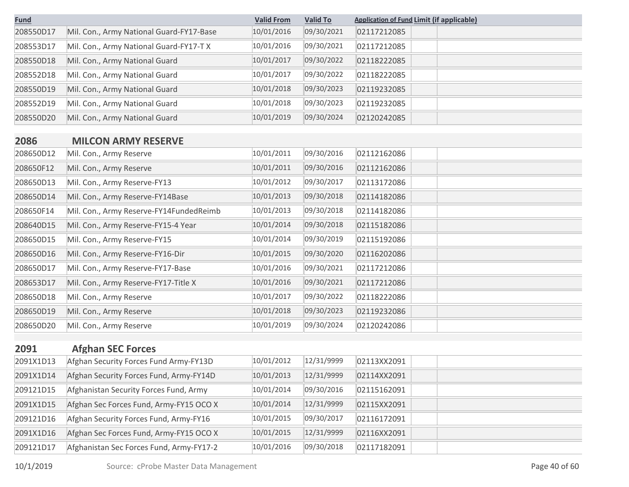| <b>Fund</b> |                                          | <b>Valid From</b> | <b>Valid To</b> | <b>Application of Fund Limit (if applicable)</b> |
|-------------|------------------------------------------|-------------------|-----------------|--------------------------------------------------|
| 208550D17   | Mil. Con., Army National Guard-FY17-Base | 10/01/2016        | 09/30/2021      | 02117212085                                      |
| 208553D17   | Mil. Con., Army National Guard-FY17-T X  | 10/01/2016        | 09/30/2021      | 02117212085                                      |
| 208550D18   | Mil. Con., Army National Guard           | 10/01/2017        | 09/30/2022      | 02118222085                                      |
| 208552D18   | Mil. Con., Army National Guard           | 10/01/2017        | 09/30/2022      | 02118222085                                      |
| 208550D19   | Mil. Con., Army National Guard           | 10/01/2018        | 09/30/2023      | 02119232085                                      |
| 208552D19   | Mil. Con., Army National Guard           | 10/01/2018        | 09/30/2023      | 02119232085                                      |
| 208550D20   | Mil. Con., Army National Guard           | 10/01/2019        | 09/30/2024      | 02120242085                                      |
|             |                                          |                   |                 |                                                  |
| 2086        | <b>MILCON ARMY RESERVE</b>               |                   |                 |                                                  |
| 208650D12   | Mil. Con., Army Reserve                  | 10/01/2011        | 09/30/2016      | 02112162086                                      |
| 208650F12   | Mil. Con., Army Reserve                  | 10/01/2011        | 09/30/2016      | 02112162086                                      |
| 208650D13   | Mil. Con., Army Reserve-FY13             | 10/01/2012        | 09/30/2017      | 02113172086                                      |
| 208650D14   | Mil. Con., Army Reserve-FY14Base         | 10/01/2013        | 09/30/2018      | 02114182086                                      |
| 208650F14   | Mil. Con., Army Reserve-FY14FundedReimb  | 10/01/2013        | 09/30/2018      | 02114182086                                      |
| 208640D15   | Mil. Con., Army Reserve-FY15-4 Year      | 10/01/2014        | 09/30/2018      | 02115182086                                      |
| 208650D15   | Mil. Con., Army Reserve-FY15             | 10/01/2014        | 09/30/2019      | 02115192086                                      |
| 208650D16   | Mil. Con., Army Reserve-FY16-Dir         | 10/01/2015        | 09/30/2020      | 02116202086                                      |
| 208650D17   | Mil. Con., Army Reserve-FY17-Base        | 10/01/2016        | 09/30/2021      | 02117212086                                      |
| 208653D17   | Mil. Con., Army Reserve-FY17-Title X     | 10/01/2016        | 09/30/2021      | 02117212086                                      |
| 208650D18   | Mil. Con., Army Reserve                  | 10/01/2017        | 09/30/2022      | 02118222086                                      |
| 208650D19   | Mil. Con., Army Reserve                  | 10/01/2018        | 09/30/2023      | 02119232086                                      |
| 208650D20   | Mil. Con., Army Reserve                  | 10/01/2019        | 09/30/2024      | 02120242086                                      |
|             |                                          |                   |                 |                                                  |
| 2091        | <b>Afghan SEC Forces</b>                 |                   |                 |                                                  |
| 2091X1D13   | Afghan Security Forces Fund Army-FY13D   | 10/01/2012        | 12/31/9999      | 02113XX2091                                      |
| 2091X1D14   | Afghan Security Forces Fund, Army-FY14D  | 10/01/2013        | 12/31/9999      | 02114XX2091                                      |
| 209121D15   | Afghanistan Security Forces Fund, Army   | 10/01/2014        | 09/30/2016      | 02115162091                                      |
| 2091X1D15   | Afghan Sec Forces Fund, Army-FY15 OCO X  | 10/01/2014        | 12/31/9999      | 02115XX2091                                      |
| 209121D16   | Afghan Security Forces Fund, Army-FY16   | 10/01/2015        | 09/30/2017      | 02116172091                                      |
| 2091X1D16   | Afghan Sec Forces Fund, Army-FY15 OCO X  | 10/01/2015        | 12/31/9999      | 02116XX2091                                      |
| 209121D17   | Afghanistan Sec Forces Fund, Army-FY17-2 | 10/01/2016        | 09/30/2018      | 02117182091                                      |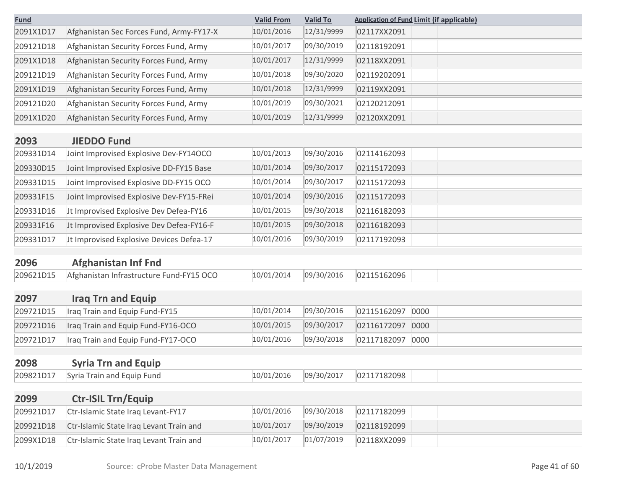| <b>Fund</b> |                                          | <b>Valid From</b> | <b>Valid To</b> | <b>Application of Fund Limit (if applicable)</b> |
|-------------|------------------------------------------|-------------------|-----------------|--------------------------------------------------|
| 2091X1D17   | Afghanistan Sec Forces Fund, Army-FY17-X | 10/01/2016        | 12/31/9999      | 02117XX2091                                      |
| 209121D18   | Afghanistan Security Forces Fund, Army   | 10/01/2017        | 09/30/2019      | 02118192091                                      |
| 2091X1D18   | Afghanistan Security Forces Fund, Army   | 10/01/2017        | 12/31/9999      | 02118XX2091                                      |
| 209121D19   | Afghanistan Security Forces Fund, Army   | 10/01/2018        | 09/30/2020      | 02119202091                                      |
| 2091X1D19   | Afghanistan Security Forces Fund, Army   | 10/01/2018        | 12/31/9999      | 02119XX2091                                      |
| 209121D20   | Afghanistan Security Forces Fund, Army   | 10/01/2019        | 09/30/2021      | 02120212091                                      |
| 2091X1D20   | Afghanistan Security Forces Fund, Army   | 10/01/2019        | 12/31/9999      | 02120XX2091                                      |
| 2093        | <b>JIEDDO Fund</b>                       |                   |                 |                                                  |
| 209331D14   | Joint Improvised Explosive Dev-FY14OCO   | 10/01/2013        | 09/30/2016      | 02114162093                                      |
| 209330D15   | Joint Improvised Explosive DD-FY15 Base  | 10/01/2014        | 09/30/2017      | 02115172093                                      |
| 209331D15   | Joint Improvised Explosive DD-FY15 OCO   | 10/01/2014        | 09/30/2017      | 02115172093                                      |
| 209331F15   | Joint Improvised Explosive Dev-FY15-FRei | 10/01/2014        | 09/30/2016      | 02115172093                                      |
| 209331D16   | Jt Improvised Explosive Dev Defea-FY16   | 10/01/2015        | 09/30/2018      | 02116182093                                      |
| 209331F16   | Jt Improvised Explosive Dev Defea-FY16-F | 10/01/2015        | 09/30/2018      | 02116182093                                      |
| 209331D17   | Jt Improvised Explosive Devices Defea-17 | 10/01/2016        | 09/30/2019      | 02117192093                                      |
|             |                                          |                   |                 |                                                  |
| 2096        | <b>Afghanistan Inf Fnd</b>               |                   |                 |                                                  |
| 209621D15   | Afghanistan Infrastructure Fund-FY15 OCO | 10/01/2014        | 09/30/2016      | 02115162096                                      |
| 2097        | <b>Iraq Trn and Equip</b>                |                   |                 |                                                  |
| 209721D15   | Iraq Train and Equip Fund-FY15           | 10/01/2014        | 09/30/2016      | 02115162097<br>0000                              |
| 209721D16   | Iraq Train and Equip Fund-FY16-OCO       | 10/01/2015        | 09/30/2017      | 0000<br>02116172097                              |
| 209721D17   | Iraq Train and Equip Fund-FY17-OCO       | 10/01/2016        | 09/30/2018      | 02117182097<br>0000                              |
| 2098        | <b>Syria Trn and Equip</b>               |                   |                 |                                                  |
| 209821D17   | Syria Train and Equip Fund               | 10/01/2016        | 09/30/2017      | 02117182098                                      |
|             |                                          |                   |                 |                                                  |
| 2099        | <b>Ctr-ISIL Trn/Equip</b>                |                   |                 |                                                  |
| 209921D17   | Ctr-Islamic State Iraq Levant-FY17       | 10/01/2016        | 09/30/2018      | 02117182099                                      |
| 209921D18   | Ctr-Islamic State Iraq Levant Train and  | 10/01/2017        | 09/30/2019      | 02118192099                                      |
| 2099X1D18   | Ctr-Islamic State Iraq Levant Train and  | 10/01/2017        | 01/07/2019      | 02118XX2099                                      |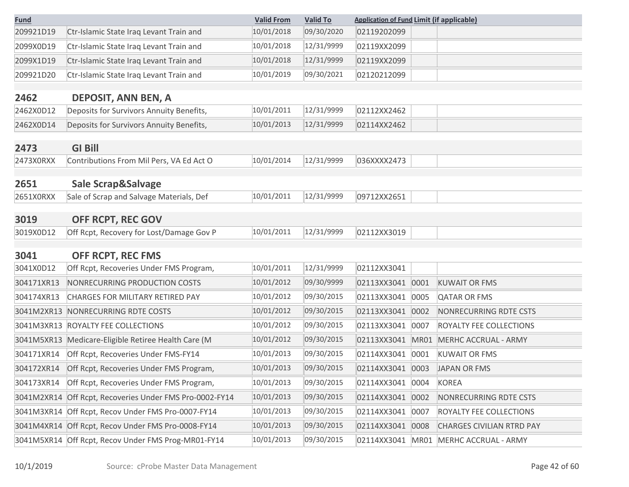| <b>Fund</b> |                                                         | <b>Valid From</b> | <b>Valid To</b> | <b>Application of Fund Limit (if applicable)</b> |      |                                       |
|-------------|---------------------------------------------------------|-------------------|-----------------|--------------------------------------------------|------|---------------------------------------|
| 209921D19   | Ctr-Islamic State Iraq Levant Train and                 | 10/01/2018        | 09/30/2020      | 02119202099                                      |      |                                       |
| 2099X0D19   | Ctr-Islamic State Iraq Levant Train and                 | 10/01/2018        | 12/31/9999      | 02119XX2099                                      |      |                                       |
| 2099X1D19   | Ctr-Islamic State Iraq Levant Train and                 | 10/01/2018        | 12/31/9999      | 02119XX2099                                      |      |                                       |
| 209921D20   | Ctr-Islamic State Iraq Levant Train and                 | 10/01/2019        | 09/30/2021      | 02120212099                                      |      |                                       |
|             |                                                         |                   |                 |                                                  |      |                                       |
| 2462        | <b>DEPOSIT, ANN BEN, A</b>                              |                   |                 |                                                  |      |                                       |
| 2462X0D12   | Deposits for Survivors Annuity Benefits,                | 10/01/2011        | 12/31/9999      | 02112XX2462                                      |      |                                       |
| 2462X0D14   | Deposits for Survivors Annuity Benefits,                | 10/01/2013        | 12/31/9999      | 02114XX2462                                      |      |                                       |
| 2473        | <b>GI Bill</b>                                          |                   |                 |                                                  |      |                                       |
| 2473X0RXX   | Contributions From Mil Pers, VA Ed Act O                | 10/01/2014        | 12/31/9999      | 036XXXX2473                                      |      |                                       |
| 2651        | Sale Scrap&Salvage                                      |                   |                 |                                                  |      |                                       |
| 2651X0RXX   | Sale of Scrap and Salvage Materials, Def                | 10/01/2011        | 12/31/9999      | 09712XX2651                                      |      |                                       |
| 3019        | OFF RCPT, REC GOV                                       |                   |                 |                                                  |      |                                       |
| 3019X0D12   | Off Rcpt, Recovery for Lost/Damage Gov P                | 10/01/2011        | 12/31/9999      | 02112XX3019                                      |      |                                       |
| 3041        | <b>OFF RCPT, REC FMS</b>                                |                   |                 |                                                  |      |                                       |
| 3041X0D12   | Off Rcpt, Recoveries Under FMS Program,                 | 10/01/2011        | 12/31/9999      | 02112XX3041                                      |      |                                       |
| 304171XR13  | NONRECURRING PRODUCTION COSTS                           | 10/01/2012        | 09/30/9999      | 02113XX3041                                      | 0001 | <b>KUWAIT OR FMS</b>                  |
| 304174XR13  | CHARGES FOR MILITARY RETIRED PAY                        | 10/01/2012        | 09/30/2015      | 02113XX3041                                      | 0005 | <b>QATAR OR FMS</b>                   |
| 3041M2XR13  | NONRECURRING RDTE COSTS                                 | 10/01/2012        | 09/30/2015      | 02113XX3041                                      | 0002 | NONRECURRING RDTE CSTS                |
| 3041M3XR13  | ROYALTY FEE COLLECTIONS                                 | 10/01/2012        | 09/30/2015      | 02113XX3041                                      | 0007 | ROYALTY FEE COLLECTIONS               |
|             | 3041M5XR13 Medicare-Eligible Retiree Health Care (M     | 10/01/2012        | 09/30/2015      | 02113XX3041                                      | MR01 | MERHC ACCRUAL - ARMY                  |
| 304171XR14  | Off Rcpt, Recoveries Under FMS-FY14                     | 10/01/2013        | 09/30/2015      | 02114XX3041                                      | 0001 | <b>KUWAIT OR FMS</b>                  |
|             | 304172XR14 Off Rcpt, Recoveries Under FMS Program,      |                   |                 |                                                  |      | 02114XX3041 0003 JAPAN OR FMS         |
| 304173XR14  | Off Rcpt, Recoveries Under FMS Program,                 | 10/01/2013        | 09/30/2015      | 02114XX3041 0004                                 |      | <b>KOREA</b>                          |
|             | 3041M2XR14 Off Rcpt, Recoveries Under FMS Pro-0002-FY14 | 10/01/2013        | 09/30/2015      | 02114XX3041                                      | 0002 | NONRECURRING RDTE CSTS                |
|             | 3041M3XR14 Off Rcpt, Recov Under FMS Pro-0007-FY14      | 10/01/2013        | 09/30/2015      | 02114XX3041                                      | 0007 | ROYALTY FEE COLLECTIONS               |
|             | 3041M4XR14 Off Rcpt, Recov Under FMS Pro-0008-FY14      | 10/01/2013        | 09/30/2015      | 02114XX3041                                      | 0008 | <b>CHARGES CIVILIAN RTRD PAY</b>      |
|             | 3041M5XR14 Off Rcpt, Recov Under FMS Prog-MR01-FY14     | 10/01/2013        | 09/30/2015      |                                                  |      | 02114XX3041 MR01 MERHC ACCRUAL - ARMY |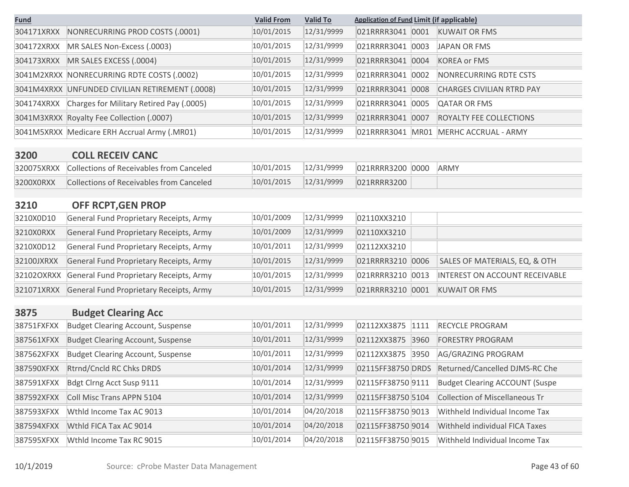| <b>Fund</b> |                                                 | <b>Valid From</b> | <b>Valid To</b> | <b>Application of Fund Limit (if applicable)</b> |                                       |
|-------------|-------------------------------------------------|-------------------|-----------------|--------------------------------------------------|---------------------------------------|
| 304171XRXX  | NONRECURRING PROD COSTS (.0001)                 | 10/01/2015        | 12/31/9999      | 021RRRR3041<br>0001                              | <b>KUWAIT OR FMS</b>                  |
| 304172XRXX  | MR SALES Non-Excess (.0003)                     | 10/01/2015        | 12/31/9999      | 021RRRR3041 0003                                 | <b>JAPAN OR FMS</b>                   |
| 304173XRXX  | MR SALES EXCESS (.0004)                         | 10/01/2015        | 12/31/9999      | 021RRRR3041 0004                                 | <b>KOREA or FMS</b>                   |
|             | 3041M2XRXX NONRECURRING RDTE COSTS (.0002)      | 10/01/2015        | 12/31/9999      | 021RRRR3041<br>0002                              | <b>NONRECURRING RDTE CSTS</b>         |
|             | 3041M4XRXX UNFUNDED CIVILIAN RETIREMENT (.0008) | 10/01/2015        | 12/31/9999      | 021RRRR3041 0008                                 | <b>CHARGES CIVILIAN RTRD PAY</b>      |
| 304174XRXX  | Charges for Military Retired Pay (.0005)        | 10/01/2015        | 12/31/9999      | 021RRRR3041<br>0005                              | <b>QATAR OR FMS</b>                   |
|             | 3041M3XRXX Royalty Fee Collection (.0007)       | 10/01/2015        | 12/31/9999      | 021RRRR3041<br>0007                              | ROYALTY FEE COLLECTIONS               |
|             | 3041M5XRXX Medicare ERH Accrual Army (.MR01)    | 10/01/2015        | 12/31/9999      | 021RRRR3041 MR01                                 | MERHC ACCRUAL - ARMY                  |
| 3200        | <b>COLL RECEIV CANC</b>                         |                   |                 |                                                  |                                       |
| 320075XRXX  | <b>Collections of Receivables from Canceled</b> | 10/01/2015        | 12/31/9999      | 021RRRR3200 0000                                 | <b>ARMY</b>                           |
| 3200X0RXX   | <b>Collections of Receivables from Canceled</b> | 10/01/2015        | 12/31/9999      | 021RRRR3200                                      |                                       |
| 3210        | OFF RCPT, GEN PROP                              |                   |                 |                                                  |                                       |
| 3210X0D10   | General Fund Proprietary Receipts, Army         | 10/01/2009        | 12/31/9999      | 02110XX3210                                      |                                       |
| 3210X0RXX   | General Fund Proprietary Receipts, Army         | 10/01/2009        | 12/31/9999      | 02110XX3210                                      |                                       |
| 3210X0D12   | General Fund Proprietary Receipts, Army         | 10/01/2011        | 12/31/9999      | 02112XX3210                                      |                                       |
| 32100JXRXX  | General Fund Proprietary Receipts, Army         | 10/01/2015        | 12/31/9999      | 021RRRR3210 0006                                 | SALES OF MATERIALS, EQ, & OTH         |
| 32102OXRXX  | General Fund Proprietary Receipts, Army         | 10/01/2015        | 12/31/9999      | 021RRRR3210 0013                                 | INTEREST ON ACCOUNT RECEIVABLE        |
| 321071XRXX  | General Fund Proprietary Receipts, Army         | 10/01/2015        | 12/31/9999      | 021RRRR3210<br>0001                              | <b>KUWAIT OR FMS</b>                  |
| 3875        | <b>Budget Clearing Acc</b>                      |                   |                 |                                                  |                                       |
| 38751FXFXX  | <b>Budget Clearing Account, Suspense</b>        | 10/01/2011        | 12/31/9999      | 02112XX3875<br>1111                              | <b>RECYCLE PROGRAM</b>                |
| 387561XFXX  | <b>Budget Clearing Account, Suspense</b>        | 10/01/2011        | 12/31/9999      | 02112XX3875<br>3960                              | <b>FORESTRY PROGRAM</b>               |
| 387562XFXX  | <b>Budget Clearing Account, Suspense</b>        | 10/01/2011        | 12/31/9999      | 02112XX3875<br>3950                              | AG/GRAZING PROGRAM                    |
| 387590XFXX  | Rtrnd/Cncld RC Chks DRDS                        | 10/01/2014        | 12/31/9999      | 02115FF38750 DRDS                                | Returned/Cancelled DJMS-RC Che        |
| 387591XFXX  | Bdgt Clrng Acct Susp 9111                       | 10/01/2014        | 12/31/9999      | 02115FF38750 9111                                | <b>Budget Clearing ACCOUNT (Suspe</b> |
| 387592XFXX  | Coll Misc Trans APPN 5104                       | 10/01/2014        | 12/31/9999      | 02115FF38750 5104                                | <b>Collection of Miscellaneous Tr</b> |
| 387593XFXX  | Wthld Income Tax AC 9013                        | 10/01/2014        | 04/20/2018      | 02115FF38750 9013                                | Withheld Individual Income Tax        |

387594XFXX Wthld FICA Tax AC 9014 10/01/2014 04/20/2018 02115FF38750 9014 Withheld individual FICA Taxes 387595XFXX Wthld Income Tax RC 9015 10/01/2014 04/20/2018 02115FF38750 9015 Withheld Individual Income Tax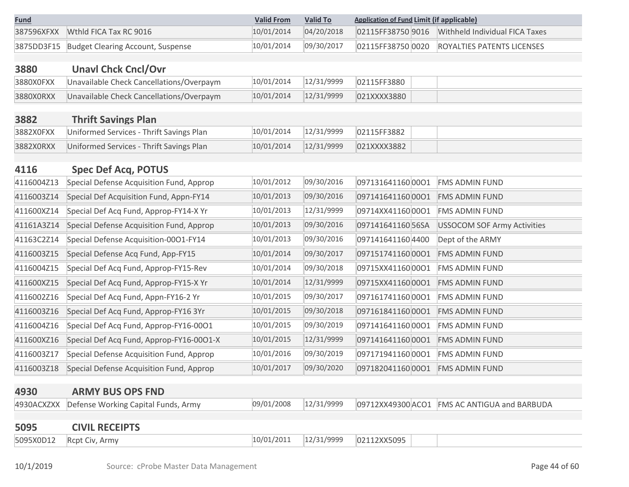| <b>Fund</b> |                                              | <b>Valid From</b> | <b>Valid To</b> | <b>Application of Fund Limit (if applicable)</b> |                                              |  |
|-------------|----------------------------------------------|-------------------|-----------------|--------------------------------------------------|----------------------------------------------|--|
|             | 387596XFXX Wthid FICA Tax RC 9016            | 10/01/2014        |                 |                                                  |                                              |  |
|             | 3875DD3F15 Budget Clearing Account, Suspense | 10/01/2014        | 09/30/2017      |                                                  | 02115FF38750 0020 ROYALTIES PATENTS LICENSES |  |

| 3880      | <b>Unavl Chck Cncl/Ovr</b>               |            |            |             |  |
|-----------|------------------------------------------|------------|------------|-------------|--|
| 3880X0FXX | Unavailable Check Cancellations/Overpaym | 10/01/2014 | 12/31/9999 | 02115FF3880 |  |
| 3880X0RXX | Unavailable Check Cancellations/Overpaym | 10/01/2014 | 12/31/9999 | 021XXXX3880 |  |

| 3882      | <b>Thrift Savings Plan</b>               |            |            |             |  |
|-----------|------------------------------------------|------------|------------|-------------|--|
| 3882X0FXX | Uniformed Services - Thrift Savings Plan | 10/01/2014 | 12/31/9999 | 02115FF3882 |  |
| 3882X0RXX | Uniformed Services - Thrift Savings Plan | 10/01/2014 | 12/31/9999 | 021XXXX3882 |  |

#### **4116 Spec Def Acq, POTUS**

| 4116004Z13 | Special Defense Acquisition Fund, Approp | 10/01/2012 | 09/30/2016 | 097131641160 0001 | FMS ADMIN FUND                     |
|------------|------------------------------------------|------------|------------|-------------------|------------------------------------|
| 4116003Z14 | Special Def Acquisition Fund, Appn-FY14  | 10/01/2013 | 09/30/2016 | 0971416411600001  | <b>FMS ADMIN FUND</b>              |
| 411600XZ14 | Special Def Acq Fund, Approp-FY14-X Yr   | 10/01/2013 | 12/31/9999 | 09714XX411600001  | FMS ADMIN FUND                     |
| 41161A3Z14 | Special Defense Acquisition Fund, Approp | 10/01/2013 | 09/30/2016 | 097141641160 56SA | <b>USSOCOM SOF Army Activities</b> |
| 41163C2Z14 | Special Defense Acquisition-0001-FY14    | 10/01/2013 | 09/30/2016 | 097141641160 4400 | Dept of the ARMY                   |
| 4116003Z15 | Special Defense Acq Fund, App-FY15       | 10/01/2014 | 09/30/2017 | 097151741160 0001 | FMS ADMIN FUND                     |
| 4116004Z15 | Special Def Acq Fund, Approp-FY15-Rev    | 10/01/2014 | 09/30/2018 | 09715XX411600001  | FMS ADMIN FUND                     |
| 411600XZ15 | Special Def Acq Fund, Approp-FY15-X Yr   | 10/01/2014 | 12/31/9999 | 09715XX411600001  | FMS ADMIN FUND                     |
| 4116002Z16 | Special Def Acq Fund, Appn-FY16-2 Yr     | 10/01/2015 | 09/30/2017 | 097161741160 0001 | <b>FMS ADMIN FUND</b>              |
| 4116003Z16 | Special Def Acq Fund, Approp-FY16 3Yr    | 10/01/2015 | 09/30/2018 | 0971618411600001  | <b>FMS ADMIN FUND</b>              |
| 4116004Z16 | Special Def Acq Fund, Approp-FY16-0001   | 10/01/2015 | 09/30/2019 | 0971416411600001  | FMS ADMIN FUND                     |
| 411600XZ16 | Special Def Acq Fund, Approp-FY16-0001-X | 10/01/2015 | 12/31/9999 | 0971416411600001  | <b>FMS ADMIN FUND</b>              |
| 4116003Z17 | Special Defense Acquisition Fund, Approp | 10/01/2016 | 09/30/2019 | 0971719411600001  | FMS ADMIN FUND                     |
| 4116003Z18 | Special Defense Acquisition Fund, Approp | 10/01/2017 | 09/30/2020 | 0971820411600001  | <b>FMS ADMIN FUND</b>              |

#### **4930 ARMY BUS OPS FND**

4930ACXZXX Defense Working Capital Funds, Army 09/01/2008 12/31/9999 09712XX49300 ACO1 FMS AC ANTIGUA and BARBUDA

| 5095 | <b>CIVIL RECEIPTS</b>    |            |            |             |  |
|------|--------------------------|------------|------------|-------------|--|
|      | 5095X0D12 Rcpt Civ, Army | 10/01/2011 | 12/31/9999 | 02112XX5095 |  |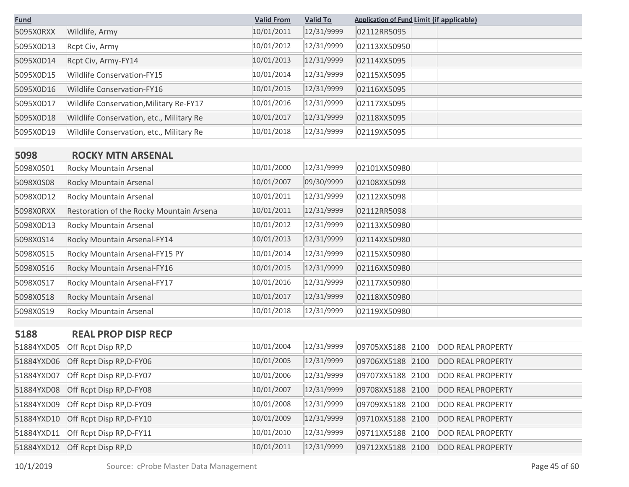| <b>Fund</b> |                                          | <b>Valid From</b> | <b>Valid To</b> | <b>Application of Fund Limit (if applicable)</b> |
|-------------|------------------------------------------|-------------------|-----------------|--------------------------------------------------|
| 5095X0RXX   | Wildlife, Army                           | 10/01/2011        | 12/31/9999      | 02112RR5095                                      |
| 5095X0D13   | Rcpt Civ, Army                           | 10/01/2012        | 12/31/9999      | 02113XX50950                                     |
| 5095X0D14   | Rcpt Civ, Army-FY14                      | 10/01/2013        | 12/31/9999      | 02114XX5095                                      |
| 5095X0D15   | <b>Wildlife Conservation-FY15</b>        | 10/01/2014        | 12/31/9999      | 02115XX5095                                      |
| 5095X0D16   | <b>Wildlife Conservation-FY16</b>        | 10/01/2015        | 12/31/9999      | 02116XX5095                                      |
| 5095X0D17   | Wildlife Conservation, Military Re-FY17  | 10/01/2016        | 12/31/9999      | 02117XX5095                                      |
| 5095X0D18   | Wildlife Conservation, etc., Military Re | 10/01/2017        | 12/31/9999      | 02118XX5095                                      |
| 5095X0D19   | Wildlife Conservation, etc., Military Re | 10/01/2018        | 12/31/9999      | 02119XX5095                                      |

#### **5098 ROCKY MTN ARSENAL**

| 5098X0S01 | Rocky Mountain Arsenal                   | 10/01/2000 | 12/31/9999 | 02101XX50980 |  |
|-----------|------------------------------------------|------------|------------|--------------|--|
| 5098X0S08 | Rocky Mountain Arsenal                   | 10/01/2007 | 09/30/9999 | 02108XX5098  |  |
| 5098X0D12 | Rocky Mountain Arsenal                   | 10/01/2011 | 12/31/9999 | 02112XX5098  |  |
| 5098X0RXX | Restoration of the Rocky Mountain Arsena | 10/01/2011 | 12/31/9999 | 02112RR5098  |  |
| 5098X0D13 | Rocky Mountain Arsenal                   | 10/01/2012 | 12/31/9999 | 02113XX50980 |  |
| 5098X0S14 | Rocky Mountain Arsenal-FY14              | 10/01/2013 | 12/31/9999 | 02114XX50980 |  |
| 5098X0S15 | Rocky Mountain Arsenal-FY15 PY           | 10/01/2014 | 12/31/9999 | 02115XX50980 |  |
| 5098X0S16 | Rocky Mountain Arsenal-FY16              | 10/01/2015 | 12/31/9999 | 02116XX50980 |  |
| 5098X0S17 | Rocky Mountain Arsenal-FY17              | 10/01/2016 | 12/31/9999 | 02117XX50980 |  |
| 5098X0S18 | Rocky Mountain Arsenal                   | 10/01/2017 | 12/31/9999 | 02118XX50980 |  |
| 5098X0S19 | Rocky Mountain Arsenal                   | 10/01/2018 | 12/31/9999 | 02119XX50980 |  |

## **5188 REAL PROP DISP RECP**

| 51884YXD05 | Off Rcpt Disp RP,D       | 10/01/2004 | 12/31/9999 | 09705XX5188 2100 | <b>DOD REAL PROPERTY</b> |
|------------|--------------------------|------------|------------|------------------|--------------------------|
| 51884YXD06 | Off Rcpt Disp RP, D-FY06 | 10/01/2005 | 12/31/9999 | 09706XX5188 2100 | <b>DOD REAL PROPERTY</b> |
| 51884YXD07 | Off Rcpt Disp RP, D-FY07 | 10/01/2006 | 12/31/9999 | 09707XX5188 2100 | <b>DOD REAL PROPERTY</b> |
| 51884YXD08 | Off Rcpt Disp RP, D-FY08 | 10/01/2007 | 12/31/9999 | 09708XX5188 2100 | <b>DOD REAL PROPERTY</b> |
| 51884YXD09 | Off Rcpt Disp RP, D-FY09 | 10/01/2008 | 12/31/9999 | 09709XX5188 2100 | <b>DOD REAL PROPERTY</b> |
| 51884YXD10 | Off Rcpt Disp RP, D-FY10 | 10/01/2009 | 12/31/9999 | 09710XX5188 2100 | <b>DOD REAL PROPERTY</b> |
| 51884YXD11 | Off Rcpt Disp RP, D-FY11 | 10/01/2010 | 12/31/9999 | 09711XX5188 2100 | <b>DOD REAL PROPERTY</b> |
| 51884YXD12 | Off Rcpt Disp RP, D      | 10/01/2011 | 12/31/9999 | 09712XX5188 2100 | <b>DOD REAL PROPERTY</b> |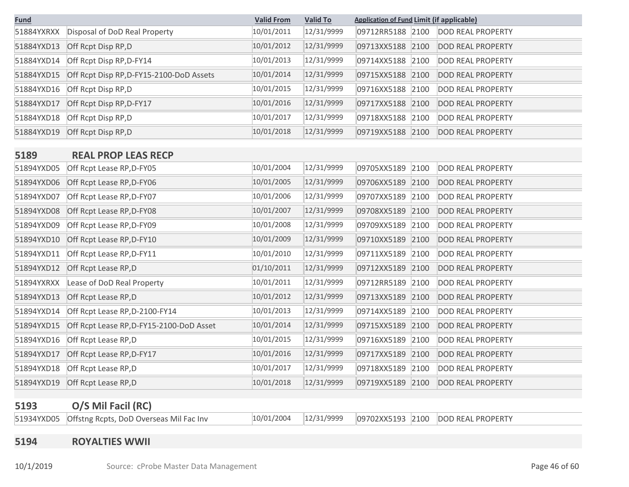| <b>Fund</b> |                                          | <b>Valid From</b> | <b>Valid To</b> | <b>Application of Fund Limit (if applicable)</b> |                          |
|-------------|------------------------------------------|-------------------|-----------------|--------------------------------------------------|--------------------------|
| 51884YXRXX  | Disposal of DoD Real Property            | 10/01/2011        | 12/31/9999      | 09712RR5188 2100                                 | <b>DOD REAL PROPERTY</b> |
| 51884YXD13  | Off Rcpt Disp RP, D                      | 10/01/2012        | 12/31/9999      | 09713XX5188 2100                                 | <b>DOD REAL PROPERTY</b> |
| 51884YXD14  | Off Rcpt Disp RP, D-FY14                 | 10/01/2013        | 12/31/9999      | 09714XX5188 2100                                 | <b>DOD REAL PROPERTY</b> |
| 51884YXD15  | Off Rcpt Disp RP, D-FY15-2100-DoD Assets | 10/01/2014        | 12/31/9999      | 09715XX5188<br>2100                              | <b>DOD REAL PROPERTY</b> |
| 51884YXD16  | Off Rcpt Disp RP,D                       | 10/01/2015        | 12/31/9999      | 09716XX5188 2100                                 | <b>DOD REAL PROPERTY</b> |
| 51884YXD17  | Off Rcpt Disp RP, D-FY17                 | 10/01/2016        | 12/31/9999      | 09717XX5188 2100                                 | <b>DOD REAL PROPERTY</b> |
| 51884YXD18  | Off Rcpt Disp RP,D                       | 10/01/2017        | 12/31/9999      | 09718XX5188 2100                                 | <b>DOD REAL PROPERTY</b> |
| 51884YXD19  | Off Rcpt Disp RP, D                      | 10/01/2018        | 12/31/9999      | 09719XX5188<br>2100                              | <b>DOD REAL PROPERTY</b> |

#### **5189 REAL PROP LEAS RECP**

| 51894YXD05 | Off Rcpt Lease RP, D-FY05                | 10/01/2004 | 12/31/9999 | 09705XX5189 | 2100 | <b>DOD REAL PROPERTY</b> |
|------------|------------------------------------------|------------|------------|-------------|------|--------------------------|
| 51894YXD06 | Off Rcpt Lease RP, D-FY06                | 10/01/2005 | 12/31/9999 | 09706XX5189 | 2100 | <b>DOD REAL PROPERTY</b> |
| 51894YXD07 | Off Rcpt Lease RP, D-FY07                | 10/01/2006 | 12/31/9999 | 09707XX5189 | 2100 | <b>DOD REAL PROPERTY</b> |
| 51894YXD08 | Off Rcpt Lease RP, D-FY08                | 10/01/2007 | 12/31/9999 | 09708XX5189 | 2100 | <b>DOD REAL PROPERTY</b> |
| 51894YXD09 | Off Rcpt Lease RP, D-FY09                | 10/01/2008 | 12/31/9999 | 09709XX5189 | 2100 | <b>DOD REAL PROPERTY</b> |
| 51894YXD10 | Off Rcpt Lease RP, D-FY10                | 10/01/2009 | 12/31/9999 | 09710XX5189 | 2100 | <b>DOD REAL PROPERTY</b> |
| 51894YXD11 | Off Rcpt Lease RP, D-FY11                | 10/01/2010 | 12/31/9999 | 09711XX5189 | 2100 | <b>DOD REAL PROPERTY</b> |
| 51894YXD12 | Off Rcpt Lease RP,D                      | 01/10/2011 | 12/31/9999 | 09712XX5189 | 2100 | <b>DOD REAL PROPERTY</b> |
| 51894YXRXX | Lease of DoD Real Property               | 10/01/2011 | 12/31/9999 | 09712RR5189 | 2100 | <b>DOD REAL PROPERTY</b> |
| 51894YXD13 | Off Rcpt Lease RP,D                      | 10/01/2012 | 12/31/9999 | 09713XX5189 | 2100 | <b>DOD REAL PROPERTY</b> |
| 51894YXD14 | Off Rcpt Lease RP, D-2100-FY14           | 10/01/2013 | 12/31/9999 | 09714XX5189 | 2100 | <b>DOD REAL PROPERTY</b> |
| 51894YXD15 | Off Rcpt Lease RP, D-FY15-2100-DoD Asset | 10/01/2014 | 12/31/9999 | 09715XX5189 | 2100 | <b>DOD REAL PROPERTY</b> |
| 51894YXD16 | Off Rcpt Lease RP,D                      | 10/01/2015 | 12/31/9999 | 09716XX5189 | 2100 | <b>DOD REAL PROPERTY</b> |
| 51894YXD17 | Off Rcpt Lease RP, D-FY17                | 10/01/2016 | 12/31/9999 | 09717XX5189 | 2100 | <b>DOD REAL PROPERTY</b> |
| 51894YXD18 | Off Rcpt Lease RP,D                      | 10/01/2017 | 12/31/9999 | 09718XX5189 | 2100 | <b>DOD REAL PROPERTY</b> |
| 51894YXD19 | Off Rcpt Lease RP,D                      | 10/01/2018 | 12/31/9999 | 09719XX5189 | 2100 | <b>DOD REAL PROPERTY</b> |

## **5193 O/S Mil Facil (RC)**

51934YXD05 Offstng Rcpts, DoD Overseas Mil Fac Inv 10/01/2004 12/31/9999 09702XX5193 2100 DOD REAL PROPERTY

#### **5194 ROYALTIES WWII**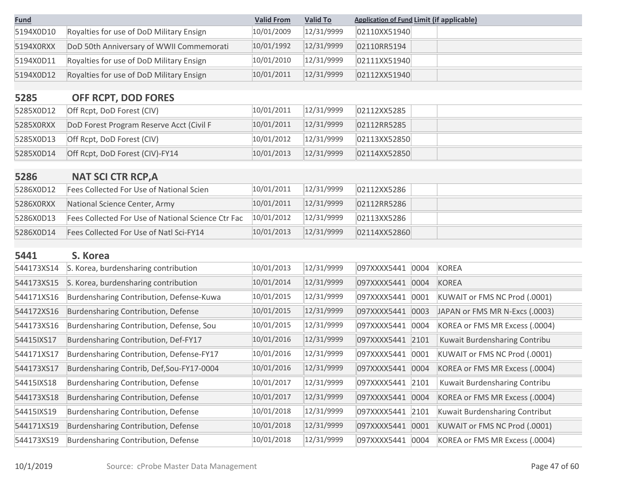| <b>Fund</b> |                                          | <b>Valid From</b> | <b>Valid To</b> | <b>Application of Fund Limit (if applicable)</b> |
|-------------|------------------------------------------|-------------------|-----------------|--------------------------------------------------|
| 5194X0D10   | Royalties for use of DoD Military Ensign | 10/01/2009        | 12/31/9999      | 02110XX51940                                     |
| 5194X0RXX   | DoD 50th Anniversary of WWII Commemorati | 10/01/1992        | 12/31/9999      | 02110RR5194                                      |
| 5194X0D11   | Royalties for use of DoD Military Ensign | 10/01/2010        | 12/31/9999      | 02111XX51940                                     |
| 5194X0D12   | Royalties for use of DoD Military Ensign | 10/01/2011        | 12/31/9999      | 02112XX51940                                     |

# **5285 OFF RCPT, DOD FORES**

| 5285X0D12 | Off Rcpt, DoD Forest (CIV)               | 10/01/2011 | 12/31/9999 | 02112XX5285  |
|-----------|------------------------------------------|------------|------------|--------------|
| 5285X0RXX | DoD Forest Program Reserve Acct (Civil F | 10/01/2011 | 12/31/9999 | 02112RR5285  |
| 5285X0D13 | Off Rcpt, DoD Forest (CIV)               | 10/01/2012 | 12/31/9999 | 02113XX52850 |
| 5285X0D14 | Off Rcpt, DoD Forest (CIV)-FY14          | 10/01/2013 | 12/31/9999 | 02114XX52850 |

## **5286 NAT SCI CTR RCP,A**

| 5286X0D12 | Fees Collected For Use of National Scien           | 10/01/2011 | 12/31/9999 | 02112XX5286  |
|-----------|----------------------------------------------------|------------|------------|--------------|
| 5286X0RXX | National Science Center, Army                      | 10/01/2011 | 12/31/9999 | 02112RR5286  |
| 5286X0D13 | Fees Collected For Use of National Science Ctr Fac | 10/01/2012 | 12/31/9999 | 02113XX5286  |
| 5286X0D14 | Fees Collected For Use of Natl Sci-FY14            | 10/01/2013 | 12/31/9999 | 02114XX52860 |

## **5441 S. Korea**

| 544173XS14 | S. Korea, burdensharing contribution      | 10/01/2013 | 12/31/9999 | 097XXXX5441      | 0004 | KOREA                          |
|------------|-------------------------------------------|------------|------------|------------------|------|--------------------------------|
| 544173XS15 | S. Korea, burdensharing contribution      | 10/01/2014 | 12/31/9999 | 097XXXX5441      | 0004 | <b>KOREA</b>                   |
| 544171XS16 | Burdensharing Contribution, Defense-Kuwa  | 10/01/2015 | 12/31/9999 | 097XXXX5441      | 0001 | KUWAIT or FMS NC Prod (.0001)  |
| 544172XS16 | Burdensharing Contribution, Defense       | 10/01/2015 | 12/31/9999 | 097XXXX5441      | 0003 | JAPAN or FMS MR N-Excs (.0003) |
| 544173XS16 | Burdensharing Contribution, Defense, Sou  | 10/01/2015 | 12/31/9999 | 097XXXX5441      | 0004 | KOREA or FMS MR Excess (.0004) |
| 54415IXS17 | Burdensharing Contribution, Def-FY17      | 10/01/2016 | 12/31/9999 | 097XXXX5441 2101 |      | Kuwait Burdensharing Contribu  |
| 544171XS17 | Burdensharing Contribution, Defense-FY17  | 10/01/2016 | 12/31/9999 | 097XXXX5441      | 0001 | KUWAIT or FMS NC Prod (.0001)  |
| 544173XS17 | Burdensharing Contrib, Def, Sou-FY17-0004 | 10/01/2016 | 12/31/9999 | 097XXXX5441      | 0004 | KOREA or FMS MR Excess (.0004) |
| 54415IXS18 | Burdensharing Contribution, Defense       | 10/01/2017 | 12/31/9999 | 097XXXX5441 2101 |      | Kuwait Burdensharing Contribu  |
| 544173XS18 | Burdensharing Contribution, Defense       | 10/01/2017 | 12/31/9999 | 097XXXX5441      | 0004 | KOREA or FMS MR Excess (.0004) |
| 54415IXS19 | Burdensharing Contribution, Defense       | 10/01/2018 | 12/31/9999 | 097XXXX5441      | 2101 | Kuwait Burdensharing Contribut |
| 544171XS19 | Burdensharing Contribution, Defense       | 10/01/2018 | 12/31/9999 | 097XXXX5441      | 0001 | KUWAIT or FMS NC Prod (.0001)  |
| 544173XS19 | Burdensharing Contribution, Defense       | 10/01/2018 | 12/31/9999 | 097XXXX5441      | 0004 | KOREA or FMS MR Excess (.0004) |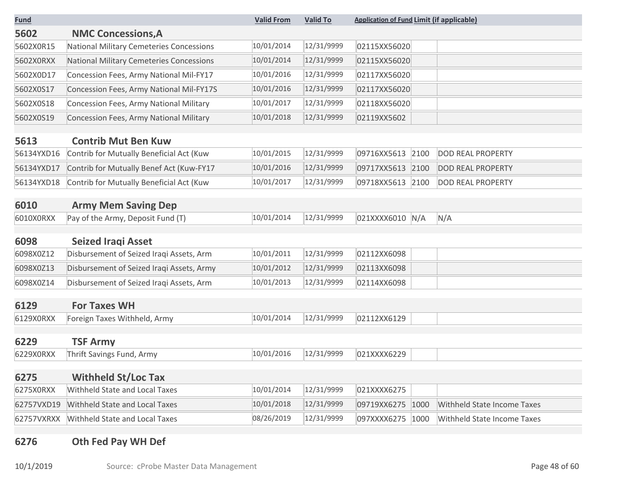| <b>Fund</b> |                                           | <b>Valid From</b> | <b>Valid To</b> | <b>Application of Fund Limit (if applicable)</b> |                             |
|-------------|-------------------------------------------|-------------------|-----------------|--------------------------------------------------|-----------------------------|
| 5602        | <b>NMC Concessions, A</b>                 |                   |                 |                                                  |                             |
| 5602X0R15   | National Military Cemeteries Concessions  | 10/01/2014        | 12/31/9999      | 02115XX56020                                     |                             |
| 5602X0RXX   | National Military Cemeteries Concessions  | 10/01/2014        | 12/31/9999      | 02115XX56020                                     |                             |
| 5602X0D17   | Concession Fees, Army National Mil-FY17   | 10/01/2016        | 12/31/9999      | 02117XX56020                                     |                             |
| 5602X0S17   | Concession Fees, Army National Mil-FY17S  | 10/01/2016        | 12/31/9999      | 02117XX56020                                     |                             |
| 5602X0S18   | Concession Fees, Army National Military   | 10/01/2017        | 12/31/9999      | 02118XX56020                                     |                             |
| 5602X0S19   | Concession Fees, Army National Military   | 10/01/2018        | 12/31/9999      | 02119XX5602                                      |                             |
| 5613        | <b>Contrib Mut Ben Kuw</b>                |                   |                 |                                                  |                             |
| 56134YXD16  | Contrib for Mutually Beneficial Act (Kuw  | 10/01/2015        | 12/31/9999      | 09716XX5613 2100                                 | <b>DOD REAL PROPERTY</b>    |
| 56134YXD17  | Contrib for Mutually Benef Act (Kuw-FY17  | 10/01/2016        | 12/31/9999      | 09717XX5613 2100                                 | <b>DOD REAL PROPERTY</b>    |
| 56134YXD18  | Contrib for Mutually Beneficial Act (Kuw  | 10/01/2017        | 12/31/9999      | 09718XX5613 2100                                 | <b>DOD REAL PROPERTY</b>    |
| 6010        | <b>Army Mem Saving Dep</b>                |                   |                 |                                                  |                             |
| 6010X0RXX   | Pay of the Army, Deposit Fund (T)         | 10/01/2014        | 12/31/9999      | 021XXXX6010 N/A                                  | N/A                         |
| 6098        | <b>Seized Iragi Asset</b>                 |                   |                 |                                                  |                             |
| 6098X0Z12   | Disbursement of Seized Iraqi Assets, Arm  | 10/01/2011        | 12/31/9999      | 02112XX6098                                      |                             |
| 6098X0Z13   | Disbursement of Seized Iraqi Assets, Army | 10/01/2012        | 12/31/9999      | 02113XX6098                                      |                             |
| 6098X0Z14   | Disbursement of Seized Iraqi Assets, Arm  | 10/01/2013        | 12/31/9999      | 02114XX6098                                      |                             |
| 6129        | <b>For Taxes WH</b>                       |                   |                 |                                                  |                             |
| 6129X0RXX   | Foreign Taxes Withheld, Army              | 10/01/2014        | 12/31/9999      | 02112XX6129                                      |                             |
| 6229        | <b>TSF Army</b>                           |                   |                 |                                                  |                             |
| 6229X0RXX   | Thrift Savings Fund, Army                 | 10/01/2016        | 12/31/9999      | 021XXXX6229                                      |                             |
| 6275        | <b>Withheld St/Loc Tax</b>                |                   |                 |                                                  |                             |
| 6275X0RXX   | Withheld State and Local Taxes            | 10/01/2014        | 12/31/9999      | 021XXXX6275                                      |                             |
|             |                                           | 10/01/2018        | 12/31/9999      |                                                  |                             |
| 62757VXD19  | Withheld State and Local Taxes            |                   |                 | 09719XX6275 1000                                 | Withheld State Income Taxes |
| 62757VXRXX  | Withheld State and Local Taxes            | 08/26/2019        | 12/31/9999      | 097XXXX6275 1000                                 | Withheld State Income Taxes |

# **6276 Oth Fed Pay WH Def**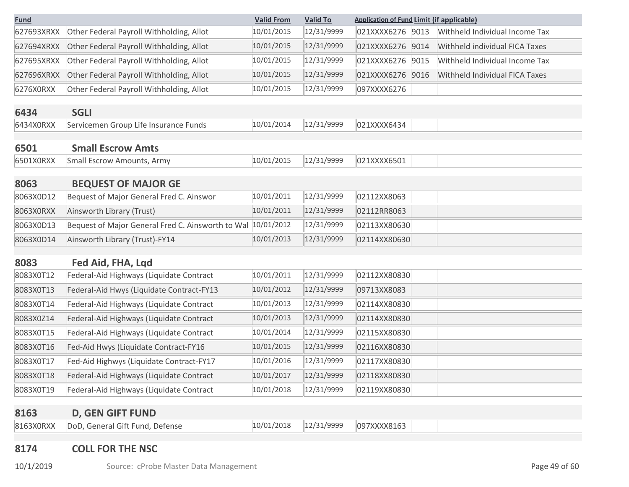| <b>Fund</b> |                                                              | <b>Valid From</b> | <b>Valid To</b> | <b>Application of Fund Limit (if applicable)</b>      |
|-------------|--------------------------------------------------------------|-------------------|-----------------|-------------------------------------------------------|
| 627693XRXX  | Other Federal Payroll Withholding, Allot                     | 10/01/2015        | 12/31/9999      | Withheld Individual Income Tax<br>021XXXX6276<br>9013 |
| 627694XRXX  | Other Federal Payroll Withholding, Allot                     | 10/01/2015        | 12/31/9999      | 021XXXX6276 9014<br>Withheld individual FICA Taxes    |
| 627695XRXX  | Other Federal Payroll Withholding, Allot                     | 10/01/2015        | 12/31/9999      | 9015<br>021XXXX6276<br>Withheld Individual Income Tax |
| 627696XRXX  | Other Federal Payroll Withholding, Allot                     | 10/01/2015        | 12/31/9999      | 021XXXX6276 9016<br>Withheld Individual FICA Taxes    |
| 6276X0RXX   | Other Federal Payroll Withholding, Allot                     | 10/01/2015        | 12/31/9999      | 097XXXX6276                                           |
| 6434        | <b>SGLI</b>                                                  |                   |                 |                                                       |
| 6434X0RXX   | Servicemen Group Life Insurance Funds                        | 10/01/2014        | 12/31/9999      | 021XXXX6434                                           |
| 6501        | <b>Small Escrow Amts</b>                                     |                   |                 |                                                       |
| 6501X0RXX   | <b>Small Escrow Amounts, Army</b>                            | 10/01/2015        | 12/31/9999      | 021XXXX6501                                           |
| 8063        | <b>BEQUEST OF MAJOR GE</b>                                   |                   |                 |                                                       |
| 8063X0D12   | Bequest of Major General Fred C. Ainswor                     | 10/01/2011        | 12/31/9999      | 02112XX8063                                           |
| 8063X0RXX   |                                                              | 10/01/2011        | 12/31/9999      | 02112RR8063                                           |
|             | Ainsworth Library (Trust)                                    |                   |                 |                                                       |
| 8063X0D13   | Bequest of Major General Fred C. Ainsworth to Wal 10/01/2012 |                   | 12/31/9999      | 02113XX80630                                          |
| 8063X0D14   | Ainsworth Library (Trust)-FY14                               | 10/01/2013        | 12/31/9999      | 02114XX80630                                          |
| 8083        | Fed Aid, FHA, Lgd                                            |                   |                 |                                                       |
| 8083X0T12   | Federal-Aid Highways (Liquidate Contract                     | 10/01/2011        | 12/31/9999      | 02112XX80830                                          |
| 8083X0T13   | Federal-Aid Hwys (Liquidate Contract-FY13                    | 10/01/2012        | 12/31/9999      | 09713XX8083                                           |
| 8083X0T14   | Federal-Aid Highways (Liquidate Contract                     | 10/01/2013        | 12/31/9999      | 02114XX80830                                          |
| 8083X0Z14   | Federal-Aid Highways (Liquidate Contract                     | 10/01/2013        | 12/31/9999      | 02114XX80830                                          |
| 8083X0T15   | Federal-Aid Highways (Liquidate Contract                     | 10/01/2014        | 12/31/9999      | 02115XX80830                                          |
| 8083X0T16   | Fed-Aid Hwys (Liquidate Contract-FY16                        | 10/01/2015        | 12/31/9999      | 02116XX80830                                          |
| 8083X0T17   | Fed-Aid Highwys (Liquidate Contract-FY17                     | 10/01/2016        | 12/31/9999      | 02117XX80830                                          |
| 8083X0T18   | Federal-Aid Highways (Liquidate Contract                     | 10/01/2017        | 12/31/9999      | 02118XX80830                                          |
| 8083X0T19   | Federal-Aid Highways (Liquidate Contract                     | 10/01/2018        | 12/31/9999      | 02119XX80830                                          |
| 8163        | <b>D, GEN GIFT FUND</b>                                      |                   |                 |                                                       |

8163X0RXX DoD, General Gift Fund, Defense 10/01/2018 12/31/9999 097XXXX8163

## **8174 COLL FOR THE NSC**

10/1/2019 Source: cProbe Master Data Management Superior Controller and Page 49 of 60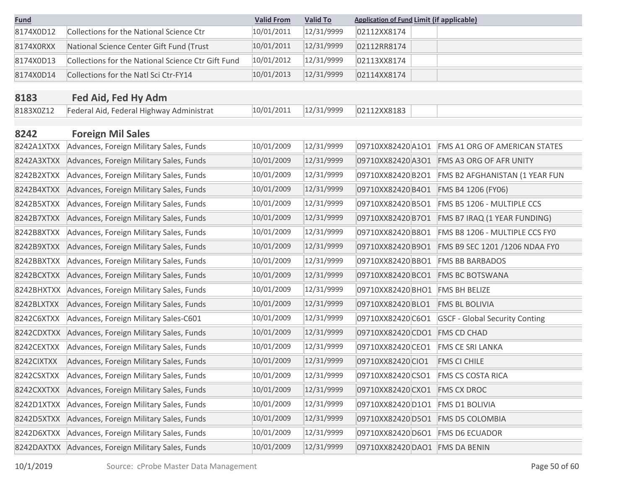| <u>Fund</u> |                                                    | <b>Valid From</b> | <b>Valid To</b> | <b>Application of Fund Limit (if applicable)</b> |                                       |
|-------------|----------------------------------------------------|-------------------|-----------------|--------------------------------------------------|---------------------------------------|
| 8174X0D12   | <b>Collections for the National Science Ctr</b>    | 10/01/2011        | 12/31/9999      | 02112XX8174                                      |                                       |
| 8174X0RXX   | National Science Center Gift Fund (Trust           | 10/01/2011        | 12/31/9999      | 02112RR8174                                      |                                       |
| 8174X0D13   | Collections for the National Science Ctr Gift Fund | 10/01/2012        | 12/31/9999      | 02113XX8174                                      |                                       |
| 8174X0D14   | Collections for the Natl Sci Ctr-FY14              | 10/01/2013        | 12/31/9999      | 02114XX8174                                      |                                       |
|             |                                                    |                   |                 |                                                  |                                       |
| 8183        | Fed Aid, Fed Hy Adm                                |                   |                 |                                                  |                                       |
| 8183X0Z12   | Federal Aid, Federal Highway Administrat           | 10/01/2011        | 12/31/9999      | 02112XX8183                                      |                                       |
| 8242        | <b>Foreign Mil Sales</b>                           |                   |                 |                                                  |                                       |
| 8242A1XTXX  | Advances, Foreign Military Sales, Funds            | 10/01/2009        | 12/31/9999      | 09710XX82420 A1O1                                | <b>FMS A1 ORG OF AMERICAN STATES</b>  |
| 8242A3XTXX  | Advances, Foreign Military Sales, Funds            | 10/01/2009        | 12/31/9999      | 09710XX82420 A3O1                                | FMS A3 ORG OF AFR UNITY               |
| 8242B2XTXX  | Advances, Foreign Military Sales, Funds            | 10/01/2009        | 12/31/9999      | 09710XX82420B2O1                                 | FMS B2 AFGHANISTAN (1 YEAR FUN        |
| 8242B4XTXX  | Advances, Foreign Military Sales, Funds            | 10/01/2009        | 12/31/9999      | 09710XX82420 B4O1                                | FMS B4 1206 (FY06)                    |
| 8242B5XTXX  | Advances, Foreign Military Sales, Funds            | 10/01/2009        | 12/31/9999      | 09710XX82420 B5O1                                | FMS B5 1206 - MULTIPLE CCS            |
| 8242B7XTXX  | Advances, Foreign Military Sales, Funds            | 10/01/2009        | 12/31/9999      | 09710XX82420 B7O1                                | FMS B7 IRAQ (1 YEAR FUNDING)          |
| 8242B8XTXX  | Advances, Foreign Military Sales, Funds            | 10/01/2009        | 12/31/9999      | 09710XX82420B8O1                                 | FMS B8 1206 - MULTIPLE CCS FYO        |
| 8242B9XTXX  | Advances, Foreign Military Sales, Funds            | 10/01/2009        | 12/31/9999      | 09710XX82420 B9O1                                | FMS B9 SEC 1201 /1206 NDAA FY0        |
| 8242BBXTXX  | Advances, Foreign Military Sales, Funds            | 10/01/2009        | 12/31/9999      | 09710XX82420 BBO1                                | <b>FMS BB BARBADOS</b>                |
| 8242BCXTXX  | Advances, Foreign Military Sales, Funds            | 10/01/2009        | 12/31/9999      | 09710XX82420 BCO1                                | <b>FMS BC BOTSWANA</b>                |
| 8242BHXTXX  | Advances, Foreign Military Sales, Funds            | 10/01/2009        | 12/31/9999      | 09710XX82420 BHO1                                | <b>FMS BH BELIZE</b>                  |
| 8242BLXTXX  | Advances, Foreign Military Sales, Funds            | 10/01/2009        | 12/31/9999      | 09710XX82420 BLO1                                | <b>FMS BL BOLIVIA</b>                 |
| 8242C6XTXX  | Advances, Foreign Military Sales-C601              | 10/01/2009        | 12/31/9999      | 09710XX82420 C6O1                                | <b>GSCF - Global Security Conting</b> |
| 8242CDXTXX  | Advances, Foreign Military Sales, Funds            | 10/01/2009        | 12/31/9999      | 09710XX82420 CDO1                                | <b>FMS CD CHAD</b>                    |
| 8242CEXTXX  | Advances, Foreign Military Sales, Funds            | 10/01/2009        | 12/31/9999      | 09710XX82420 CEO1                                | <b>FMS CE SRI LANKA</b>               |
| 8242CIXTXX  | Advances, Foreign Military Sales, Funds            | 10/01/2009        | 12/31/9999      | 09710XX82420 CIO1                                | <b>FMS CI CHILE</b>                   |
| 8242CSXTXX  | Advances, Foreign Military Sales, Funds            | 10/01/2009        | 12/31/9999      | 09710XX82420 CSO1                                | <b>FMS CS COSTA RICA</b>              |
| 8242CXXTXX  | Advances, Foreign Military Sales, Funds            | 10/01/2009        | 12/31/9999      | 09710XX82420 CXO1                                | <b>FMS CX DROC</b>                    |
| 8242D1XTXX  | Advances, Foreign Military Sales, Funds            | 10/01/2009        | 12/31/9999      | 09710XX82420 D1O1                                | <b>FMS D1 BOLIVIA</b>                 |
| 8242D5XTXX  | Advances, Foreign Military Sales, Funds            | 10/01/2009        | 12/31/9999      | 09710XX82420 D5O1                                | <b>FMS D5 COLOMBIA</b>                |
| 8242D6XTXX  | Advances, Foreign Military Sales, Funds            | 10/01/2009        | 12/31/9999      | 09710XX82420 D6O1                                | <b>FMS D6 ECUADOR</b>                 |
| 8242DAXTXX  | Advances, Foreign Military Sales, Funds            | 10/01/2009        | 12/31/9999      | 09710XX82420 DAO1 FMS DA BENIN                   |                                       |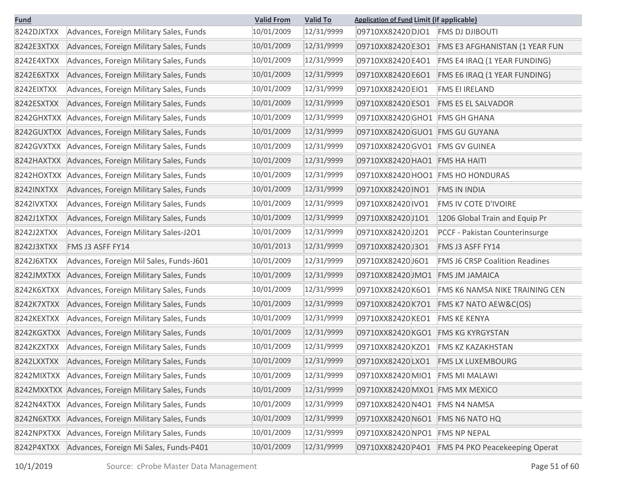| <b>Fund</b> |                                         | <b>Valid From</b> | <b>Valid To</b> | <b>Application of Fund Limit (if applicable)</b> |                                       |
|-------------|-----------------------------------------|-------------------|-----------------|--------------------------------------------------|---------------------------------------|
| 8242DJXTXX  | Advances, Foreign Military Sales, Funds | 10/01/2009        | 12/31/9999      | 09710XX82420 DJO1                                | <b>FMS DJ DJIBOUTI</b>                |
| 8242E3XTXX  | Advances, Foreign Military Sales, Funds | 10/01/2009        | 12/31/9999      | 09710XX82420 E3O1                                | FMS E3 AFGHANISTAN (1 YEAR FUN        |
| 8242E4XTXX  | Advances, Foreign Military Sales, Funds | 10/01/2009        | 12/31/9999      | 09710XX82420 E4O1                                | FMS E4 IRAQ (1 YEAR FUNDING)          |
| 8242E6XTXX  | Advances, Foreign Military Sales, Funds | 10/01/2009        | 12/31/9999      | 09710XX82420 E6O1                                | FMS E6 IRAQ (1 YEAR FUNDING)          |
| 8242EIXTXX  | Advances, Foreign Military Sales, Funds | 10/01/2009        | 12/31/9999      | 09710XX82420 EIO1                                | <b>FMS EI IRELAND</b>                 |
| 8242ESXTXX  | Advances, Foreign Military Sales, Funds | 10/01/2009        | 12/31/9999      | 09710XX82420 ESO1                                | <b>FMS ES EL SALVADOR</b>             |
| 8242GHXTXX  | Advances, Foreign Military Sales, Funds | 10/01/2009        | 12/31/9999      | 09710XX82420 GHO1 FMS GH GHANA                   |                                       |
| 8242GUXTXX  | Advances, Foreign Military Sales, Funds | 10/01/2009        | 12/31/9999      | 09710XX82420 GUO1 FMS GU GUYANA                  |                                       |
| 8242GVXTXX  | Advances, Foreign Military Sales, Funds | 10/01/2009        | 12/31/9999      | 09710XX82420 GVO1 FMS GV GUINEA                  |                                       |
| 8242HAXTXX  | Advances, Foreign Military Sales, Funds | 10/01/2009        | 12/31/9999      | 09710XX82420 HAO1 FMS HA HAITI                   |                                       |
| 8242HOXTXX  | Advances, Foreign Military Sales, Funds | 10/01/2009        | 12/31/9999      | 09710XX82420 HOO1 FMS HO HONDURAS                |                                       |
| 8242INXTXX  | Advances, Foreign Military Sales, Funds | 10/01/2009        | 12/31/9999      | 09710XX82420 INO1                                | <b>FMS IN INDIA</b>                   |
| 8242IVXTXX  | Advances, Foreign Military Sales, Funds | 10/01/2009        | 12/31/9999      | 09710XX82420 IVO1                                | <b>FMS IV COTE D'IVOIRE</b>           |
| 8242J1XTXX  | Advances, Foreign Military Sales, Funds | 10/01/2009        | 12/31/9999      | 09710XX82420J1O1                                 | 1206 Global Train and Equip Pr        |
| 8242J2XTXX  | Advances, Foreign Military Sales-J201   | 10/01/2009        | 12/31/9999      | 09710XX82420J2O1                                 | PCCF - Pakistan Counterinsurge        |
| 8242J3XTXX  | <b>FMS J3 ASFF FY14</b>                 | 10/01/2013        | 12/31/9999      | 09710XX82420J3O1                                 | <b>FMS J3 ASFF FY14</b>               |
| 8242J6XTXX  | Advances, Foreign Mil Sales, Funds-J601 | 10/01/2009        | 12/31/9999      | 09710XX82420J6O1                                 | <b>FMS J6 CRSP Coalition Readines</b> |
| 8242JMXTXX  | Advances, Foreign Military Sales, Funds | 10/01/2009        | 12/31/9999      | 09710XX82420JMO1                                 | <b>FMS JM JAMAICA</b>                 |
| 8242K6XTXX  | Advances, Foreign Military Sales, Funds | 10/01/2009        | 12/31/9999      | 09710XX82420K6O1                                 | FMS K6 NAMSA NIKE TRAINING CEN        |
| 8242K7XTXX  | Advances, Foreign Military Sales, Funds | 10/01/2009        | 12/31/9999      | 09710XX82420K7O1                                 | FMS K7 NATO AEW&C(OS)                 |
| 8242KEXTXX  | Advances, Foreign Military Sales, Funds | 10/01/2009        | 12/31/9999      | 09710XX82420 KEO1                                | <b>FMS KE KENYA</b>                   |
| 8242KGXTXX  | Advances, Foreign Military Sales, Funds | 10/01/2009        | 12/31/9999      | 09710XX82420 KGO1                                | <b>FMS KG KYRGYSTAN</b>               |
| 8242KZXTXX  | Advances, Foreign Military Sales, Funds | 10/01/2009        | 12/31/9999      | 09710XX82420 KZO1                                | <b>FMS KZ KAZAKHSTAN</b>              |
| 8242LXXTXX  | Advances, Foreign Military Sales, Funds | 10/01/2009        | 12/31/9999      | 09710XX82420LXO1                                 | <b>FMS LX LUXEMBOURG</b>              |
| 8242MIXTXX  | Advances, Foreign Military Sales, Funds | 10/01/2009        | 12/31/9999      | 09710XX82420 MIO1 FMS MI MALAWI                  |                                       |
| 8242MXXTXX  | Advances, Foreign Military Sales, Funds | 10/01/2009        | 12/31/9999      | 09710XX82420 MXO1 FMS MX MEXICO                  |                                       |
| 8242N4XTXX  | Advances, Foreign Military Sales, Funds | 10/01/2009        | 12/31/9999      | 09710XX82420 N4O1 FMS N4 NAMSA                   |                                       |
| 8242N6XTXX  | Advances, Foreign Military Sales, Funds | 10/01/2009        | 12/31/9999      | 09710XX82420N6O1                                 | <b>FMS N6 NATO HQ</b>                 |
| 8242NPXTXX  | Advances, Foreign Military Sales, Funds | 10/01/2009        | 12/31/9999      | 09710XX82420 NPO1 FMS NP NEPAL                   |                                       |
| 8242P4XTXX  | Advances, Foreign Mi Sales, Funds-P401  | 10/01/2009        | 12/31/9999      | 09710XX82420 P4O1                                | FMS P4 PKO Peacekeeping Operat        |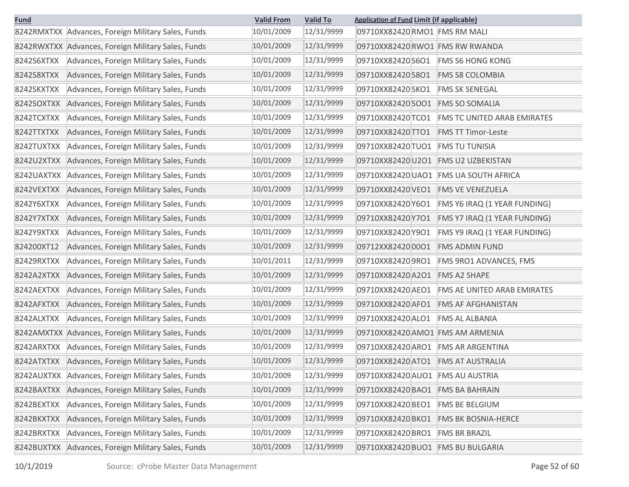| <b>Fund</b> |                                                    | <b>Valid From</b> | <b>Valid To</b> | <b>Application of Fund Limit (if applicable)</b>        |
|-------------|----------------------------------------------------|-------------------|-----------------|---------------------------------------------------------|
|             | 8242RMXTXX Advances, Foreign Military Sales, Funds | 10/01/2009        | 12/31/9999      | 09710XX82420 RMO1 FMS RM MALI                           |
|             | 8242RWXTXX Advances, Foreign Military Sales, Funds | 10/01/2009        | 12/31/9999      | 09710XX82420 RWO1 FMS RW RWANDA                         |
| 8242S6XTXX  | Advances, Foreign Military Sales, Funds            | 10/01/2009        | 12/31/9999      | 09710XX82420 S6O1<br><b>FMS S6 HONG KONG</b>            |
| 8242S8XTXX  | Advances, Foreign Military Sales, Funds            | 10/01/2009        | 12/31/9999      | 09710XX82420 S8O1<br><b>FMS S8 COLOMBIA</b>             |
| 8242SKXTXX  | Advances, Foreign Military Sales, Funds            | 10/01/2009        | 12/31/9999      | 09710XX82420 SKO1<br><b>FMS SK SENEGAL</b>              |
| 8242SOXTXX  | Advances, Foreign Military Sales, Funds            | 10/01/2009        | 12/31/9999      | 09710XX82420 SOO1<br><b>FMS SO SOMALIA</b>              |
| 8242TCXTXX  | Advances, Foreign Military Sales, Funds            | 10/01/2009        | 12/31/9999      | 09710XX82420 TCO1<br><b>FMS TC UNITED ARAB EMIRATES</b> |
| 8242TTXTXX  | Advances, Foreign Military Sales, Funds            | 10/01/2009        | 12/31/9999      | 09710XX82420 TTO1<br><b>FMS TT Timor-Leste</b>          |
| 8242TUXTXX  | Advances, Foreign Military Sales, Funds            | 10/01/2009        | 12/31/9999      | 09710XX82420 TUO1<br><b>FMS TU TUNISIA</b>              |
| 8242U2XTXX  | Advances, Foreign Military Sales, Funds            | 10/01/2009        | 12/31/9999      | 09710XX82420U2O1<br><b>FMS U2 UZBEKISTAN</b>            |
| 8242UAXTXX  | Advances, Foreign Military Sales, Funds            | 10/01/2009        | 12/31/9999      | 09710XX82420 UAO1 FMS UA SOUTH AFRICA                   |
| 8242VEXTXX  | Advances, Foreign Military Sales, Funds            | 10/01/2009        | 12/31/9999      | 09710XX82420VEO1<br><b>FMS VE VENEZUELA</b>             |
| 8242Y6XTXX  | Advances, Foreign Military Sales, Funds            | 10/01/2009        | 12/31/9999      | 09710XX82420 Y6O1<br>FMS Y6 IRAQ (1 YEAR FUNDING)       |
| 8242Y7XTXX  | Advances, Foreign Military Sales, Funds            | 10/01/2009        | 12/31/9999      | 09710XX82420 Y7O1<br>FMS Y7 IRAQ (1 YEAR FUNDING)       |
| 8242Y9XTXX  | Advances, Foreign Military Sales, Funds            | 10/01/2009        | 12/31/9999      | 09710XX82420 Y9O1<br>FMS Y9 IRAQ (1 YEAR FUNDING)       |
| 824200XT12  | Advances, Foreign Military Sales, Funds            | 10/01/2009        | 12/31/9999      | 09712XX824200001<br><b>FMS ADMIN FUND</b>               |
| 82429RXTXX  | Advances, Foreign Military Sales, Funds            | 10/01/2011        | 12/31/9999      | 09710XX824209RO1<br>FMS 9RO1 ADVANCES, FMS              |
| 8242A2XTXX  | Advances, Foreign Military Sales, Funds            | 10/01/2009        | 12/31/9999      | 09710XX82420 A2O1<br><b>FMS A2 SHAPE</b>                |
| 8242AEXTXX  | Advances, Foreign Military Sales, Funds            | 10/01/2009        | 12/31/9999      | 09710XX82420 AEO1<br>FMS AE UNITED ARAB EMIRATES        |
| 8242AFXTXX  | Advances, Foreign Military Sales, Funds            | 10/01/2009        | 12/31/9999      | 09710XX82420 AFO1<br><b>FMS AF AFGHANISTAN</b>          |
| 8242ALXTXX  | Advances, Foreign Military Sales, Funds            | 10/01/2009        | 12/31/9999      | 09710XX82420 ALO1<br><b>FMS AL ALBANIA</b>              |
|             | 8242AMXTXX Advances, Foreign Military Sales, Funds | 10/01/2009        | 12/31/9999      | 09710XX82420 AMO1 FMS AM ARMENIA                        |
| 8242ARXTXX  | Advances, Foreign Military Sales, Funds            | 10/01/2009        | 12/31/9999      | 09710XX82420 ARO1<br><b>FMS AR ARGENTINA</b>            |
| 8242ATXTXX  | Advances, Foreign Military Sales, Funds            | 10/01/2009        | 12/31/9999      | 09710XX82420 ATO1 FMS AT AUSTRALIA                      |
| 8242AUXTXX  | Advances, Foreign Military Sales, Funds            | 10/01/2009        | 12/31/9999      | 09710XX82420 AUO1 FMS AU AUSTRIA                        |
| 8242BAXTXX  | Advances, Foreign Military Sales, Funds            | 10/01/2009        | 12/31/9999      | 09710XX82420 BAO1<br><b>FMS BA BAHRAIN</b>              |
| 8242BEXTXX  | Advances, Foreign Military Sales, Funds            | 10/01/2009        | 12/31/9999      | 09710XX82420 BEO1<br><b>FMS BE BELGIUM</b>              |
| 8242BKXTXX  | Advances, Foreign Military Sales, Funds            | 10/01/2009        | 12/31/9999      | 09710XX82420 BKO1<br><b>FMS BK BOSNIA-HERCE</b>         |
| 8242BRXTXX  | Advances, Foreign Military Sales, Funds            | 10/01/2009        | 12/31/9999      | 09710XX82420 BRO1<br><b>FMS BR BRAZIL</b>               |
| 8242BUXTXX  | Advances, Foreign Military Sales, Funds            | 10/01/2009        | 12/31/9999      | 09710XX82420 BUO1 FMS BU BULGARIA                       |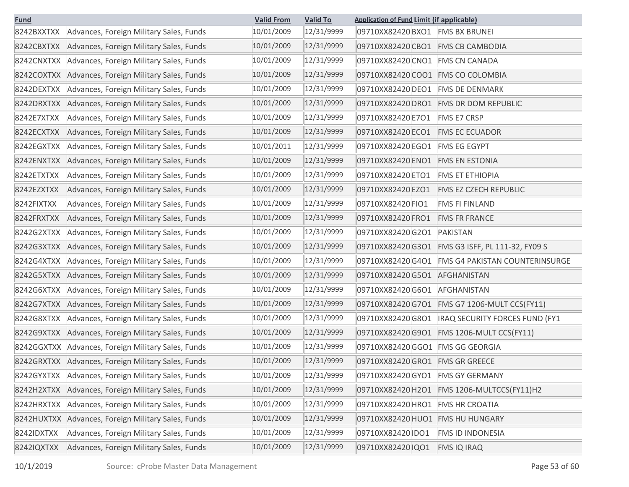| <b>Fund</b> |                                         | <b>Valid From</b> | <b>Valid To</b> | <b>Application of Fund Limit (if applicable)</b>           |
|-------------|-----------------------------------------|-------------------|-----------------|------------------------------------------------------------|
| 8242BXXTXX  | Advances, Foreign Military Sales, Funds | 10/01/2009        | 12/31/9999      | 09710XX82420 BXO1 FMS BX BRUNEI                            |
| 8242CBXTXX  | Advances, Foreign Military Sales, Funds | 10/01/2009        | 12/31/9999      | 09710XX82420 CBO1<br><b>FMS CB CAMBODIA</b>                |
| 8242CNXTXX  | Advances, Foreign Military Sales, Funds | 10/01/2009        | 12/31/9999      | 09710XX82420 CNO1 FMS CN CANADA                            |
| 8242COXTXX  | Advances, Foreign Military Sales, Funds | 10/01/2009        | 12/31/9999      | 09710XX82420 COO1 FMS CO COLOMBIA                          |
| 8242DEXTXX  | Advances, Foreign Military Sales, Funds | 10/01/2009        | 12/31/9999      | 09710XX82420 DEO1<br><b>FMS DE DENMARK</b>                 |
| 8242DRXTXX  | Advances, Foreign Military Sales, Funds | 10/01/2009        | 12/31/9999      | 09710XX82420 DRO1 FMS DR DOM REPUBLIC                      |
| 8242E7XTXX  | Advances, Foreign Military Sales, Funds | 10/01/2009        | 12/31/9999      | 09710XX82420 E7O1<br><b>FMS E7 CRSP</b>                    |
| 8242ECXTXX  | Advances, Foreign Military Sales, Funds | 10/01/2009        | 12/31/9999      | 09710XX82420 ECO1<br><b>FMS EC ECUADOR</b>                 |
| 8242EGXTXX  | Advances, Foreign Military Sales, Funds | 10/01/2011        | 12/31/9999      | 09710XX82420 EGO1<br><b>FMS EG EGYPT</b>                   |
| 8242ENXTXX  | Advances, Foreign Military Sales, Funds | 10/01/2009        | 12/31/9999      | 09710XX82420 ENO1<br><b>FMS EN ESTONIA</b>                 |
| 8242ETXTXX  | Advances, Foreign Military Sales, Funds | 10/01/2009        | 12/31/9999      | 09710XX82420 ETO1<br><b>FMS ET ETHIOPIA</b>                |
| 8242EZXTXX  | Advances, Foreign Military Sales, Funds | 10/01/2009        | 12/31/9999      | 09710XX82420 EZO1<br><b>FMS EZ CZECH REPUBLIC</b>          |
| 8242FIXTXX  | Advances, Foreign Military Sales, Funds | 10/01/2009        | 12/31/9999      | 09710XX82420 FIO1<br><b>FMS FI FINLAND</b>                 |
| 8242FRXTXX  | Advances, Foreign Military Sales, Funds | 10/01/2009        | 12/31/9999      | 09710XX82420 FRO1<br><b>FMS FR FRANCE</b>                  |
| 8242G2XTXX  | Advances, Foreign Military Sales, Funds | 10/01/2009        | 12/31/9999      | 09710XX82420G2O1<br>PAKISTAN                               |
| 8242G3XTXX  | Advances, Foreign Military Sales, Funds | 10/01/2009        | 12/31/9999      | 09710XX82420 G3O1 FMS G3 ISFF, PL 111-32, FY09 S           |
| 8242G4XTXX  | Advances, Foreign Military Sales, Funds | 10/01/2009        | 12/31/9999      | 09710XX82420 G4O1<br><b>FMS G4 PAKISTAN COUNTERINSURGE</b> |
| 8242G5XTXX  | Advances, Foreign Military Sales, Funds | 10/01/2009        | 12/31/9999      | 09710XX82420 G5O1 AFGHANISTAN                              |
| 8242G6XTXX  | Advances, Foreign Military Sales, Funds | 10/01/2009        | 12/31/9999      | 09710XX82420G6O1<br>AFGHANISTAN                            |
| 8242G7XTXX  | Advances, Foreign Military Sales, Funds | 10/01/2009        | 12/31/9999      | 09710XX82420 G7O1 FMS G7 1206-MULT CCS(FY11)               |
| 8242G8XTXX  | Advances, Foreign Military Sales, Funds | 10/01/2009        | 12/31/9999      | 09710XX82420 G8O1   IRAQ SECURITY FORCES FUND (FY1         |
| 8242G9XTXX  | Advances, Foreign Military Sales, Funds | 10/01/2009        | 12/31/9999      |                                                            |
| 8242GGXTXX  | Advances, Foreign Military Sales, Funds | 10/01/2009        | 12/31/9999      | 09710XX82420 GGO1 FMS GG GEORGIA                           |
| 8242GRXTXX  | Advances, Foreign Military Sales, Funds | 10/01/2009        | 12/31/9999      | 09710XX82420 GRO1 FMS GR GREECE                            |
| 8242GYXTXX  | Advances, Foreign Military Sales, Funds | 10/01/2009        | 12/31/9999      | 09710XX82420GYO1<br><b>FMS GY GERMANY</b>                  |
| 8242H2XTXX  | Advances, Foreign Military Sales, Funds | 10/01/2009        | 12/31/9999      | 09710XX82420 H2O1<br>FMS 1206-MULTCCS(FY11)H2              |
| 8242HRXTXX  | Advances, Foreign Military Sales, Funds | 10/01/2009        | 12/31/9999      | 09710XX82420 HRO1<br><b>FMS HR CROATIA</b>                 |
| 8242HUXTXX  | Advances, Foreign Military Sales, Funds | 10/01/2009        | 12/31/9999      | 09710XX82420 HUO1<br><b>FMS HU HUNGARY</b>                 |
| 8242IDXTXX  | Advances, Foreign Military Sales, Funds | 10/01/2009        | 12/31/9999      | 09710XX82420 IDO1<br><b>FMS ID INDONESIA</b>               |
| 8242IQXTXX  | Advances, Foreign Military Sales, Funds | 10/01/2009        | 12/31/9999      | 09710XX82420 IQO1<br><b>FMS IQ IRAQ</b>                    |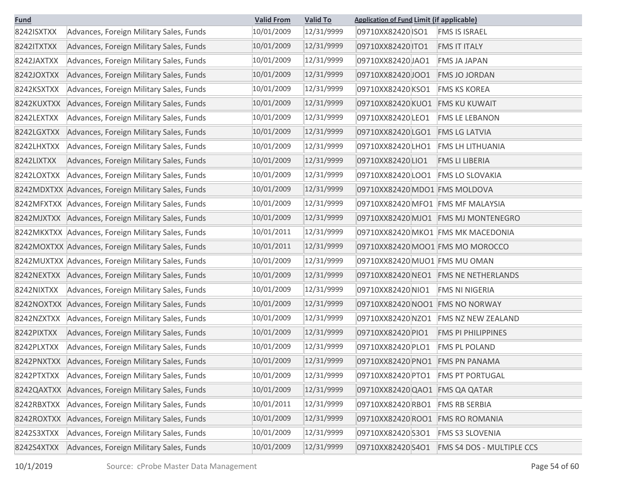| <b>Fund</b> |                                                    | <b>Valid From</b> | <b>Valid To</b> | <b>Application of Fund Limit (if applicable)</b> |
|-------------|----------------------------------------------------|-------------------|-----------------|--------------------------------------------------|
| 8242ISXTXX  | Advances, Foreign Military Sales, Funds            | 10/01/2009        | 12/31/9999      | 09710XX82420 ISO1<br><b>FMS IS ISRAEL</b>        |
| 8242ITXTXX  | Advances, Foreign Military Sales, Funds            | 10/01/2009        | 12/31/9999      | 09710XX82420 TO1<br><b>FMS IT ITALY</b>          |
| 8242JAXTXX  | Advances, Foreign Military Sales, Funds            | 10/01/2009        | 12/31/9999      | 09710XX82420JAO1<br><b>FMS JA JAPAN</b>          |
| 8242JOXTXX  | Advances, Foreign Military Sales, Funds            | 10/01/2009        | 12/31/9999      | 09710XX82420JOO1<br><b>FMS JO JORDAN</b>         |
| 8242KSXTXX  | Advances, Foreign Military Sales, Funds            | 10/01/2009        | 12/31/9999      | 09710XX82420 KSO1<br><b>FMS KS KOREA</b>         |
| 8242KUXTXX  | Advances, Foreign Military Sales, Funds            | 10/01/2009        | 12/31/9999      | 09710XX82420 KUO1<br><b>FMS KU KUWAIT</b>        |
| 8242LEXTXX  | Advances, Foreign Military Sales, Funds            | 10/01/2009        | 12/31/9999      | 09710XX82420 LEO1<br><b>FMS LE LEBANON</b>       |
| 8242LGXTXX  | Advances, Foreign Military Sales, Funds            | 10/01/2009        | 12/31/9999      | 09710XX82420 LGO1<br><b>FMS LG LATVIA</b>        |
| 8242LHXTXX  | Advances, Foreign Military Sales, Funds            | 10/01/2009        | 12/31/9999      | 09710XX82420LHO1<br><b>FMS LH LITHUANIA</b>      |
| 8242LIXTXX  | Advances, Foreign Military Sales, Funds            | 10/01/2009        | 12/31/9999      | 09710XX82420LIO1<br><b>FMS LI LIBERIA</b>        |
| 8242LOXTXX  | Advances, Foreign Military Sales, Funds            | 10/01/2009        | 12/31/9999      | 09710XX82420LOO1<br><b>FMS LO SLOVAKIA</b>       |
|             | 8242MDXTXX Advances, Foreign Military Sales, Funds | 10/01/2009        | 12/31/9999      | 09710XX82420 MDO1 FMS MOLDOVA                    |
|             | 8242MFXTXX Advances, Foreign Military Sales, Funds | 10/01/2009        | 12/31/9999      | 09710XX82420 MFO1 FMS MF MALAYSIA                |
|             | 8242MJXTXX Advances, Foreign Military Sales, Funds | 10/01/2009        | 12/31/9999      | 09710XX82420 MJO1 FMS MJ MONTENEGRO              |
|             | 8242MKXTXX Advances, Foreign Military Sales, Funds | 10/01/2011        | 12/31/9999      | 09710XX82420 MKO1 FMS MK MACEDONIA               |
|             | 8242MOXTXX Advances, Foreign Military Sales, Funds | 10/01/2011        | 12/31/9999      | 09710XX82420 MOO1 FMS MO MOROCCO                 |
|             | 8242MUXTXX Advances, Foreign Military Sales, Funds | 10/01/2009        | 12/31/9999      | 09710XX82420 MUO1 FMS MU OMAN                    |
| 8242NEXTXX  | Advances, Foreign Military Sales, Funds            | 10/01/2009        | 12/31/9999      | 09710XX82420 NEO1 FMS NE NETHERLANDS             |
| 8242NIXTXX  | Advances, Foreign Military Sales, Funds            | 10/01/2009        | 12/31/9999      | 09710XX82420 NIO1<br><b>FMS NI NIGERIA</b>       |
|             | 8242NOXTXX Advances, Foreign Military Sales, Funds | 10/01/2009        | 12/31/9999      | 09710XX82420 NOO1 FMS NO NORWAY                  |
| 8242NZXTXX  | Advances, Foreign Military Sales, Funds            | 10/01/2009        | 12/31/9999      | 09710XX82420NZO1<br><b>FMS NZ NEW ZEALAND</b>    |
| 8242PIXTXX  | Advances, Foreign Military Sales, Funds            | 10/01/2009        | 12/31/9999      | 09710XX82420 PIO1<br><b>FMS PI PHILIPPINES</b>   |
| 8242PLXTXX  | Advances, Foreign Military Sales, Funds            | 10/01/2009        | 12/31/9999      | 09710XX82420 PLO1<br><b>FMS PL POLAND</b>        |
| 8242PNXTXX  | Advances, Foreign Military Sales, Funds            | 10/01/2009        | 12/31/9999      | 09710XX82420 PNO1 FMS PN PANAMA                  |
| 8242PTXTXX  | Advances, Foreign Military Sales, Funds            | 10/01/2009        | 12/31/9999      | 09710XX82420 PTO1<br><b>FMS PT PORTUGAL</b>      |
| 8242QAXTXX  | Advances, Foreign Military Sales, Funds            | 10/01/2009        | 12/31/9999      | 09710XX82420 QAO1 FMS QA QATAR                   |
| 8242RBXTXX  | Advances, Foreign Military Sales, Funds            | 10/01/2011        | 12/31/9999      | 09710XX82420RBO1<br><b>FMS RB SERBIA</b>         |
| 8242ROXTXX  | Advances, Foreign Military Sales, Funds            | 10/01/2009        | 12/31/9999      | 09710XX82420 ROO1<br><b>FMS RO ROMANIA</b>       |
| 8242S3XTXX  | Advances, Foreign Military Sales, Funds            | 10/01/2009        | 12/31/9999      | 09710XX82420 S3O1<br><b>FMS S3 SLOVENIA</b>      |
| 8242S4XTXX  | Advances, Foreign Military Sales, Funds            | 10/01/2009        | 12/31/9999      | 09710XX82420S4O1<br>FMS S4 DOS - MULTIPLE CCS    |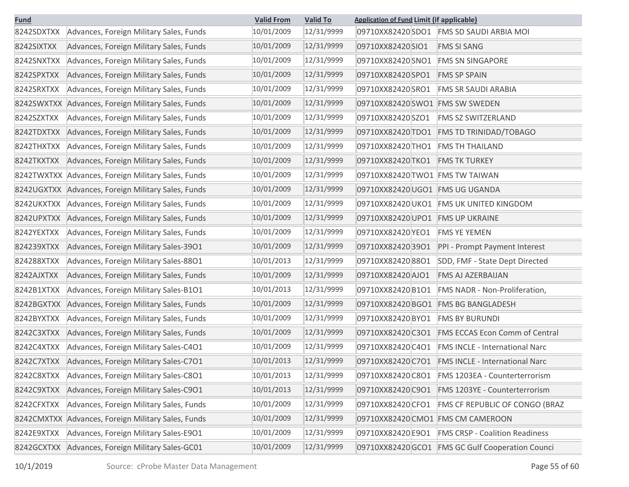| <b>Fund</b> | <b>Valid To</b><br><b>Valid From</b>               |            | <b>Application of Fund Limit (if applicable)</b> |                                   |                                                  |
|-------------|----------------------------------------------------|------------|--------------------------------------------------|-----------------------------------|--------------------------------------------------|
| 8242SDXTXX  | Advances, Foreign Military Sales, Funds            | 10/01/2009 | 12/31/9999                                       |                                   | 09710XX82420 SDO1 FMS SD SAUDI ARBIA MOI         |
| 8242SIXTXX  | Advances, Foreign Military Sales, Funds            | 10/01/2009 | 12/31/9999                                       | 09710XX82420 SIO1                 | <b>FMS SI SANG</b>                               |
| 8242SNXTXX  | Advances, Foreign Military Sales, Funds            | 10/01/2009 | 12/31/9999                                       | 09710XX82420 SNO1                 | <b>FMS SN SINGAPORE</b>                          |
| 8242SPXTXX  | Advances, Foreign Military Sales, Funds            | 10/01/2009 | 12/31/9999                                       | 09710XX82420SPO1                  | <b>FMS SP SPAIN</b>                              |
| 8242SRXTXX  | Advances, Foreign Military Sales, Funds            | 10/01/2009 | 12/31/9999                                       | 09710XX82420SRO1                  | <b>FMS SR SAUDI ARABIA</b>                       |
|             | 8242SWXTXX Advances, Foreign Military Sales, Funds | 10/01/2009 | 12/31/9999                                       | 09710XX82420 SWO1 FMS SW SWEDEN   |                                                  |
| 8242SZXTXX  | Advances, Foreign Military Sales, Funds            | 10/01/2009 | 12/31/9999                                       | 09710XX82420SZO1                  | <b>FMS SZ SWITZERLAND</b>                        |
| 8242TDXTXX  | Advances, Foreign Military Sales, Funds            | 10/01/2009 | 12/31/9999                                       | 09710XX82420 TDO1                 | <b>FMS TD TRINIDAD/TOBAGO</b>                    |
| 8242THXTXX  | Advances, Foreign Military Sales, Funds            | 10/01/2009 | 12/31/9999                                       | 09710XX82420 THO1                 | <b>FMS TH THAILAND</b>                           |
| 8242TKXTXX  | Advances, Foreign Military Sales, Funds            | 10/01/2009 | 12/31/9999                                       | 09710XX82420 TKO1                 | <b>FMS TK TURKEY</b>                             |
|             | 8242TWXTXX Advances, Foreign Military Sales, Funds | 10/01/2009 | 12/31/9999                                       | 09710XX82420 TWO1 FMS TW TAIWAN   |                                                  |
|             | 8242UGXTXX Advances, Foreign Military Sales, Funds | 10/01/2009 | 12/31/9999                                       | 09710XX82420 UGO1 FMS UG UGANDA   |                                                  |
| 8242UKXTXX  | Advances, Foreign Military Sales, Funds            | 10/01/2009 | 12/31/9999                                       |                                   | 09710XX82420 UKO1 FMS UK UNITED KINGDOM          |
| 8242UPXTXX  | Advances, Foreign Military Sales, Funds            | 10/01/2009 | 12/31/9999                                       | 09710XX82420 UPO1 FMS UP UKRAINE  |                                                  |
| 8242YEXTXX  | Advances, Foreign Military Sales, Funds            | 10/01/2009 | 12/31/9999                                       | 09710XX82420 YEO1                 | <b>FMS YE YEMEN</b>                              |
| 824239XTXX  | Advances, Foreign Military Sales-3901              | 10/01/2009 | 12/31/9999                                       | 09710XX8242039O1                  | PPI - Prompt Payment Interest                    |
| 824288XTXX  | Advances, Foreign Military Sales-8801              | 10/01/2013 | 12/31/9999                                       | 09710XX8242088O1                  | SDD, FMF - State Dept Directed                   |
| 8242AJXTXX  | Advances, Foreign Military Sales, Funds            | 10/01/2009 | 12/31/9999                                       | 09710XX82420 AJO1                 | <b>FMS AJ AZERBAIJAN</b>                         |
| 8242B1XTXX  | Advances, Foreign Military Sales-B1O1              | 10/01/2013 | 12/31/9999                                       | 09710XX82420B1O1                  | FMS NADR - Non-Proliferation,                    |
| 8242BGXTXX  | Advances, Foreign Military Sales, Funds            | 10/01/2009 | 12/31/9999                                       | 09710XX82420 BGO1                 | <b>FMS BG BANGLADESH</b>                         |
| 8242BYXTXX  | Advances, Foreign Military Sales, Funds            | 10/01/2009 | 12/31/9999                                       | 09710XX82420 BYO1                 | <b>FMS BY BURUNDI</b>                            |
| 8242C3XTXX  | Advances, Foreign Military Sales, Funds            | 10/01/2009 | 12/31/9999                                       | 09710XX82420 C3O1                 | <b>FMS ECCAS Econ Comm of Central</b>            |
| 8242C4XTXX  | Advances, Foreign Military Sales-C4O1              | 10/01/2009 | 12/31/9999                                       | 09710XX82420 C4O1                 | <b>FMS INCLE - International Narc</b>            |
| 8242C7XTXX  | Advances, Foreign Military Sales-C701              | 10/01/2013 | 12/31/9999                                       | 09710XX82420 C7O1                 | <b>FMS INCLE - International Narc</b>            |
| 8242C8XTXX  | Advances, Foreign Military Sales-C801              | 10/01/2013 | 12/31/9999                                       | 09710XX82420 C8O1                 | FMS 1203EA - Counterterrorism                    |
| 8242C9XTXX  | Advances, Foreign Military Sales-C901              | 10/01/2013 | 12/31/9999                                       | 09710XX82420C9O1                  | FMS 1203YE - Counterterrorism                    |
| 8242CFXTXX  | Advances, Foreign Military Sales, Funds            | 10/01/2009 | 12/31/9999                                       | 09710XX82420 CFO1                 | <b>FMS CF REPUBLIC OF CONGO (BRAZ</b>            |
| 8242CMXTXX  | Advances, Foreign Military Sales, Funds            | 10/01/2009 | 12/31/9999                                       | 09710XX82420 CMO1 FMS CM CAMEROON |                                                  |
| 8242E9XTXX  | Advances, Foreign Military Sales-E901              | 10/01/2009 | 12/31/9999                                       | 09710XX82420 E9O1                 | <b>FMS CRSP - Coalition Readiness</b>            |
| 8242GCXTXX  | Advances, Foreign Military Sales-GC01              | 10/01/2009 | 12/31/9999                                       |                                   | 09710XX82420 GCO1 FMS GC Gulf Cooperation Counci |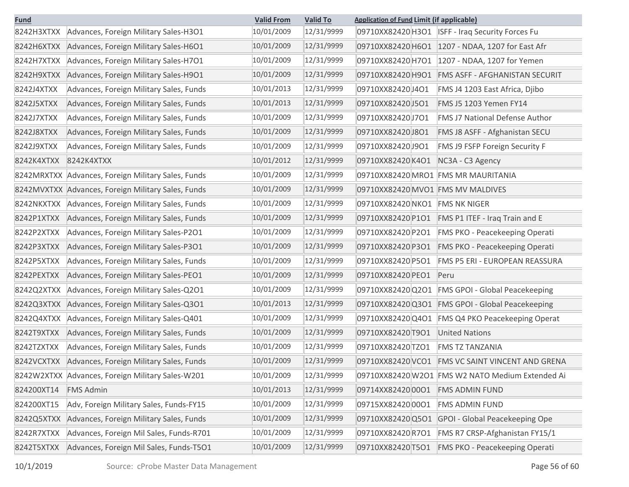| <u>Fund</u> |                                                    | <b>Valid To</b><br><b>Valid From</b> |            |                                   | <b>Application of Fund Limit (if applicable)</b> |  |  |
|-------------|----------------------------------------------------|--------------------------------------|------------|-----------------------------------|--------------------------------------------------|--|--|
| 8242H3XTXX  | Advances, Foreign Military Sales-H3O1              | 10/01/2009                           | 12/31/9999 |                                   | 09710XX82420 H3O1 ISFF - Iraq Security Forces Fu |  |  |
| 8242H6XTXX  | Advances, Foreign Military Sales-H6O1              | 10/01/2009                           | 12/31/9999 | 09710XX82420 H6O1                 | 1207 - NDAA, 1207 for East Afr                   |  |  |
| 8242H7XTXX  | Advances, Foreign Military Sales-H7O1              | 10/01/2009                           | 12/31/9999 | 09710XX82420 H7O1                 | 1207 - NDAA, 1207 for Yemen                      |  |  |
| 8242H9XTXX  | Advances, Foreign Military Sales-H9O1              | 10/01/2009                           | 12/31/9999 | 09710XX82420 H9O1                 | FMS ASFF - AFGHANISTAN SECURIT                   |  |  |
| 8242J4XTXX  | Advances, Foreign Military Sales, Funds            | 10/01/2013                           | 12/31/9999 | 09710XX82420J4O1                  | FMS J4 1203 East Africa, Djibo                   |  |  |
| 8242J5XTXX  | Advances, Foreign Military Sales, Funds            | 10/01/2013                           | 12/31/9999 | 09710XX82420J5O1                  | FMS J5 1203 Yemen FY14                           |  |  |
| 8242J7XTXX  | Advances, Foreign Military Sales, Funds            | 10/01/2009                           | 12/31/9999 | 09710XX82420J7O1                  | <b>FMS J7 National Defense Author</b>            |  |  |
| 8242J8XTXX  | Advances, Foreign Military Sales, Funds            | 10/01/2009                           | 12/31/9999 | 09710XX82420J8O1                  | FMS J8 ASFF - Afghanistan SECU                   |  |  |
| 8242J9XTXX  | Advances, Foreign Military Sales, Funds            | 10/01/2009                           | 12/31/9999 | 09710XX82420J9O1                  | FMS J9 FSFP Foreign Security F                   |  |  |
| 8242K4XTXX  | 8242K4XTXX                                         | 10/01/2012                           | 12/31/9999 | 09710XX82420K4O1                  | NC3A - C3 Agency                                 |  |  |
|             | 8242MRXTXX Advances, Foreign Military Sales, Funds | 10/01/2009                           | 12/31/9999 |                                   | 09710XX82420 MRO1 FMS MR MAURITANIA              |  |  |
|             | 8242MVXTXX Advances, Foreign Military Sales, Funds | 10/01/2009                           | 12/31/9999 | 09710XX82420 MVO1 FMS MV MALDIVES |                                                  |  |  |
| 8242NKXTXX  | Advances, Foreign Military Sales, Funds            | 10/01/2009                           | 12/31/9999 | 09710XX82420 NKO1                 | <b>FMS NK NIGER</b>                              |  |  |
| 8242P1XTXX  | Advances, Foreign Military Sales, Funds            | 10/01/2009                           | 12/31/9999 | 09710XX82420 P1O1                 | FMS P1 ITEF - Iraq Train and E                   |  |  |
| 8242P2XTXX  | Advances, Foreign Military Sales-P201              | 10/01/2009                           | 12/31/9999 | 09710XX82420 P2O1                 | FMS PKO - Peacekeeping Operati                   |  |  |
| 8242P3XTXX  | Advances, Foreign Military Sales-P301              | 10/01/2009                           | 12/31/9999 | 09710XX82420 P3O1                 | FMS PKO - Peacekeeping Operati                   |  |  |
| 8242P5XTXX  | Advances, Foreign Military Sales, Funds            | 10/01/2009                           | 12/31/9999 | 09710XX82420 P5O1                 | FMS P5 ERI - EUROPEAN REASSURA                   |  |  |
| 8242PEXTXX  | Advances, Foreign Military Sales-PEO1              | 10/01/2009                           | 12/31/9999 | 09710XX82420 PEO1                 | Peru                                             |  |  |
| 8242Q2XTXX  | Advances, Foreign Military Sales-Q201              | 10/01/2009                           | 12/31/9999 | 09710XX82420 Q2O1                 | FMS GPOI - Global Peacekeeping                   |  |  |
| 8242Q3XTXX  | Advances, Foreign Military Sales-Q301              | 10/01/2013                           | 12/31/9999 | 09710XX82420Q3O1                  | <b>FMS GPOI - Global Peacekeeping</b>            |  |  |
| 8242Q4XTXX  | Advances, Foreign Military Sales-Q401              | 10/01/2009                           | 12/31/9999 | 09710XX82420 Q4O1                 | <b>FMS Q4 PKO Peacekeeping Operat</b>            |  |  |
| 8242T9XTXX  | Advances, Foreign Military Sales, Funds            | 10/01/2009                           | 12/31/9999 | 09710XX82420 T9O1                 | <b>United Nations</b>                            |  |  |
| 8242TZXTXX  | Advances, Foreign Military Sales, Funds            | 10/01/2009                           | 12/31/9999 | 09710XX82420 TZO1                 | <b>FMS TZ TANZANIA</b>                           |  |  |
| 8242VCXTXX  | Advances, Foreign Military Sales, Funds            | 10/01/2009                           | 12/31/9999 | 09710XX82420 VCO1                 | FMS VC SAINT VINCENT AND GRENA                   |  |  |
|             | 8242W2XTXX Advances, Foreign Military Sales-W201   | 10/01/2009                           | 12/31/9999 |                                   | 09710XX82420 W2O1 FMS W2 NATO Medium Extended Ai |  |  |
| 824200XT14  | <b>FMS Admin</b>                                   | 10/01/2013                           | 12/31/9999 | 09714XX824200001                  | <b>FMS ADMIN FUND</b>                            |  |  |
| 824200XT15  | Adv, Foreign Military Sales, Funds-FY15            | 10/01/2009                           | 12/31/9999 | 09715XX82420 0001                 | <b>FMS ADMIN FUND</b>                            |  |  |
| 8242Q5XTXX  | Advances, Foreign Military Sales, Funds            | 10/01/2009                           | 12/31/9999 | 09710XX82420 Q5O1                 | GPOI - Global Peacekeeping Ope                   |  |  |
| 8242R7XTXX  | Advances, Foreign Mil Sales, Funds-R701            | 10/01/2009                           | 12/31/9999 | 09710XX82420R7O1                  | FMS R7 CRSP-Afghanistan FY15/1                   |  |  |
| 8242T5XTXX  | Advances, Foreign Mil Sales, Funds-T501            | 10/01/2009                           | 12/31/9999 | 09710XX82420 T5O1                 | FMS PKO - Peacekeeping Operati                   |  |  |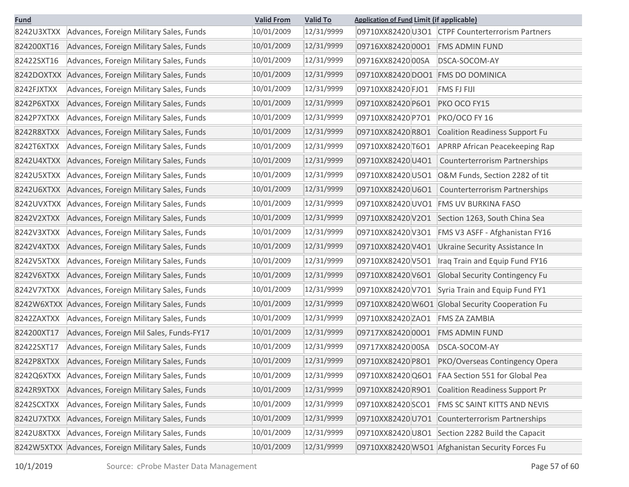| <b>Fund</b> | <b>Valid To</b><br><b>Valid From</b>               |            | <b>Application of Fund Limit (if applicable)</b> |                                   |                                                  |
|-------------|----------------------------------------------------|------------|--------------------------------------------------|-----------------------------------|--------------------------------------------------|
| 8242U3XTXX  | Advances, Foreign Military Sales, Funds            | 10/01/2009 | 12/31/9999                                       |                                   | 09710XX82420 U3O1 CTPF Counterterrorism Partners |
| 824200XT16  | Advances, Foreign Military Sales, Funds            | 10/01/2009 | 12/31/9999                                       | 09716XX82420 0001                 | <b>FMS ADMIN FUND</b>                            |
| 82422SXT16  | Advances, Foreign Military Sales, Funds            | 10/01/2009 | 12/31/9999                                       | 09716XX82420 00SA                 | DSCA-SOCOM-AY                                    |
| 8242DOXTXX  | Advances, Foreign Military Sales, Funds            | 10/01/2009 | 12/31/9999                                       | 09710XX82420 DOO1 FMS DO DOMINICA |                                                  |
| 8242FJXTXX  | Advances, Foreign Military Sales, Funds            | 10/01/2009 | 12/31/9999                                       | 09710XX82420 FJO1                 | <b>FMS FJ FIJI</b>                               |
| 8242P6XTXX  | Advances, Foreign Military Sales, Funds            | 10/01/2009 | 12/31/9999                                       | 09710XX82420 P6O1                 | PKO OCO FY15                                     |
| 8242P7XTXX  | Advances, Foreign Military Sales, Funds            | 10/01/2009 | 12/31/9999                                       | 09710XX82420 P7O1                 | PKO/OCO FY 16                                    |
| 8242R8XTXX  | Advances, Foreign Military Sales, Funds            | 10/01/2009 | 12/31/9999                                       | 09710XX82420R8O1                  | <b>Coalition Readiness Support Fu</b>            |
| 8242T6XTXX  | Advances, Foreign Military Sales, Funds            | 10/01/2009 | 12/31/9999                                       | 09710XX82420 T6O1                 | <b>APRRP African Peacekeeping Rap</b>            |
| 8242U4XTXX  | Advances, Foreign Military Sales, Funds            | 10/01/2009 | 12/31/9999                                       | 09710XX82420 U4O1                 | <b>Counterterrorism Partnerships</b>             |
| 8242U5XTXX  | Advances, Foreign Military Sales, Funds            | 10/01/2009 | 12/31/9999                                       | 09710XX82420 U5O1                 | O&M Funds, Section 2282 of tit                   |
| 8242U6XTXX  | Advances, Foreign Military Sales, Funds            | 10/01/2009 | 12/31/9999                                       | 09710XX82420 U6O1                 | <b>Counterterrorism Partnerships</b>             |
| 8242UVXTXX  | Advances, Foreign Military Sales, Funds            | 10/01/2009 | 12/31/9999                                       | 09710XX82420 UVO1                 | <b>FMS UV BURKINA FASO</b>                       |
| 8242V2XTXX  | Advances, Foreign Military Sales, Funds            | 10/01/2009 | 12/31/9999                                       | 09710XX82420V2O1                  | Section 1263, South China Sea                    |
| 8242V3XTXX  | Advances, Foreign Military Sales, Funds            | 10/01/2009 | 12/31/9999                                       | 09710XX82420 V3O1                 | FMS V3 ASFF - Afghanistan FY16                   |
| 8242V4XTXX  | Advances, Foreign Military Sales, Funds            | 10/01/2009 | 12/31/9999                                       | 09710XX82420 V4O1                 | Ukraine Security Assistance In                   |
| 8242V5XTXX  | Advances, Foreign Military Sales, Funds            | 10/01/2009 | 12/31/9999                                       | 09710XX82420 V5O1                 | Iraq Train and Equip Fund FY16                   |
| 8242V6XTXX  | Advances, Foreign Military Sales, Funds            | 10/01/2009 | 12/31/9999                                       | 09710XX82420 V6O1                 | <b>Global Security Contingency Fu</b>            |
| 8242V7XTXX  | Advances, Foreign Military Sales, Funds            | 10/01/2009 | 12/31/9999                                       | 09710XX82420V7O1                  | Syria Train and Equip Fund FY1                   |
|             | 8242W6XTXX Advances, Foreign Military Sales, Funds | 10/01/2009 | 12/31/9999                                       |                                   | 09710XX82420 W6O1 Global Security Cooperation Fu |
| 8242ZAXTXX  | Advances, Foreign Military Sales, Funds            | 10/01/2009 | 12/31/9999                                       | 09710XX82420 ZAO1                 | <b>FMS ZA ZAMBIA</b>                             |
| 824200XT17  | Advances, Foreign Mil Sales, Funds-FY17            | 10/01/2009 | 12/31/9999                                       | 09717XX824200001                  | <b>FMS ADMIN FUND</b>                            |
| 82422SXT17  | Advances, Foreign Military Sales, Funds            | 10/01/2009 | 12/31/9999                                       | 09717XX8242000SA                  | DSCA-SOCOM-AY                                    |
| 8242P8XTXX  | Advances, Foreign Military Sales, Funds            | 10/01/2009 | 12/31/9999                                       | 09710XX82420 P8O1                 | PKO/Overseas Contingency Opera                   |
| 8242Q6XTXX  | Advances, Foreign Military Sales, Funds            | 10/01/2009 | 12/31/9999                                       |                                   | 09710XX82420 Q6O1 FAA Section 551 for Global Pea |
| 8242R9XTXX  | Advances, Foreign Military Sales, Funds            | 10/01/2009 | 12/31/9999                                       | 09710XX82420R9O1                  | <b>Coalition Readiness Support Pr</b>            |
| 8242SCXTXX  | Advances, Foreign Military Sales, Funds            | 10/01/2009 | 12/31/9999                                       | 09710XX82420 SCO1                 | FMS SC SAINT KITTS AND NEVIS                     |
| 8242U7XTXX  | Advances, Foreign Military Sales, Funds            | 10/01/2009 | 12/31/9999                                       | 09710XX82420U7O1                  | Counterterrorism Partnerships                    |
| 8242U8XTXX  | Advances, Foreign Military Sales, Funds            | 10/01/2009 | 12/31/9999                                       |                                   | 09710XX82420 U8O1 Section 2282 Build the Capacit |
|             | 8242W5XTXX Advances, Foreign Military Sales, Funds | 10/01/2009 | 12/31/9999                                       |                                   | 09710XX82420 W5O1 Afghanistan Security Forces Fu |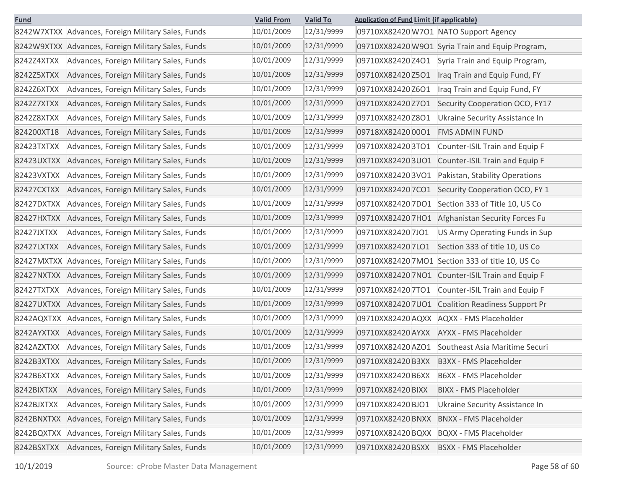| <b>Fund</b> |                                                    | <b>Valid From</b> | <b>Valid To</b><br><b>Application of Fund Limit (if applicable)</b> |                   |                                                  |
|-------------|----------------------------------------------------|-------------------|---------------------------------------------------------------------|-------------------|--------------------------------------------------|
|             | 8242W7XTXX Advances, Foreign Military Sales, Funds | 10/01/2009        | 12/31/9999                                                          |                   | 09710XX82420 W7O1 NATO Support Agency            |
|             | 8242W9XTXX Advances, Foreign Military Sales, Funds | 10/01/2009        | 12/31/9999                                                          |                   | 09710XX82420 W9O1 Syria Train and Equip Program, |
| 8242Z4XTXX  | Advances, Foreign Military Sales, Funds            | 10/01/2009        | 12/31/9999                                                          | 09710XX82420 Z4O1 | Syria Train and Equip Program,                   |
| 8242Z5XTXX  | Advances, Foreign Military Sales, Funds            | 10/01/2009        | 12/31/9999                                                          | 09710XX82420 Z5O1 | Iraq Train and Equip Fund, FY                    |
| 8242Z6XTXX  | Advances, Foreign Military Sales, Funds            | 10/01/2009        | 12/31/9999                                                          | 09710XX82420 Z6O1 | Iraq Train and Equip Fund, FY                    |
| 8242Z7XTXX  | Advances, Foreign Military Sales, Funds            | 10/01/2009        | 12/31/9999                                                          | 09710XX82420 Z7O1 | Security Cooperation OCO, FY17                   |
| 8242Z8XTXX  | Advances, Foreign Military Sales, Funds            | 10/01/2009        | 12/31/9999                                                          | 09710XX82420 Z8O1 | Ukraine Security Assistance In                   |
| 824200XT18  | Advances, Foreign Military Sales, Funds            | 10/01/2009        | 12/31/9999                                                          | 09718XX824200001  | <b>FMS ADMIN FUND</b>                            |
| 82423TXTXX  | Advances, Foreign Military Sales, Funds            | 10/01/2009        | 12/31/9999                                                          | 09710XX824203TO1  | Counter-ISIL Train and Equip F                   |
| 82423UXTXX  | Advances, Foreign Military Sales, Funds            | 10/01/2009        | 12/31/9999                                                          | 09710XX824203UO1  | Counter-ISIL Train and Equip F                   |
| 82423VXTXX  | Advances, Foreign Military Sales, Funds            | 10/01/2009        | 12/31/9999                                                          | 09710XX824203VO1  | Pakistan, Stability Operations                   |
| 82427CXTXX  | Advances, Foreign Military Sales, Funds            | 10/01/2009        | 12/31/9999                                                          | 09710XX82420 7CO1 | Security Cooperation OCO, FY 1                   |
| 82427DXTXX  | Advances, Foreign Military Sales, Funds            | 10/01/2009        | 12/31/9999                                                          | 09710XX824207DO1  | Section 333 of Title 10, US Co                   |
| 82427HXTXX  | Advances, Foreign Military Sales, Funds            | 10/01/2009        | 12/31/9999                                                          |                   | 09710XX82420 7HO1 Afghanistan Security Forces Fu |
| 82427JXTXX  | Advances, Foreign Military Sales, Funds            | 10/01/2009        | 12/31/9999                                                          | 09710XX824207JO1  | US Army Operating Funds in Sup                   |
| 82427LXTXX  | Advances, Foreign Military Sales, Funds            | 10/01/2009        | 12/31/9999                                                          | 09710XX82420 7LO1 | Section 333 of title 10, US Co                   |
| 82427MXTXX  | Advances, Foreign Military Sales, Funds            | 10/01/2009        | 12/31/9999                                                          |                   | 09710XX82420 7MO1 Section 333 of title 10, US Co |
| 82427NXTXX  | Advances, Foreign Military Sales, Funds            | 10/01/2009        | 12/31/9999                                                          |                   | 09710XX82420 7NO1 Counter-ISIL Train and Equip F |
| 82427TXTXX  | Advances, Foreign Military Sales, Funds            | 10/01/2009        | 12/31/9999                                                          | 09710XX824207TO1  | Counter-ISIL Train and Equip F                   |
| 82427UXTXX  | Advances, Foreign Military Sales, Funds            | 10/01/2009        | 12/31/9999                                                          | 09710XX824207UO1  | Coalition Readiness Support Pr                   |
| 8242AQXTXX  | Advances, Foreign Military Sales, Funds            | 10/01/2009        | 12/31/9999                                                          | 09710XX82420 AQXX | AQXX - FMS Placeholder                           |
| 8242AYXTXX  | Advances, Foreign Military Sales, Funds            | 10/01/2009        | 12/31/9999                                                          | 09710XX82420 AYXX | AYXX - FMS Placeholder                           |
| 8242AZXTXX  | Advances, Foreign Military Sales, Funds            | 10/01/2009        | 12/31/9999                                                          | 09710XX82420 AZO1 | Southeast Asia Maritime Securi                   |
| 8242B3XTXX  | Advances, Foreign Military Sales, Funds            | 10/01/2009        | 12/31/9999                                                          | 09710XX82420B3XX  | B3XX - FMS Placeholder                           |
| 8242B6XTXX  | Advances, Foreign Military Sales, Funds            | 10/01/2009        | 12/31/9999                                                          | 09710XX82420 B6XX | B6XX - FMS Placeholder                           |
| 8242BIXTXX  | Advances, Foreign Military Sales, Funds            | 10/01/2009        | 12/31/9999                                                          | 09710XX82420 BIXX | <b>BIXX - FMS Placeholder</b>                    |
| 8242BJXTXX  | Advances, Foreign Military Sales, Funds            | 10/01/2009        | 12/31/9999                                                          | 09710XX82420 BJO1 | Ukraine Security Assistance In                   |
| 8242BNXTXX  | Advances, Foreign Military Sales, Funds            | 10/01/2009        | 12/31/9999                                                          | 09710XX82420 BNXX | <b>BNXX - FMS Placeholder</b>                    |
| 8242BQXTXX  | Advances, Foreign Military Sales, Funds            | 10/01/2009        | 12/31/9999                                                          | 09710XX82420 BQXX | <b>BQXX - FMS Placeholder</b>                    |
| 8242BSXTXX  | Advances, Foreign Military Sales, Funds            | 10/01/2009        | 12/31/9999                                                          | 09710XX82420 BSXX | <b>BSXX - FMS Placeholder</b>                    |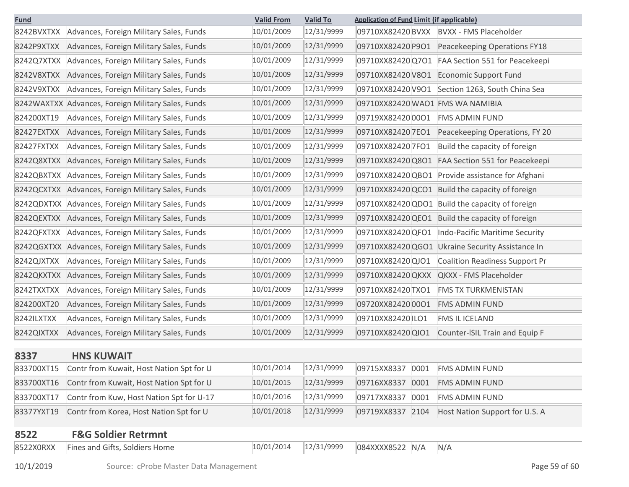| <b>Fund</b> |                                                    | <b>Valid From</b> | <b>Valid To</b> | <b>Application of Fund Limit (if applicable)</b>           |
|-------------|----------------------------------------------------|-------------------|-----------------|------------------------------------------------------------|
| 8242BVXTXX  | Advances, Foreign Military Sales, Funds            | 10/01/2009        | 12/31/9999      | 09710XX82420 BVXX<br><b>BVXX - FMS Placeholder</b>         |
| 8242P9XTXX  | Advances, Foreign Military Sales, Funds            | 10/01/2009        | 12/31/9999      | 09710XX82420 P9O1<br>Peacekeeping Operations FY18          |
| 8242Q7XTXX  | Advances, Foreign Military Sales, Funds            | 10/01/2009        | 12/31/9999      | 09710XX82420 Q7O1<br>FAA Section 551 for Peacekeepi        |
| 8242V8XTXX  | Advances, Foreign Military Sales, Funds            | 10/01/2009        | 12/31/9999      | 09710XX82420V8O1<br>Economic Support Fund                  |
| 8242V9XTXX  | Advances, Foreign Military Sales, Funds            | 10/01/2009        | 12/31/9999      | 09710XX82420V9O1<br>Section 1263, South China Sea          |
|             | 8242WAXTXX Advances, Foreign Military Sales, Funds | 10/01/2009        | 12/31/9999      | 09710XX82420 WAO1 FMS WA NAMIBIA                           |
| 824200XT19  | Advances, Foreign Military Sales, Funds            | 10/01/2009        | 12/31/9999      | 09719XX82420 0001<br><b>FMS ADMIN FUND</b>                 |
| 82427EXTXX  | Advances, Foreign Military Sales, Funds            | 10/01/2009        | 12/31/9999      | 09710XX82420 7EO1<br>Peacekeeping Operations, FY 20        |
| 82427FXTXX  | Advances, Foreign Military Sales, Funds            | 10/01/2009        | 12/31/9999      | 09710XX82420 7FO1<br>Build the capacity of foreign         |
| 8242Q8XTXX  | Advances, Foreign Military Sales, Funds            | 10/01/2009        | 12/31/9999      | 09710XX82420 Q8O1<br>FAA Section 551 for Peacekeepi        |
| 8242QBXTXX  | Advances, Foreign Military Sales, Funds            | 10/01/2009        | 12/31/9999      | 09710XX82420 QBO1<br>Provide assistance for Afghani        |
| 8242QCXTXX  | Advances, Foreign Military Sales, Funds            | 10/01/2009        | 12/31/9999      | 09710XX82420 QCO1<br>Build the capacity of foreign         |
| 8242QDXTXX  | Advances, Foreign Military Sales, Funds            | 10/01/2009        | 12/31/9999      | 09710XX82420 QDO1 Build the capacity of foreign            |
| 8242QEXTXX  | Advances, Foreign Military Sales, Funds            | 10/01/2009        | 12/31/9999      | 09710XX82420 QEO1<br>Build the capacity of foreign         |
| 8242QFXTXX  | Advances, Foreign Military Sales, Funds            | 10/01/2009        | 12/31/9999      | 09710XX82420 QFO1<br>Indo-Pacific Maritime Security        |
| 8242QGXTXX  | Advances, Foreign Military Sales, Funds            | 10/01/2009        | 12/31/9999      | 09710XX82420 QGO1 Ukraine Security Assistance In           |
| 8242QJXTXX  | Advances, Foreign Military Sales, Funds            | 10/01/2009        | 12/31/9999      | 09710XX82420 QJO1<br><b>Coalition Readiness Support Pr</b> |
| 8242QKXTXX  | Advances, Foreign Military Sales, Funds            | 10/01/2009        | 12/31/9999      | 09710XX82420 QKXX<br>QKXX - FMS Placeholder                |
| 8242TXXTXX  | Advances, Foreign Military Sales, Funds            | 10/01/2009        | 12/31/9999      | 09710XX82420 TXO1<br><b>FMS TX TURKMENISTAN</b>            |
| 824200XT20  | Advances, Foreign Military Sales, Funds            | 10/01/2009        | 12/31/9999      | 09720XX824200001<br><b>FMS ADMIN FUND</b>                  |
| 8242ILXTXX  | Advances, Foreign Military Sales, Funds            | 10/01/2009        | 12/31/9999      | 09710XX82420 ILO1<br>FMS IL ICELAND                        |
| 8242QIXTXX  | Advances, Foreign Military Sales, Funds            | 10/01/2009        | 12/31/9999      | 09710XX82420 QIO1<br>Counter-ISIL Train and Equip F        |
| 8337        | <b>HNS KUWAIT</b>                                  |                   |                 |                                                            |
| 833700XT15  | Contr from Kuwait, Host Nation Spt for U           | 10/01/2014        | 12/31/9999      | 09715XX8337<br>0001<br><b>FMS ADMIN FUND</b>               |
| 833700XT16  | Contr from Kuwait, Host Nation Spt for U           | 10/01/2015        | 12/31/9999      | 09716XX8337<br>0001<br><b>FMS ADMIN FUND</b>               |
| 833700XT17  | Contr from Kuw, Host Nation Spt for U-17           | 10/01/2016        | 12/31/9999      | 09717XX8337<br>0001<br><b>FMS ADMIN FUND</b>               |
| 83377YXT19  | Contr from Korea, Host Nation Spt for U            | 10/01/2018        | 12/31/9999      | 09719XX8337<br>2104<br>Host Nation Support for U.S. A      |
|             |                                                    |                   |                 |                                                            |
| 8522        | <b>F&amp;G Soldier Retrmnt</b>                     |                   |                 |                                                            |
| 8522X0RXX   | Fines and Gifts, Soldiers Home                     | 10/01/2014        | 12/31/9999      | 084XXXX8522 N/A<br>N/A                                     |